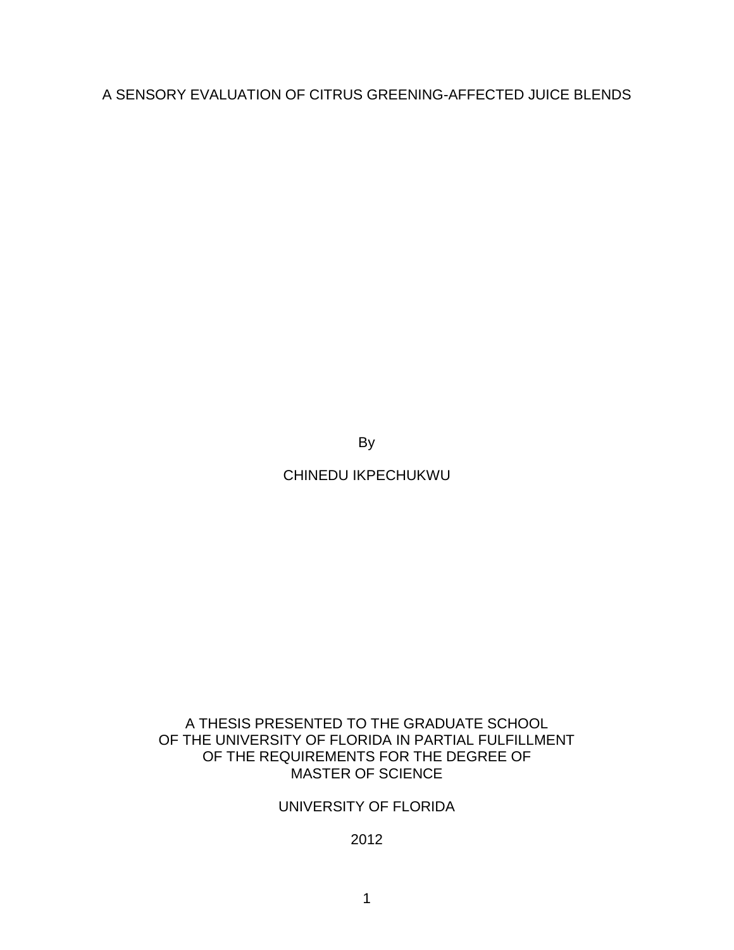A SENSORY EVALUATION OF CITRUS GREENING-AFFECTED JUICE BLENDS

By

CHINEDU IKPECHUKWU

# A THESIS PRESENTED TO THE GRADUATE SCHOOL OF THE UNIVERSITY OF FLORIDA IN PARTIAL FULFILLMENT OF THE REQUIREMENTS FOR THE DEGREE OF MASTER OF SCIENCE

# UNIVERSITY OF FLORIDA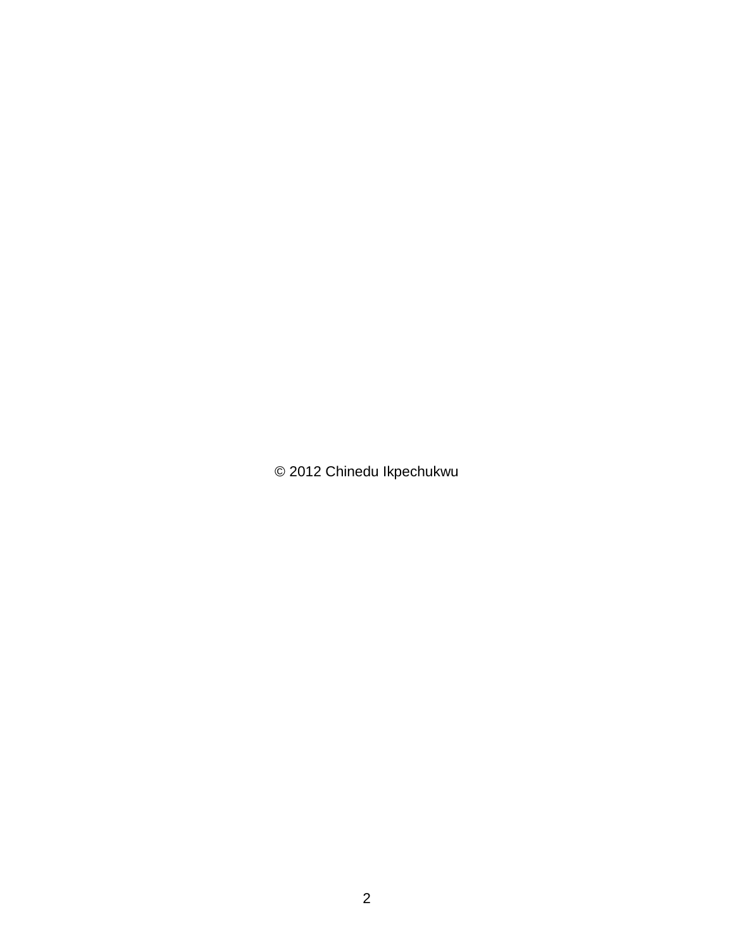© 2012 Chinedu Ikpechukwu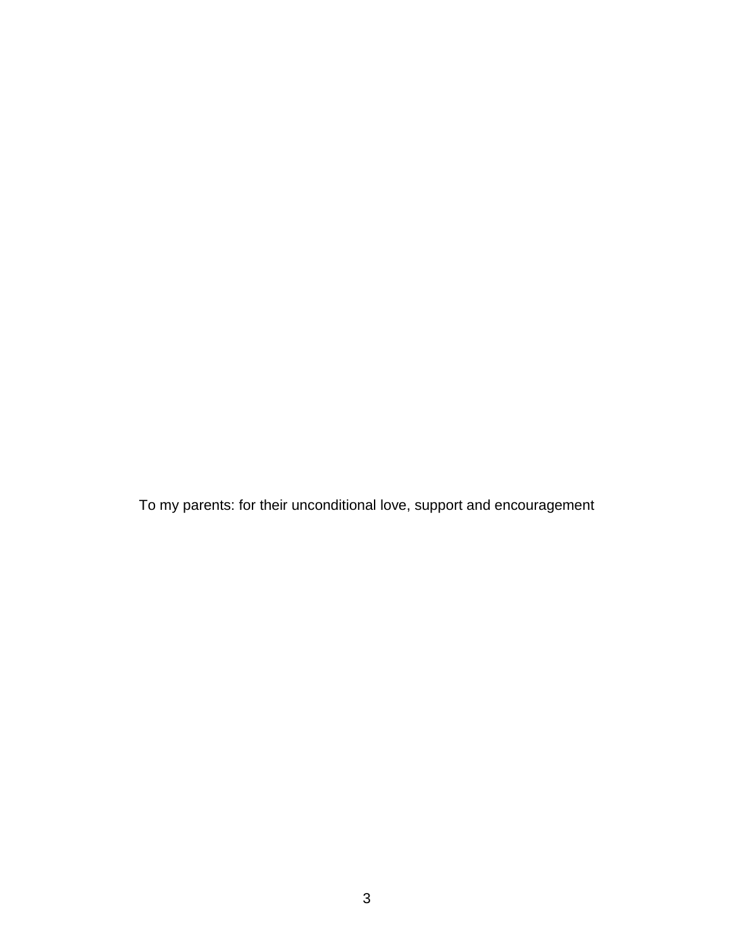To my parents: for their unconditional love, support and encouragement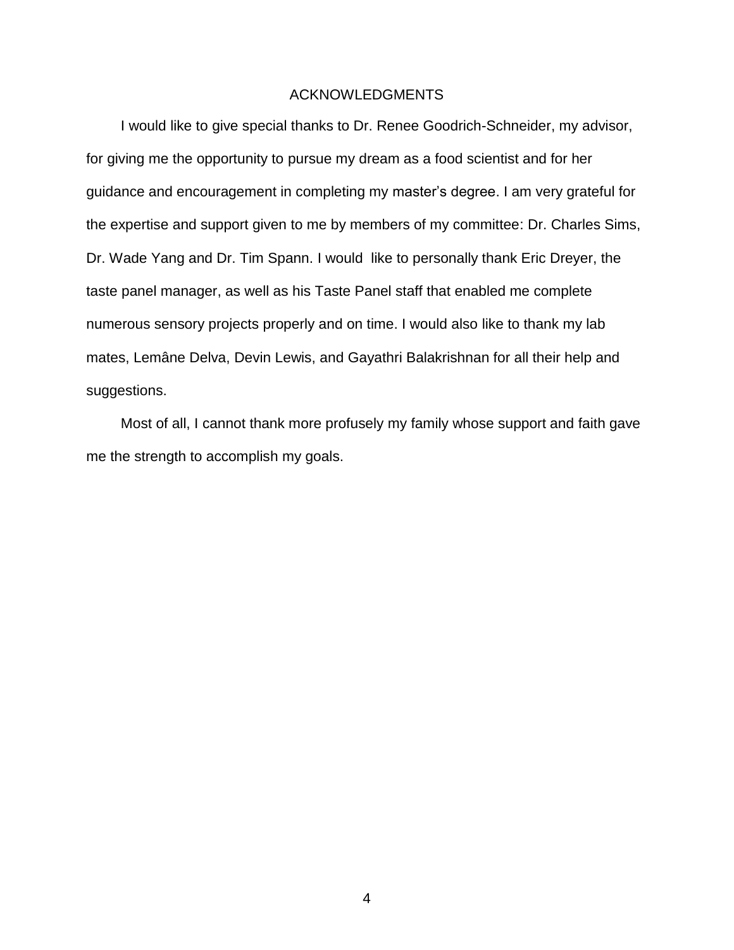# ACKNOWLEDGMENTS

<span id="page-3-0"></span>I would like to give special thanks to Dr. Renee Goodrich-Schneider, my advisor, for giving me the opportunity to pursue my dream as a food scientist and for her guidance and encouragement in completing my master's degree. I am very grateful for the expertise and support given to me by members of my committee: Dr. Charles Sims, Dr. Wade Yang and Dr. Tim Spann. I would like to personally thank Eric Dreyer, the taste panel manager, as well as his Taste Panel staff that enabled me complete numerous sensory projects properly and on time. I would also like to thank my lab mates, Lemâne Delva, Devin Lewis, and Gayathri Balakrishnan for all their help and suggestions.

Most of all, I cannot thank more profusely my family whose support and faith gave me the strength to accomplish my goals.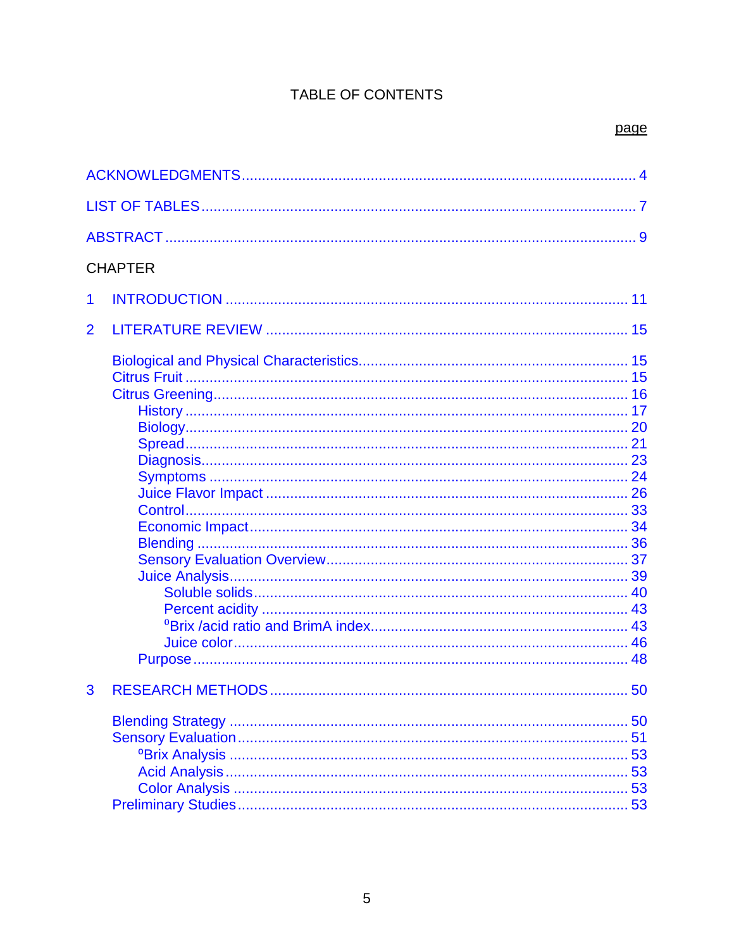# TABLE OF CONTENTS

|                | <b>CHAPTER</b> |    |  |  |
|----------------|----------------|----|--|--|
| 1              |                |    |  |  |
| $\overline{2}$ |                |    |  |  |
|                |                |    |  |  |
|                |                |    |  |  |
|                |                |    |  |  |
|                |                |    |  |  |
|                |                |    |  |  |
|                |                |    |  |  |
|                |                |    |  |  |
|                |                |    |  |  |
|                |                |    |  |  |
|                |                |    |  |  |
|                |                |    |  |  |
|                |                |    |  |  |
|                |                |    |  |  |
|                |                |    |  |  |
|                |                |    |  |  |
|                |                |    |  |  |
|                |                |    |  |  |
|                |                |    |  |  |
|                |                |    |  |  |
|                |                |    |  |  |
| 3              |                |    |  |  |
|                |                | 50 |  |  |
|                |                | 51 |  |  |
|                |                | 53 |  |  |
|                |                |    |  |  |
|                |                |    |  |  |
|                |                | 53 |  |  |
|                |                | 53 |  |  |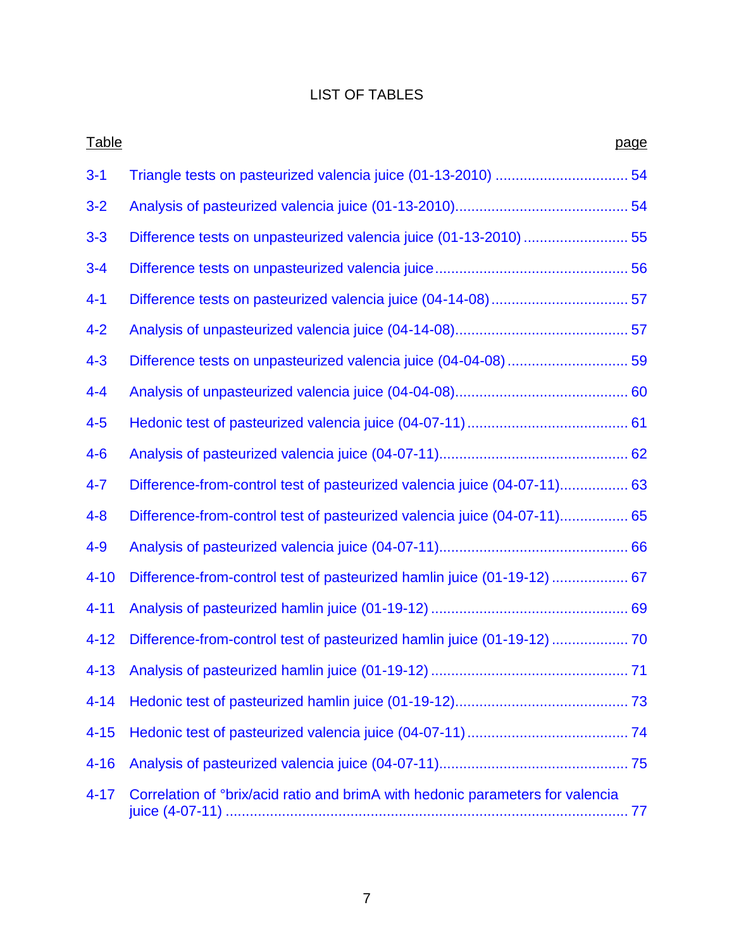# LIST OF TABLES

<span id="page-6-0"></span>

| Table    | page                                                                                             |
|----------|--------------------------------------------------------------------------------------------------|
| $3 - 1$  |                                                                                                  |
| $3 - 2$  |                                                                                                  |
| $3 - 3$  | Difference tests on unpasteurized valencia juice (01-13-2010)  55                                |
| $3 - 4$  |                                                                                                  |
| $4 - 1$  |                                                                                                  |
| $4 - 2$  |                                                                                                  |
| $4 - 3$  | Difference tests on unpasteurized valencia juice (04-04-08)  59                                  |
| $4 - 4$  |                                                                                                  |
| $4 - 5$  |                                                                                                  |
| $4 - 6$  |                                                                                                  |
| $4 - 7$  | Difference-from-control test of pasteurized valencia juice (04-07-11) 63                         |
| $4 - 8$  | Difference-from-control test of pasteurized valencia juice (04-07-11) 65                         |
| $4 - 9$  |                                                                                                  |
| $4 - 10$ | Difference-from-control test of pasteurized hamlin juice (01-19-12)  67                          |
| $4 - 11$ |                                                                                                  |
| $4 - 12$ |                                                                                                  |
| $4 - 13$ |                                                                                                  |
| $4 - 14$ |                                                                                                  |
| $4 - 15$ |                                                                                                  |
| $4 - 16$ |                                                                                                  |
| $4 - 17$ | Correlation of <i><sup>o</sup>brix/acid</i> ratio and brimA with hedonic parameters for valencia |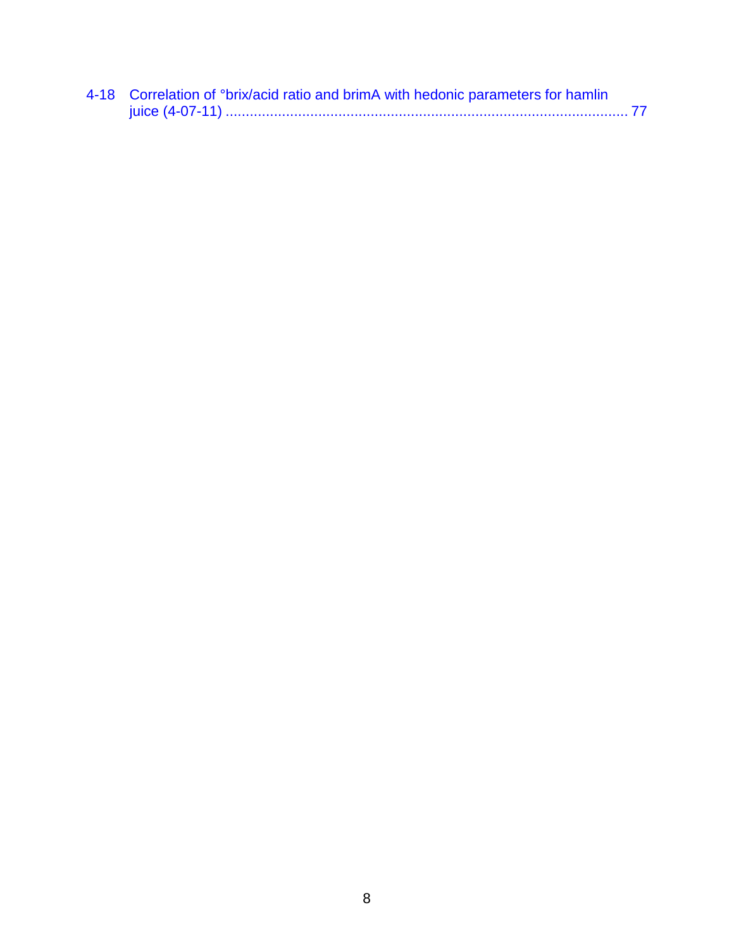| 4-18 Correlation of °brix/acid ratio and brimA with hedonic parameters for hamlin |
|-----------------------------------------------------------------------------------|
|                                                                                   |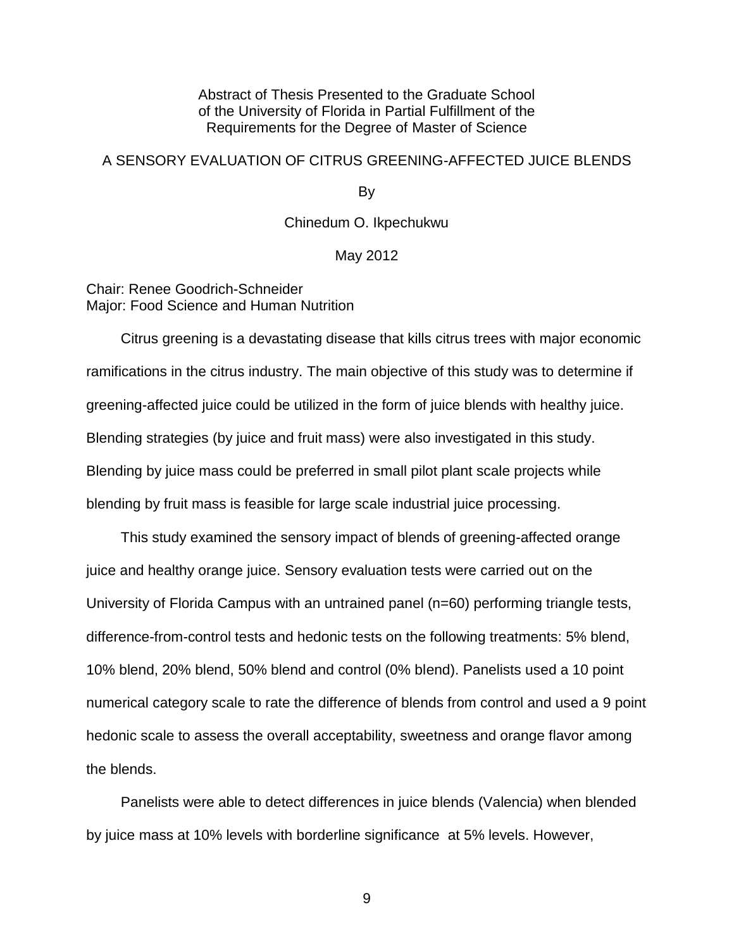Abstract of Thesis Presented to the Graduate School of the University of Florida in Partial Fulfillment of the Requirements for the Degree of Master of Science

# A SENSORY EVALUATION OF CITRUS GREENING-AFFECTED JUICE BLENDS

<span id="page-8-0"></span>By

Chinedum O. Ikpechukwu

#### May 2012

Chair: Renee Goodrich-Schneider Major: Food Science and Human Nutrition

Citrus greening is a devastating disease that kills citrus trees with major economic ramifications in the citrus industry. The main objective of this study was to determine if greening-affected juice could be utilized in the form of juice blends with healthy juice. Blending strategies (by juice and fruit mass) were also investigated in this study. Blending by juice mass could be preferred in small pilot plant scale projects while blending by fruit mass is feasible for large scale industrial juice processing.

This study examined the sensory impact of blends of greening-affected orange juice and healthy orange juice. Sensory evaluation tests were carried out on the University of Florida Campus with an untrained panel (n=60) performing triangle tests, difference-from-control tests and hedonic tests on the following treatments: 5% blend, 10% blend, 20% blend, 50% blend and control (0% blend). Panelists used a 10 point numerical category scale to rate the difference of blends from control and used a 9 point hedonic scale to assess the overall acceptability, sweetness and orange flavor among the blends.

Panelists were able to detect differences in juice blends (Valencia) when blended by juice mass at 10% levels with borderline significance at 5% levels. However,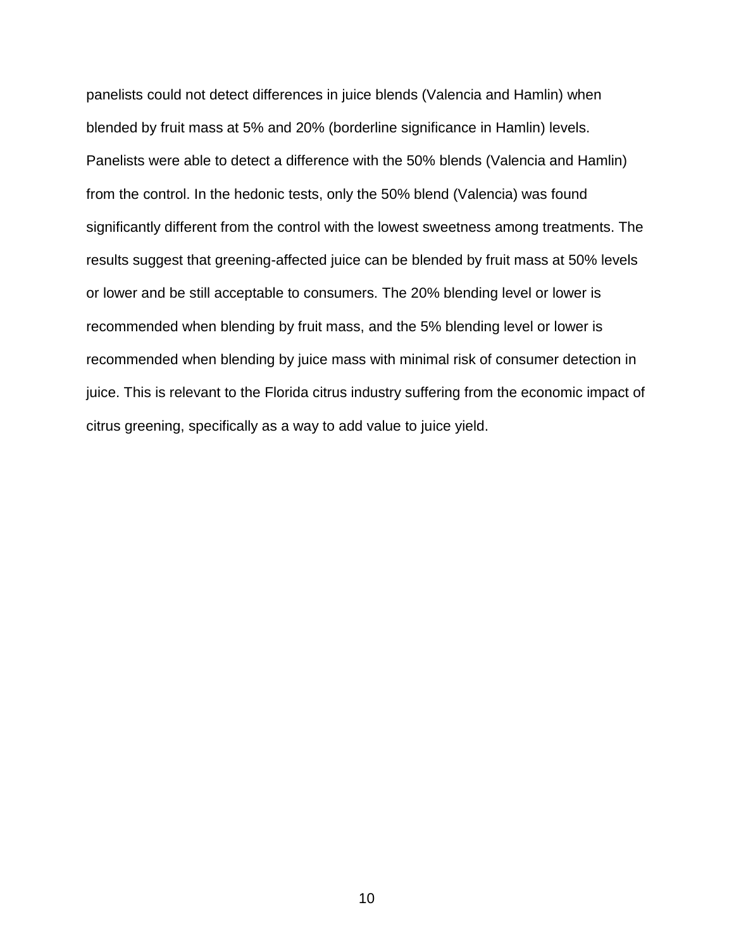panelists could not detect differences in juice blends (Valencia and Hamlin) when blended by fruit mass at 5% and 20% (borderline significance in Hamlin) levels. Panelists were able to detect a difference with the 50% blends (Valencia and Hamlin) from the control. In the hedonic tests, only the 50% blend (Valencia) was found significantly different from the control with the lowest sweetness among treatments. The results suggest that greening-affected juice can be blended by fruit mass at 50% levels or lower and be still acceptable to consumers. The 20% blending level or lower is recommended when blending by fruit mass, and the 5% blending level or lower is recommended when blending by juice mass with minimal risk of consumer detection in juice. This is relevant to the Florida citrus industry suffering from the economic impact of citrus greening, specifically as a way to add value to juice yield.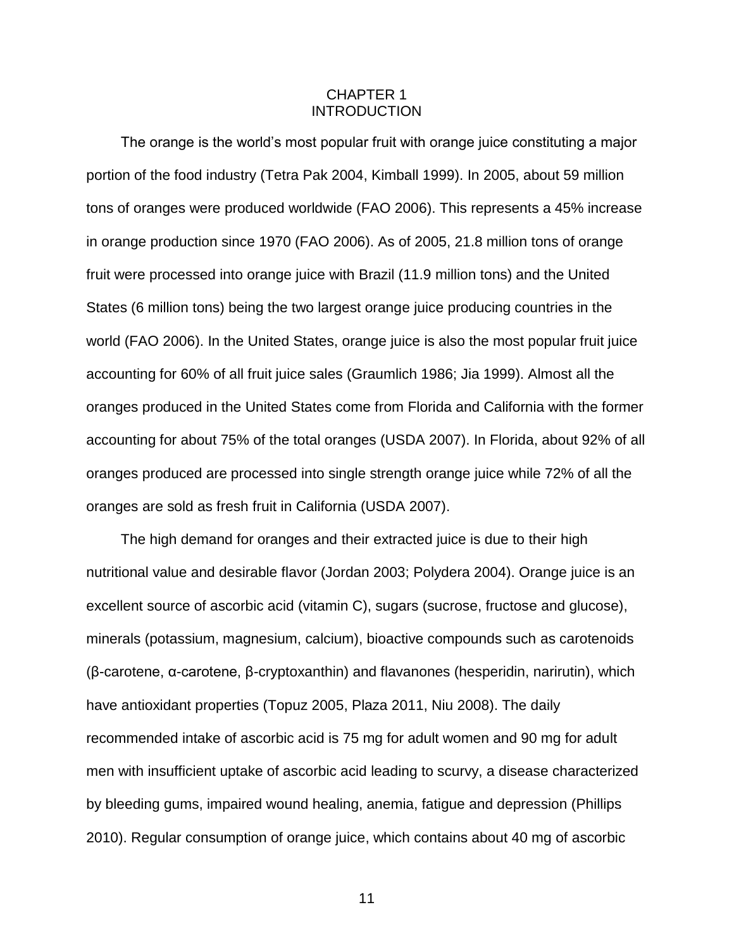## CHAPTER 1 INTRODUCTION

<span id="page-10-0"></span>The orange is the world's most popular fruit with orange juice constituting a major portion of the food industry (Tetra Pak 2004, Kimball 1999). In 2005, about 59 million tons of oranges were produced worldwide (FAO 2006). This represents a 45% increase in orange production since 1970 (FAO 2006). As of 2005, 21.8 million tons of orange fruit were processed into orange juice with Brazil (11.9 million tons) and the United States (6 million tons) being the two largest orange juice producing countries in the world (FAO 2006). In the United States, orange juice is also the most popular fruit juice accounting for 60% of all fruit juice sales (Graumlich 1986; Jia 1999). Almost all the oranges produced in the United States come from Florida and California with the former accounting for about 75% of the total oranges (USDA 2007). In Florida, about 92% of all oranges produced are processed into single strength orange juice while 72% of all the oranges are sold as fresh fruit in California (USDA 2007).

The high demand for oranges and their extracted juice is due to their high nutritional value and desirable flavor (Jordan 2003; Polydera 2004). Orange juice is an excellent source of ascorbic acid (vitamin C), sugars (sucrose, fructose and glucose), minerals (potassium, magnesium, calcium), bioactive compounds such as carotenoids (β-carotene, α-carotene, β-cryptoxanthin) and flavanones (hesperidin, narirutin), which have antioxidant properties (Topuz 2005, Plaza 2011, Niu 2008). The daily recommended intake of ascorbic acid is 75 mg for adult women and 90 mg for adult men with insufficient uptake of ascorbic acid leading to scurvy, a disease characterized by bleeding gums, impaired wound healing, anemia, fatigue and depression (Phillips 2010). Regular consumption of orange juice, which contains about 40 mg of ascorbic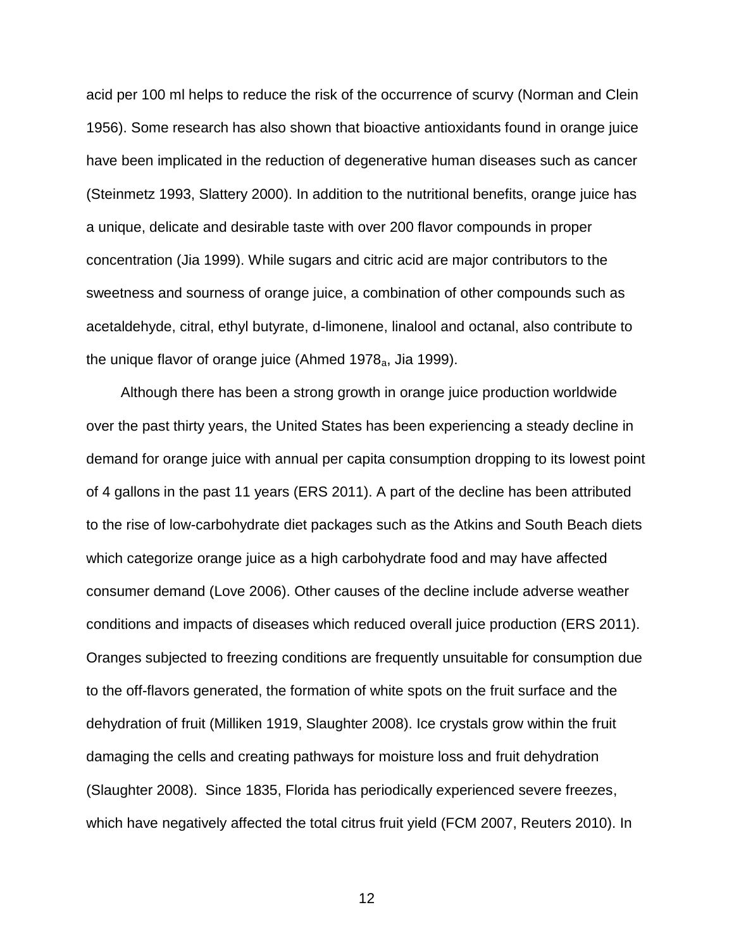acid per 100 ml helps to reduce the risk of the occurrence of scurvy (Norman and Clein 1956). Some research has also shown that bioactive antioxidants found in orange juice have been implicated in the reduction of degenerative human diseases such as cancer (Steinmetz 1993, Slattery 2000). In addition to the nutritional benefits, orange juice has a unique, delicate and desirable taste with over 200 flavor compounds in proper concentration (Jia 1999). While sugars and citric acid are major contributors to the sweetness and sourness of orange juice, a combination of other compounds such as acetaldehyde, citral, ethyl butyrate, d-limonene, linalool and octanal, also contribute to the unique flavor of orange juice (Ahmed 1978 $_{a}$ , Jia 1999).

Although there has been a strong growth in orange juice production worldwide over the past thirty years, the United States has been experiencing a steady decline in demand for orange juice with annual per capita consumption dropping to its lowest point of 4 gallons in the past 11 years (ERS 2011). A part of the decline has been attributed to the rise of low-carbohydrate diet packages such as the Atkins and South Beach diets which categorize orange juice as a high carbohydrate food and may have affected consumer demand (Love 2006). Other causes of the decline include adverse weather conditions and impacts of diseases which reduced overall juice production (ERS 2011). Oranges subjected to freezing conditions are frequently unsuitable for consumption due to the off-flavors generated, the formation of white spots on the fruit surface and the dehydration of fruit (Milliken 1919, Slaughter 2008). Ice crystals grow within the fruit damaging the cells and creating pathways for moisture loss and fruit dehydration (Slaughter 2008). Since 1835, Florida has periodically experienced severe freezes, which have negatively affected the total citrus fruit yield (FCM 2007, Reuters 2010). In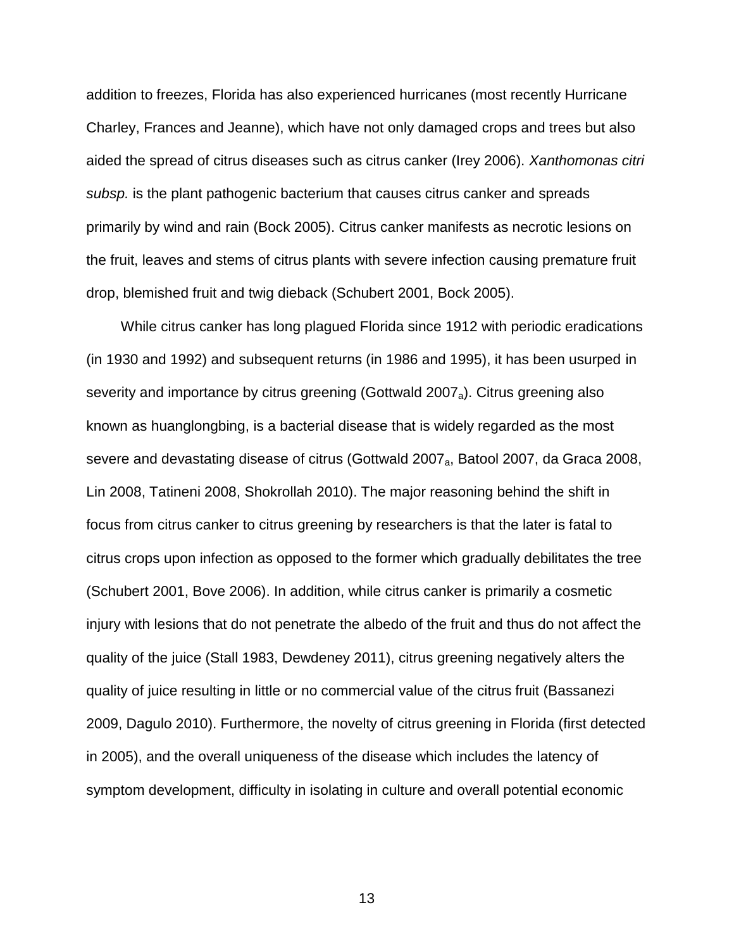addition to freezes, Florida has also experienced hurricanes (most recently Hurricane Charley, Frances and Jeanne), which have not only damaged crops and trees but also aided the spread of citrus diseases such as citrus canker (Irey 2006). *Xanthomonas citri subsp.* is the plant pathogenic bacterium that causes citrus canker and spreads primarily by wind and rain (Bock 2005). Citrus canker manifests as necrotic lesions on the fruit, leaves and stems of citrus plants with severe infection causing premature fruit drop, blemished fruit and twig dieback (Schubert 2001, Bock 2005).

While citrus canker has long plagued Florida since 1912 with periodic eradications (in 1930 and 1992) and subsequent returns (in 1986 and 1995), it has been usurped in severity and importance by citrus greening (Gottwald 2007<sub>a</sub>). Citrus greening also known as huanglongbing, is a bacterial disease that is widely regarded as the most severe and devastating disease of citrus (Gottwald 2007<sub>a</sub>, Batool 2007, da Graca 2008, Lin 2008, Tatineni 2008, Shokrollah 2010). The major reasoning behind the shift in focus from citrus canker to citrus greening by researchers is that the later is fatal to citrus crops upon infection as opposed to the former which gradually debilitates the tree (Schubert 2001, Bove 2006). In addition, while citrus canker is primarily a cosmetic injury with lesions that do not penetrate the albedo of the fruit and thus do not affect the quality of the juice (Stall 1983, Dewdeney 2011), citrus greening negatively alters the quality of juice resulting in little or no commercial value of the citrus fruit (Bassanezi 2009, Dagulo 2010). Furthermore, the novelty of citrus greening in Florida (first detected in 2005), and the overall uniqueness of the disease which includes the latency of symptom development, difficulty in isolating in culture and overall potential economic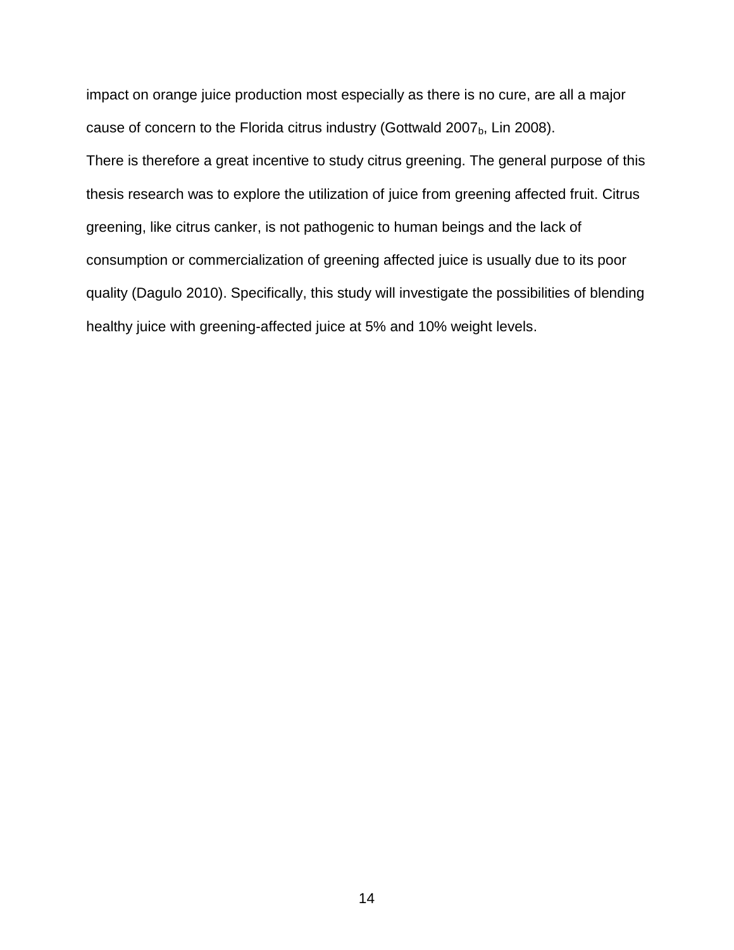impact on orange juice production most especially as there is no cure, are all a major cause of concern to the Florida citrus industry (Gottwald 2007 $_b$ , Lin 2008).

There is therefore a great incentive to study citrus greening. The general purpose of this thesis research was to explore the utilization of juice from greening affected fruit. Citrus greening, like citrus canker, is not pathogenic to human beings and the lack of consumption or commercialization of greening affected juice is usually due to its poor quality (Dagulo 2010). Specifically, this study will investigate the possibilities of blending healthy juice with greening-affected juice at 5% and 10% weight levels.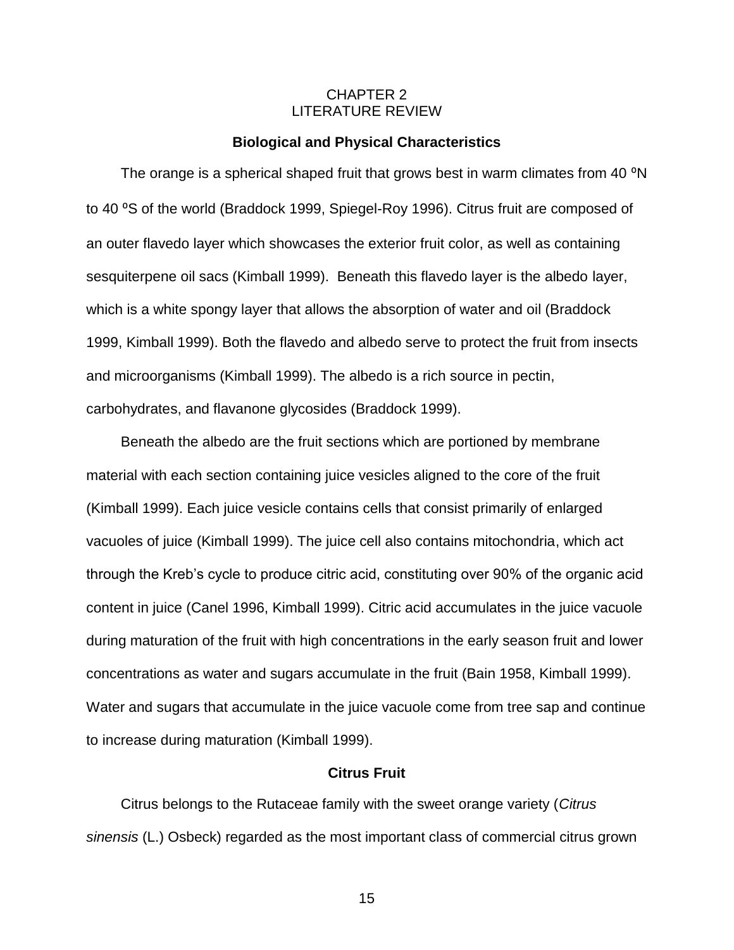## CHAPTER 2 LITERATURE REVIEW

#### **Biological and Physical Characteristics**

<span id="page-14-1"></span><span id="page-14-0"></span>The orange is a spherical shaped fruit that grows best in warm climates from 40 °N to 40 °S of the world (Braddock 1999, Spiegel-Roy 1996). Citrus fruit are composed of an outer flavedo layer which showcases the exterior fruit color, as well as containing sesquiterpene oil sacs (Kimball 1999). Beneath this flavedo layer is the albedo layer, which is a white spongy layer that allows the absorption of water and oil (Braddock 1999, Kimball 1999). Both the flavedo and albedo serve to protect the fruit from insects and microorganisms (Kimball 1999). The albedo is a rich source in pectin, carbohydrates, and flavanone glycosides (Braddock 1999).

Beneath the albedo are the fruit sections which are portioned by membrane material with each section containing juice vesicles aligned to the core of the fruit (Kimball 1999). Each juice vesicle contains cells that consist primarily of enlarged vacuoles of juice (Kimball 1999). The juice cell also contains mitochondria, which act through the Kreb's cycle to produce citric acid, constituting over 90% of the organic acid content in juice (Canel 1996, Kimball 1999). Citric acid accumulates in the juice vacuole during maturation of the fruit with high concentrations in the early season fruit and lower concentrations as water and sugars accumulate in the fruit (Bain 1958, Kimball 1999). Water and sugars that accumulate in the juice vacuole come from tree sap and continue to increase during maturation (Kimball 1999).

#### **Citrus Fruit**

<span id="page-14-2"></span>Citrus belongs to the Rutaceae family with the sweet orange variety (*Citrus sinensis* (L.) Osbeck) regarded as the most important class of commercial citrus grown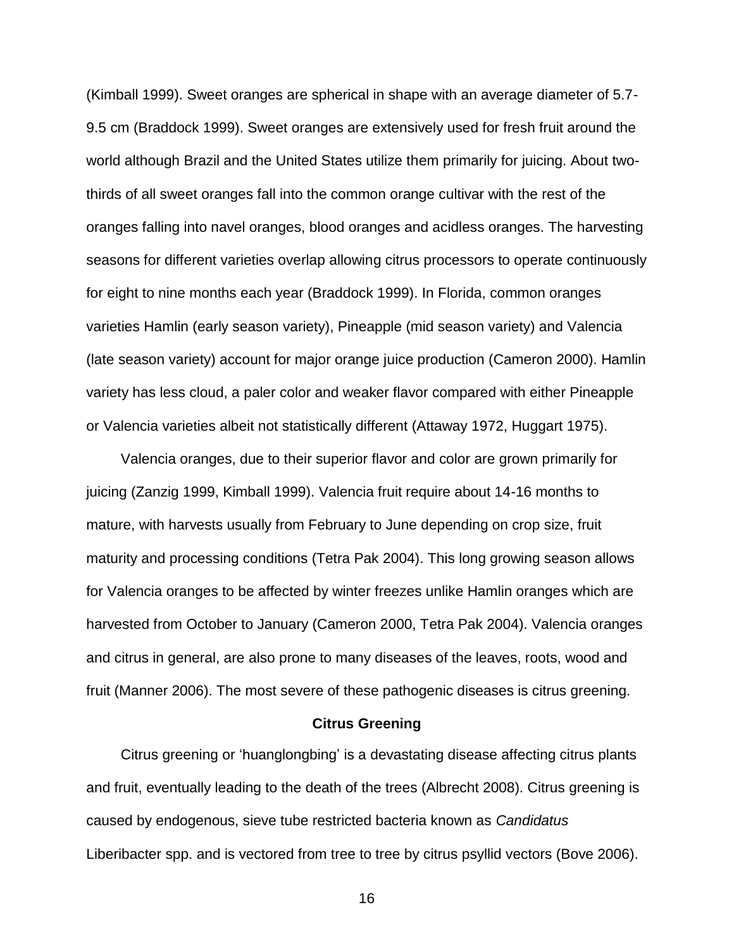(Kimball 1999). Sweet oranges are spherical in shape with an average diameter of 5.7- 9.5 cm (Braddock 1999). Sweet oranges are extensively used for fresh fruit around the world although Brazil and the United States utilize them primarily for juicing. About twothirds of all sweet oranges fall into the common orange cultivar with the rest of the oranges falling into navel oranges, blood oranges and acidless oranges. The harvesting seasons for different varieties overlap allowing citrus processors to operate continuously for eight to nine months each year (Braddock 1999). In Florida, common oranges varieties Hamlin (early season variety), Pineapple (mid season variety) and Valencia (late season variety) account for major orange juice production (Cameron 2000). Hamlin variety has less cloud, a paler color and weaker flavor compared with either Pineapple or Valencia varieties albeit not statistically different (Attaway 1972, Huggart 1975).

Valencia oranges, due to their superior flavor and color are grown primarily for juicing (Zanzig 1999, Kimball 1999). Valencia fruit require about 14-16 months to mature, with harvests usually from February to June depending on crop size, fruit maturity and processing conditions (Tetra Pak 2004). This long growing season allows for Valencia oranges to be affected by winter freezes unlike Hamlin oranges which are harvested from October to January (Cameron 2000, Tetra Pak 2004). Valencia oranges and citrus in general, are also prone to many diseases of the leaves, roots, wood and fruit (Manner 2006). The most severe of these pathogenic diseases is citrus greening.

#### **Citrus Greening**

<span id="page-15-0"></span>Citrus greening or 'huanglongbing' is a devastating disease affecting citrus plants and fruit, eventually leading to the death of the trees (Albrecht 2008). Citrus greening is caused by endogenous, sieve tube restricted bacteria known as *Candidatus* Liberibacter spp. and is vectored from tree to tree by citrus psyllid vectors (Bove 2006).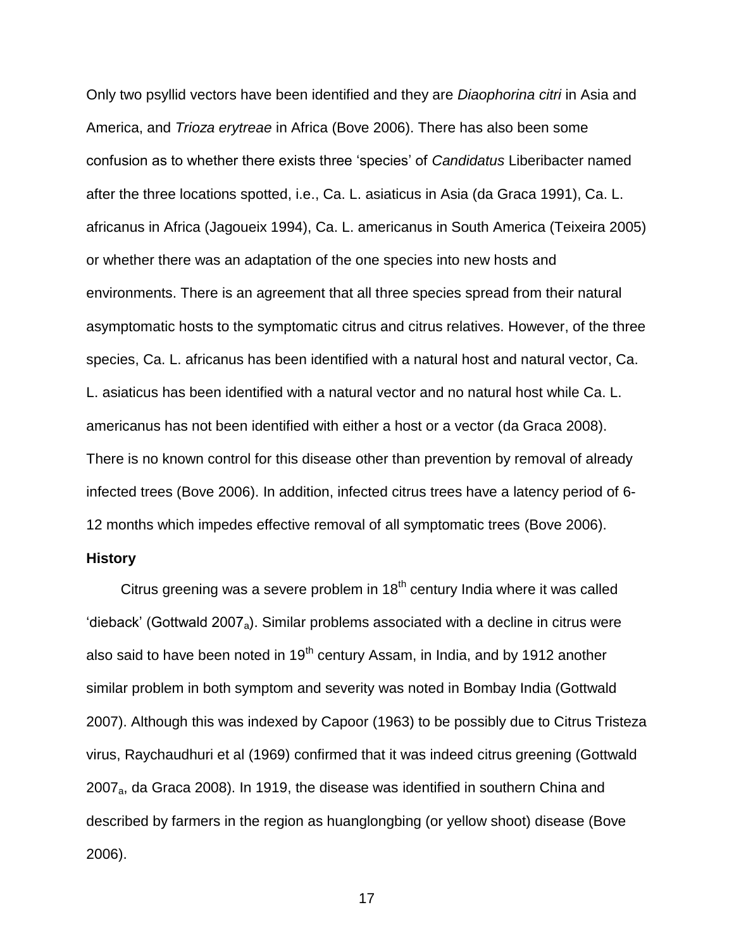Only two psyllid vectors have been identified and they are *Diaophorina citri* in Asia and America, and *Trioza erytreae* in Africa (Bove 2006). There has also been some confusion as to whether there exists three 'species' of *Candidatus* Liberibacter named after the three locations spotted, i.e., Ca. L. asiaticus in Asia (da Graca 1991), Ca. L. africanus in Africa (Jagoueix 1994), Ca. L. americanus in South America (Teixeira 2005) or whether there was an adaptation of the one species into new hosts and environments. There is an agreement that all three species spread from their natural asymptomatic hosts to the symptomatic citrus and citrus relatives. However, of the three species, Ca. L. africanus has been identified with a natural host and natural vector, Ca. L. asiaticus has been identified with a natural vector and no natural host while Ca. L. americanus has not been identified with either a host or a vector (da Graca 2008). There is no known control for this disease other than prevention by removal of already infected trees (Bove 2006). In addition, infected citrus trees have a latency period of 6- 12 months which impedes effective removal of all symptomatic trees (Bove 2006).

#### <span id="page-16-0"></span>**History**

Citrus greening was a severe problem in  $18<sup>th</sup>$  century India where it was called 'dieback' (Gottwald 2007<sub>a</sub>). Similar problems associated with a decline in citrus were also said to have been noted in  $19<sup>th</sup>$  century Assam, in India, and by 1912 another similar problem in both symptom and severity was noted in Bombay India (Gottwald 2007). Although this was indexed by Capoor (1963) to be possibly due to Citrus Tristeza virus, Raychaudhuri et al (1969) confirmed that it was indeed citrus greening (Gottwald 2007a, da Graca 2008). In 1919, the disease was identified in southern China and described by farmers in the region as huanglongbing (or yellow shoot) disease (Bove 2006).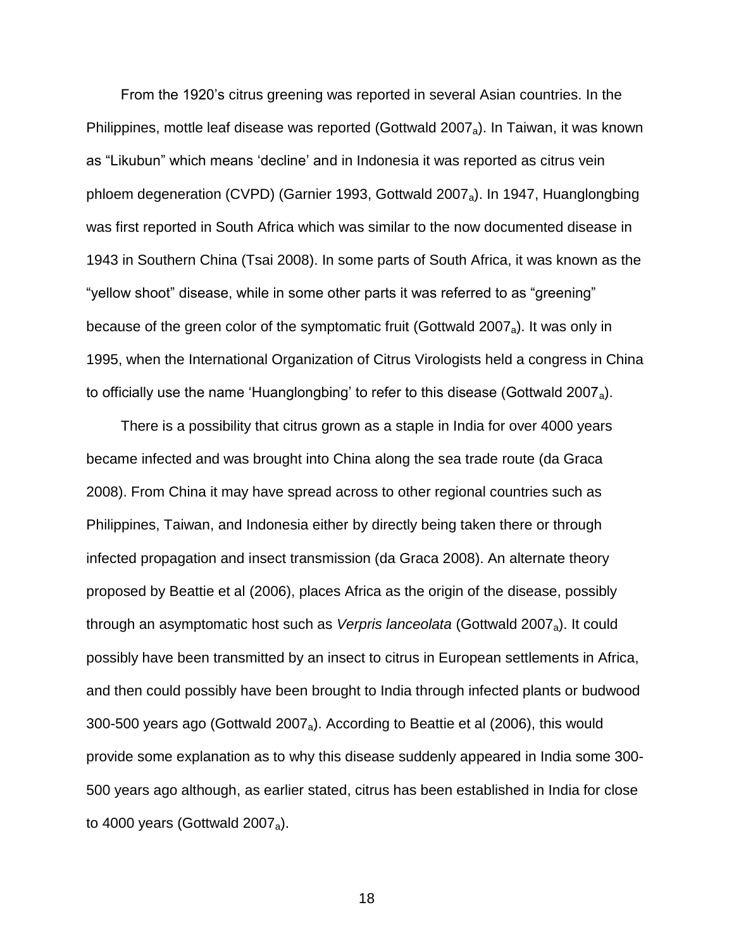From the 1920's citrus greening was reported in several Asian countries. In the Philippines, mottle leaf disease was reported (Gottwald 2007<sub>a</sub>). In Taiwan, it was known as "Likubun" which means 'decline' and in Indonesia it was reported as citrus vein phloem degeneration (CVPD) (Garnier 1993, Gottwald 2007a). In 1947, Huanglongbing was first reported in South Africa which was similar to the now documented disease in 1943 in Southern China (Tsai 2008). In some parts of South Africa, it was known as the "yellow shoot" disease, while in some other parts it was referred to as "greening" because of the green color of the symptomatic fruit (Gottwald 2007<sub>a</sub>). It was only in 1995, when the International Organization of Citrus Virologists held a congress in China to officially use the name 'Huanglongbing' to refer to this disease (Gottwald 2007<sub>a</sub>).

There is a possibility that citrus grown as a staple in India for over 4000 years became infected and was brought into China along the sea trade route (da Graca 2008). From China it may have spread across to other regional countries such as Philippines, Taiwan, and Indonesia either by directly being taken there or through infected propagation and insect transmission (da Graca 2008). An alternate theory proposed by Beattie et al (2006), places Africa as the origin of the disease, possibly through an asymptomatic host such as *Verpris lanceolata* (Gottwald 2007a). It could possibly have been transmitted by an insect to citrus in European settlements in Africa, and then could possibly have been brought to India through infected plants or budwood 300-500 years ago (Gottwald 2007<sub>a</sub>). According to Beattie et al (2006), this would provide some explanation as to why this disease suddenly appeared in India some 300- 500 years ago although, as earlier stated, citrus has been established in India for close to 4000 years (Gottwald 2007<sub>a</sub>).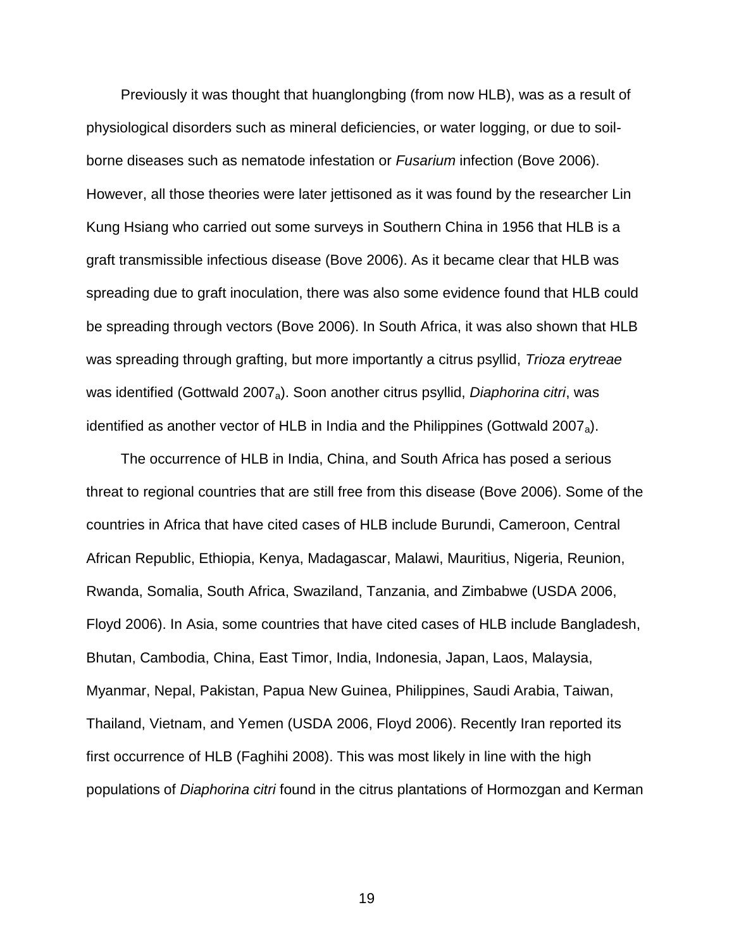Previously it was thought that huanglongbing (from now HLB), was as a result of physiological disorders such as mineral deficiencies, or water logging, or due to soilborne diseases such as nematode infestation or *Fusarium* infection (Bove 2006). However, all those theories were later jettisoned as it was found by the researcher Lin Kung Hsiang who carried out some surveys in Southern China in 1956 that HLB is a graft transmissible infectious disease (Bove 2006). As it became clear that HLB was spreading due to graft inoculation, there was also some evidence found that HLB could be spreading through vectors (Bove 2006). In South Africa, it was also shown that HLB was spreading through grafting, but more importantly a citrus psyllid, *Trioza erytreae* was identified (Gottwald 2007a). Soon another citrus psyllid, *Diaphorina citri*, was identified as another vector of HLB in India and the Philippines (Gottwald 2007<sub>a</sub>).

The occurrence of HLB in India, China, and South Africa has posed a serious threat to regional countries that are still free from this disease (Bove 2006). Some of the countries in Africa that have cited cases of HLB include Burundi, Cameroon, Central African Republic, Ethiopia, Kenya, Madagascar, Malawi, Mauritius, Nigeria, Reunion, Rwanda, Somalia, South Africa, Swaziland, Tanzania, and Zimbabwe (USDA 2006, Floyd 2006). In Asia, some countries that have cited cases of HLB include Bangladesh, Bhutan, Cambodia, China, East Timor, India, Indonesia, Japan, Laos, Malaysia, Myanmar, Nepal, Pakistan, Papua New Guinea, Philippines, Saudi Arabia, Taiwan, Thailand, Vietnam, and Yemen (USDA 2006, Floyd 2006). Recently Iran reported its first occurrence of HLB (Faghihi 2008). This was most likely in line with the high populations of *Diaphorina citri* found in the citrus plantations of Hormozgan and Kerman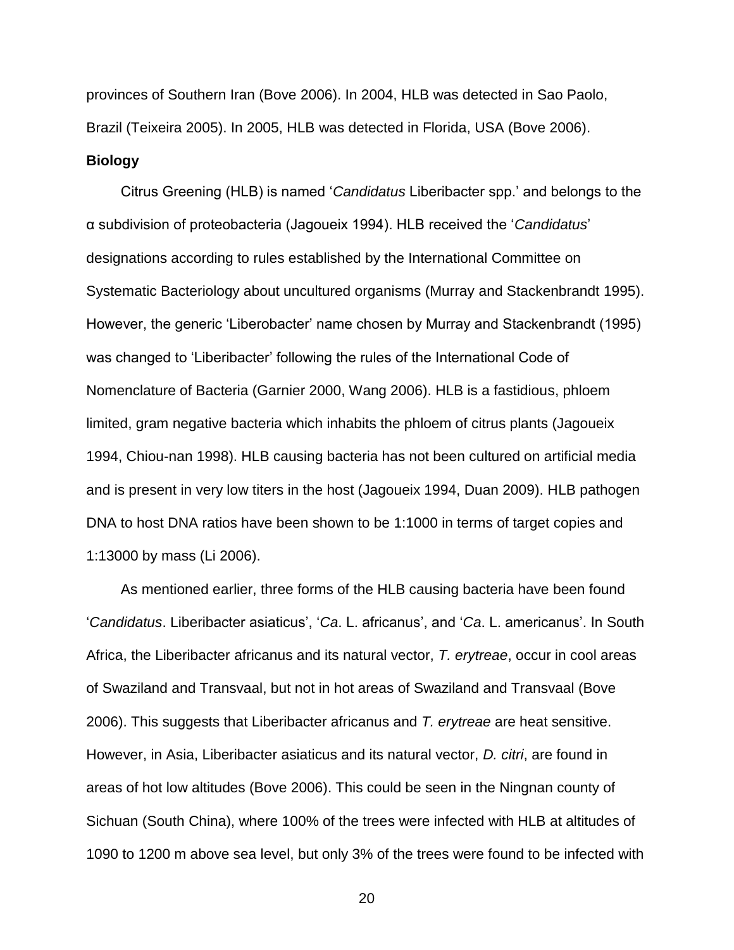provinces of Southern Iran (Bove 2006). In 2004, HLB was detected in Sao Paolo, Brazil (Teixeira 2005). In 2005, HLB was detected in Florida, USA (Bove 2006). **Biology**

<span id="page-19-0"></span>Citrus Greening (HLB) is named '*Candidatus* Liberibacter spp.' and belongs to the α subdivision of proteobacteria (Jagoueix 1994). HLB received the '*Candidatus*' designations according to rules established by the International Committee on Systematic Bacteriology about uncultured organisms (Murray and Stackenbrandt 1995). However, the generic 'Liberobacter' name chosen by Murray and Stackenbrandt (1995) was changed to 'Liberibacter' following the rules of the International Code of Nomenclature of Bacteria (Garnier 2000, Wang 2006). HLB is a fastidious, phloem limited, gram negative bacteria which inhabits the phloem of citrus plants (Jagoueix 1994, Chiou-nan 1998). HLB causing bacteria has not been cultured on artificial media and is present in very low titers in the host (Jagoueix 1994, Duan 2009). HLB pathogen DNA to host DNA ratios have been shown to be 1:1000 in terms of target copies and 1:13000 by mass (Li 2006).

As mentioned earlier, three forms of the HLB causing bacteria have been found '*Candidatus*. Liberibacter asiaticus', '*Ca*. L. africanus', and '*Ca*. L. americanus'. In South Africa, the Liberibacter africanus and its natural vector, *T. erytreae*, occur in cool areas of Swaziland and Transvaal, but not in hot areas of Swaziland and Transvaal (Bove 2006). This suggests that Liberibacter africanus and *T. erytreae* are heat sensitive. However, in Asia, Liberibacter asiaticus and its natural vector, *D. citri*, are found in areas of hot low altitudes (Bove 2006). This could be seen in the Ningnan county of Sichuan (South China), where 100% of the trees were infected with HLB at altitudes of 1090 to 1200 m above sea level, but only 3% of the trees were found to be infected with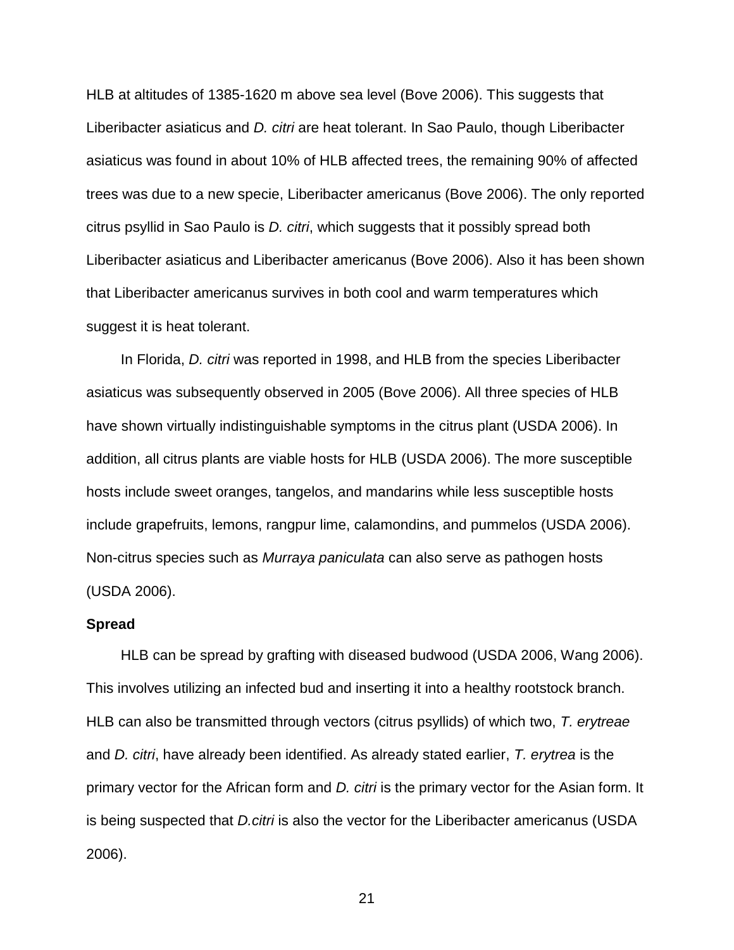HLB at altitudes of 1385-1620 m above sea level (Bove 2006). This suggests that Liberibacter asiaticus and *D. citri* are heat tolerant. In Sao Paulo, though Liberibacter asiaticus was found in about 10% of HLB affected trees, the remaining 90% of affected trees was due to a new specie, Liberibacter americanus (Bove 2006). The only reported citrus psyllid in Sao Paulo is *D. citri*, which suggests that it possibly spread both Liberibacter asiaticus and Liberibacter americanus (Bove 2006). Also it has been shown that Liberibacter americanus survives in both cool and warm temperatures which suggest it is heat tolerant.

In Florida, *D. citri* was reported in 1998, and HLB from the species Liberibacter asiaticus was subsequently observed in 2005 (Bove 2006). All three species of HLB have shown virtually indistinguishable symptoms in the citrus plant (USDA 2006). In addition, all citrus plants are viable hosts for HLB (USDA 2006). The more susceptible hosts include sweet oranges, tangelos, and mandarins while less susceptible hosts include grapefruits, lemons, rangpur lime, calamondins, and pummelos (USDA 2006). Non-citrus species such as *Murraya paniculata* can also serve as pathogen hosts (USDA 2006).

#### <span id="page-20-0"></span>**Spread**

HLB can be spread by grafting with diseased budwood (USDA 2006, Wang 2006). This involves utilizing an infected bud and inserting it into a healthy rootstock branch. HLB can also be transmitted through vectors (citrus psyllids) of which two, *T. erytreae* and *D. citri*, have already been identified. As already stated earlier, *T. erytrea* is the primary vector for the African form and *D. citri* is the primary vector for the Asian form. It is being suspected that *D.citri* is also the vector for the Liberibacter americanus (USDA 2006).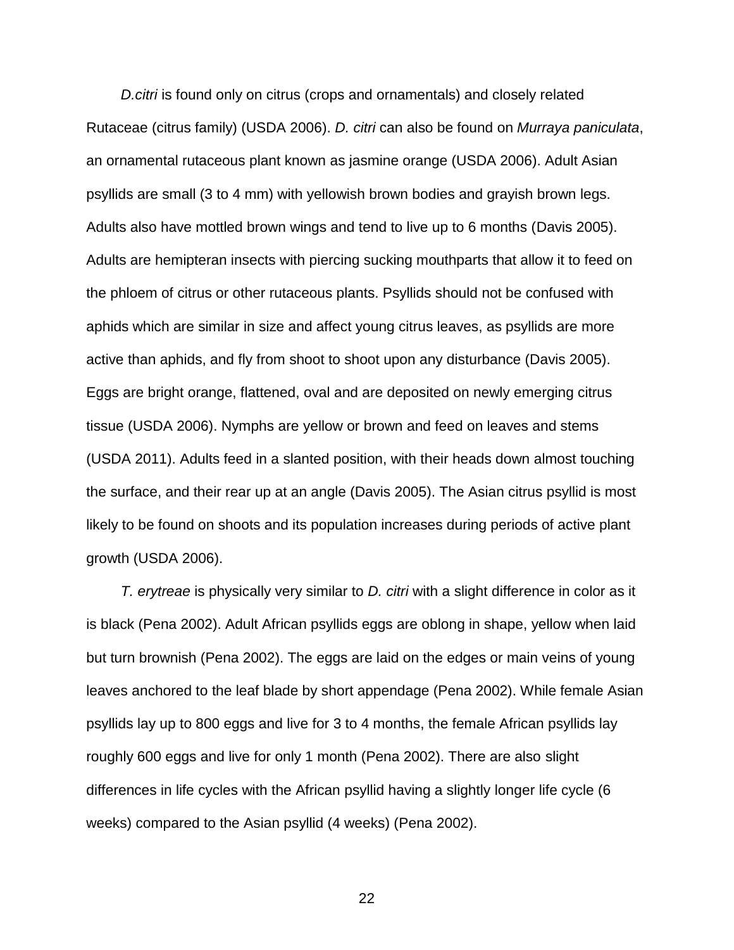*D.citri* is found only on citrus (crops and ornamentals) and closely related Rutaceae (citrus family) (USDA 2006). *D. citri* can also be found on *Murraya paniculata*, an ornamental rutaceous plant known as jasmine orange (USDA 2006). Adult Asian psyllids are small (3 to 4 mm) with yellowish brown bodies and grayish brown legs. Adults also have mottled brown wings and tend to live up to 6 months (Davis 2005). Adults are hemipteran insects with piercing sucking mouthparts that allow it to feed on the phloem of citrus or other rutaceous plants. Psyllids should not be confused with aphids which are similar in size and affect young citrus leaves, as psyllids are more active than aphids, and fly from shoot to shoot upon any disturbance (Davis 2005). Eggs are bright orange, flattened, oval and are deposited on newly emerging citrus tissue (USDA 2006). Nymphs are yellow or brown and feed on leaves and stems (USDA 2011). Adults feed in a slanted position, with their heads down almost touching the surface, and their rear up at an angle (Davis 2005). The Asian citrus psyllid is most likely to be found on shoots and its population increases during periods of active plant growth (USDA 2006).

*T. erytreae* is physically very similar to *D. citri* with a slight difference in color as it is black (Pena 2002). Adult African psyllids eggs are oblong in shape, yellow when laid but turn brownish (Pena 2002). The eggs are laid on the edges or main veins of young leaves anchored to the leaf blade by short appendage (Pena 2002). While female Asian psyllids lay up to 800 eggs and live for 3 to 4 months, the female African psyllids lay roughly 600 eggs and live for only 1 month (Pena 2002). There are also slight differences in life cycles with the African psyllid having a slightly longer life cycle (6 weeks) compared to the Asian psyllid (4 weeks) (Pena 2002).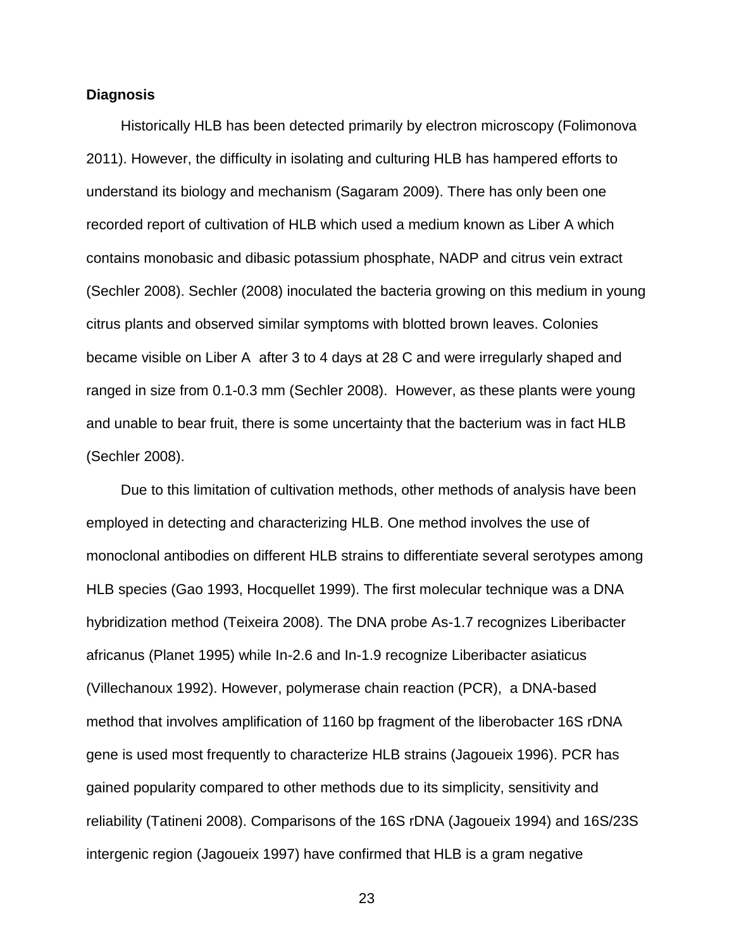## <span id="page-22-0"></span>**Diagnosis**

Historically HLB has been detected primarily by electron microscopy (Folimonova 2011). However, the difficulty in isolating and culturing HLB has hampered efforts to understand its biology and mechanism (Sagaram 2009). There has only been one recorded report of cultivation of HLB which used a medium known as Liber A which contains monobasic and dibasic potassium phosphate, NADP and citrus vein extract (Sechler 2008). Sechler (2008) inoculated the bacteria growing on this medium in young citrus plants and observed similar symptoms with blotted brown leaves. Colonies became visible on Liber A after 3 to 4 days at 28 C and were irregularly shaped and ranged in size from 0.1-0.3 mm (Sechler 2008). However, as these plants were young and unable to bear fruit, there is some uncertainty that the bacterium was in fact HLB (Sechler 2008).

Due to this limitation of cultivation methods, other methods of analysis have been employed in detecting and characterizing HLB. One method involves the use of monoclonal antibodies on different HLB strains to differentiate several serotypes among HLB species (Gao 1993, Hocquellet 1999). The first molecular technique was a DNA hybridization method (Teixeira 2008). The DNA probe As-1.7 recognizes Liberibacter africanus (Planet 1995) while In-2.6 and In-1.9 recognize Liberibacter asiaticus (Villechanoux 1992). However, polymerase chain reaction (PCR), a DNA-based method that involves amplification of 1160 bp fragment of the liberobacter 16S rDNA gene is used most frequently to characterize HLB strains (Jagoueix 1996). PCR has gained popularity compared to other methods due to its simplicity, sensitivity and reliability (Tatineni 2008). Comparisons of the 16S rDNA (Jagoueix 1994) and 16S/23S intergenic region (Jagoueix 1997) have confirmed that HLB is a gram negative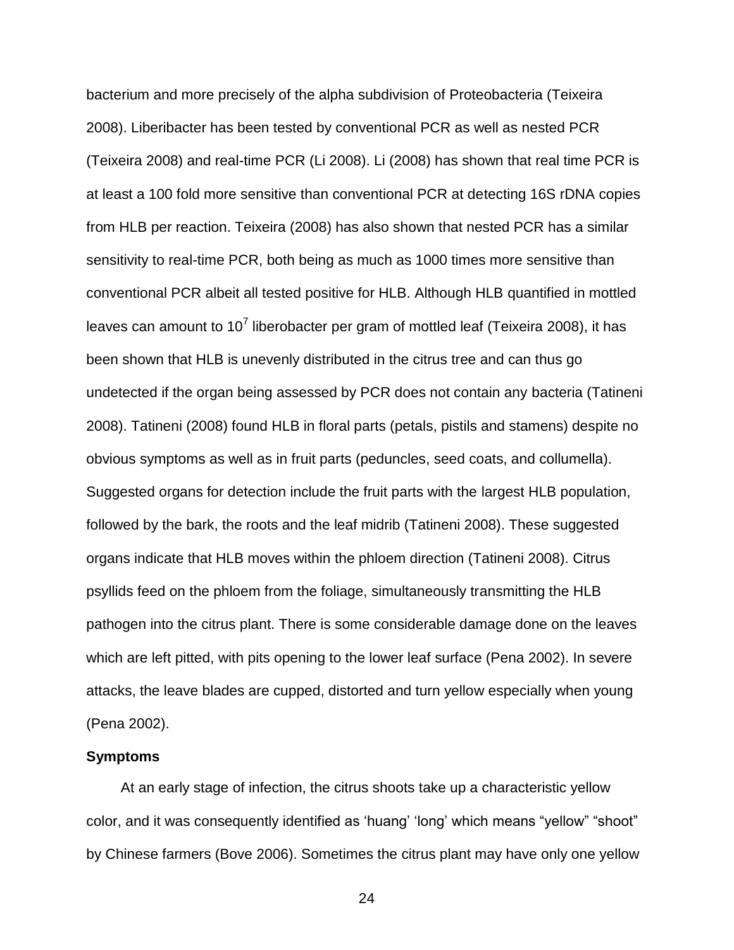bacterium and more precisely of the alpha subdivision of Proteobacteria (Teixeira 2008). Liberibacter has been tested by conventional PCR as well as nested PCR (Teixeira 2008) and real-time PCR (Li 2008). Li (2008) has shown that real time PCR is at least a 100 fold more sensitive than conventional PCR at detecting 16S rDNA copies from HLB per reaction. Teixeira (2008) has also shown that nested PCR has a similar sensitivity to real-time PCR, both being as much as 1000 times more sensitive than conventional PCR albeit all tested positive for HLB. Although HLB quantified in mottled leaves can amount to 10<sup>7</sup> liberobacter per gram of mottled leaf (Teixeira 2008), it has been shown that HLB is unevenly distributed in the citrus tree and can thus go undetected if the organ being assessed by PCR does not contain any bacteria (Tatineni 2008). Tatineni (2008) found HLB in floral parts (petals, pistils and stamens) despite no obvious symptoms as well as in fruit parts (peduncles, seed coats, and collumella). Suggested organs for detection include the fruit parts with the largest HLB population, followed by the bark, the roots and the leaf midrib (Tatineni 2008). These suggested organs indicate that HLB moves within the phloem direction (Tatineni 2008). Citrus psyllids feed on the phloem from the foliage, simultaneously transmitting the HLB pathogen into the citrus plant. There is some considerable damage done on the leaves which are left pitted, with pits opening to the lower leaf surface (Pena 2002). In severe attacks, the leave blades are cupped, distorted and turn yellow especially when young (Pena 2002).

#### <span id="page-23-0"></span>**Symptoms**

At an early stage of infection, the citrus shoots take up a characteristic yellow color, and it was consequently identified as 'huang' 'long' which means "yellow" "shoot" by Chinese farmers (Bove 2006). Sometimes the citrus plant may have only one yellow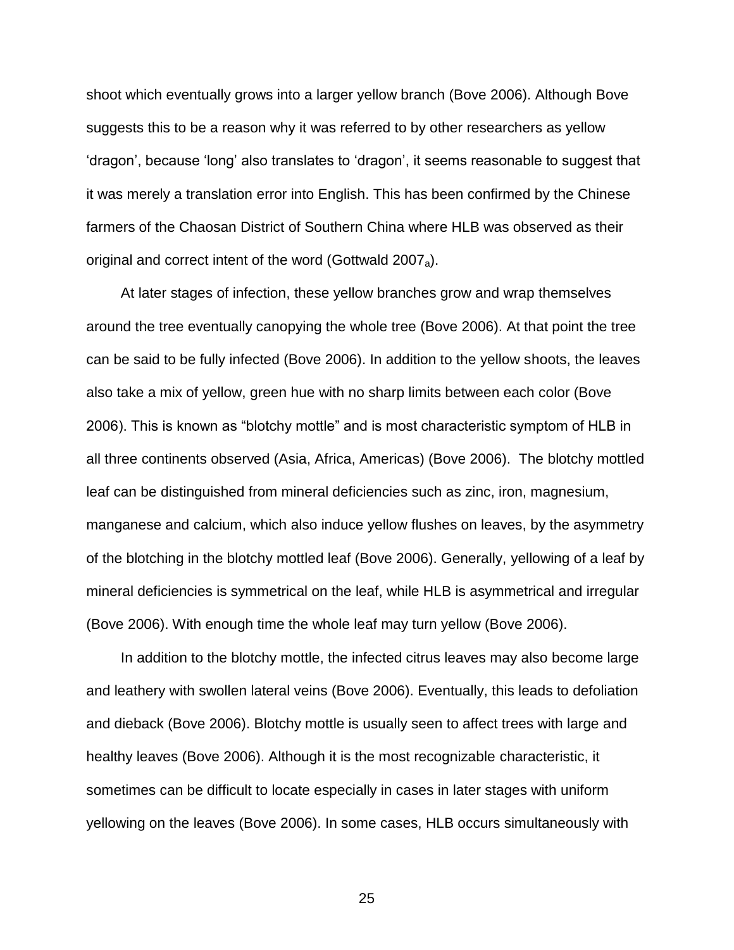shoot which eventually grows into a larger yellow branch (Bove 2006). Although Bove suggests this to be a reason why it was referred to by other researchers as yellow 'dragon', because 'long' also translates to 'dragon', it seems reasonable to suggest that it was merely a translation error into English. This has been confirmed by the Chinese farmers of the Chaosan District of Southern China where HLB was observed as their original and correct intent of the word (Gottwald 2007<sub>a</sub>).

At later stages of infection, these yellow branches grow and wrap themselves around the tree eventually canopying the whole tree (Bove 2006). At that point the tree can be said to be fully infected (Bove 2006). In addition to the yellow shoots, the leaves also take a mix of yellow, green hue with no sharp limits between each color (Bove 2006). This is known as "blotchy mottle" and is most characteristic symptom of HLB in all three continents observed (Asia, Africa, Americas) (Bove 2006). The blotchy mottled leaf can be distinguished from mineral deficiencies such as zinc, iron, magnesium, manganese and calcium, which also induce yellow flushes on leaves, by the asymmetry of the blotching in the blotchy mottled leaf (Bove 2006). Generally, yellowing of a leaf by mineral deficiencies is symmetrical on the leaf, while HLB is asymmetrical and irregular (Bove 2006). With enough time the whole leaf may turn yellow (Bove 2006).

In addition to the blotchy mottle, the infected citrus leaves may also become large and leathery with swollen lateral veins (Bove 2006). Eventually, this leads to defoliation and dieback (Bove 2006). Blotchy mottle is usually seen to affect trees with large and healthy leaves (Bove 2006). Although it is the most recognizable characteristic, it sometimes can be difficult to locate especially in cases in later stages with uniform yellowing on the leaves (Bove 2006). In some cases, HLB occurs simultaneously with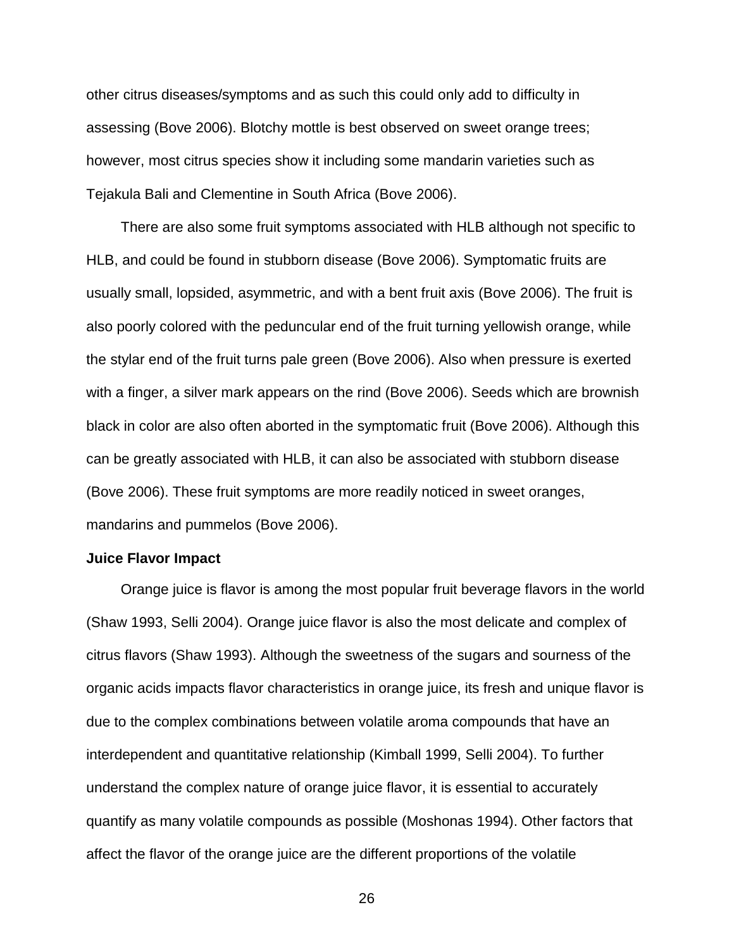other citrus diseases/symptoms and as such this could only add to difficulty in assessing (Bove 2006). Blotchy mottle is best observed on sweet orange trees; however, most citrus species show it including some mandarin varieties such as Tejakula Bali and Clementine in South Africa (Bove 2006).

There are also some fruit symptoms associated with HLB although not specific to HLB, and could be found in stubborn disease (Bove 2006). Symptomatic fruits are usually small, lopsided, asymmetric, and with a bent fruit axis (Bove 2006). The fruit is also poorly colored with the peduncular end of the fruit turning yellowish orange, while the stylar end of the fruit turns pale green (Bove 2006). Also when pressure is exerted with a finger, a silver mark appears on the rind (Bove 2006). Seeds which are brownish black in color are also often aborted in the symptomatic fruit (Bove 2006). Although this can be greatly associated with HLB, it can also be associated with stubborn disease (Bove 2006). These fruit symptoms are more readily noticed in sweet oranges, mandarins and pummelos (Bove 2006).

#### <span id="page-25-0"></span>**Juice Flavor Impact**

Orange juice is flavor is among the most popular fruit beverage flavors in the world (Shaw 1993, Selli 2004). Orange juice flavor is also the most delicate and complex of citrus flavors (Shaw 1993). Although the sweetness of the sugars and sourness of the organic acids impacts flavor characteristics in orange juice, its fresh and unique flavor is due to the complex combinations between volatile aroma compounds that have an interdependent and quantitative relationship (Kimball 1999, Selli 2004). To further understand the complex nature of orange juice flavor, it is essential to accurately quantify as many volatile compounds as possible (Moshonas 1994). Other factors that affect the flavor of the orange juice are the different proportions of the volatile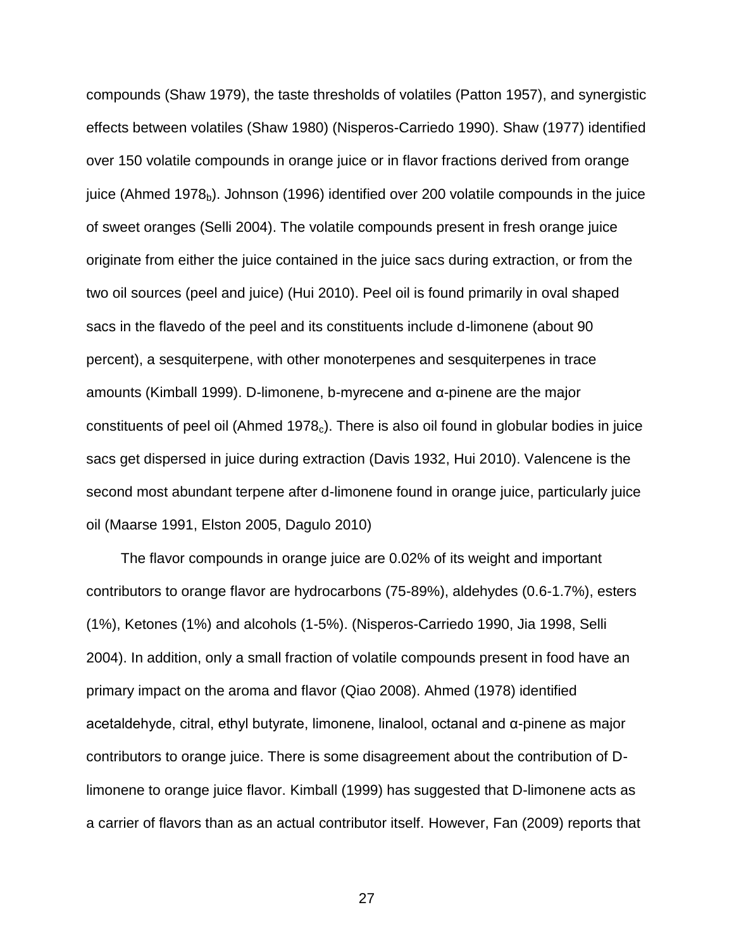compounds (Shaw 1979), the taste thresholds of volatiles (Patton 1957), and synergistic effects between volatiles (Shaw 1980) (Nisperos-Carriedo 1990). Shaw (1977) identified over 150 volatile compounds in orange juice or in flavor fractions derived from orange juice (Ahmed 1978 $_b$ ). Johnson (1996) identified over 200 volatile compounds in the juice of sweet oranges (Selli 2004). The volatile compounds present in fresh orange juice originate from either the juice contained in the juice sacs during extraction, or from the two oil sources (peel and juice) (Hui 2010). Peel oil is found primarily in oval shaped sacs in the flavedo of the peel and its constituents include d-limonene (about 90 percent), a sesquiterpene, with other monoterpenes and sesquiterpenes in trace amounts (Kimball 1999). D-limonene, b-myrecene and α-pinene are the major constituents of peel oil (Ahmed 1978 $<sub>c</sub>$ ). There is also oil found in globular bodies in juice</sub> sacs get dispersed in juice during extraction (Davis 1932, Hui 2010). Valencene is the second most abundant terpene after d-limonene found in orange juice, particularly juice oil (Maarse 1991, Elston 2005, Dagulo 2010)

The flavor compounds in orange juice are 0.02% of its weight and important contributors to orange flavor are hydrocarbons (75-89%), aldehydes (0.6-1.7%), esters (1%), Ketones (1%) and alcohols (1-5%). (Nisperos-Carriedo 1990, Jia 1998, Selli 2004). In addition, only a small fraction of volatile compounds present in food have an primary impact on the aroma and flavor (Qiao 2008). Ahmed (1978) identified acetaldehyde, citral, ethyl butyrate, limonene, linalool, octanal and α-pinene as major contributors to orange juice. There is some disagreement about the contribution of Dlimonene to orange juice flavor. Kimball (1999) has suggested that D-limonene acts as a carrier of flavors than as an actual contributor itself. However, Fan (2009) reports that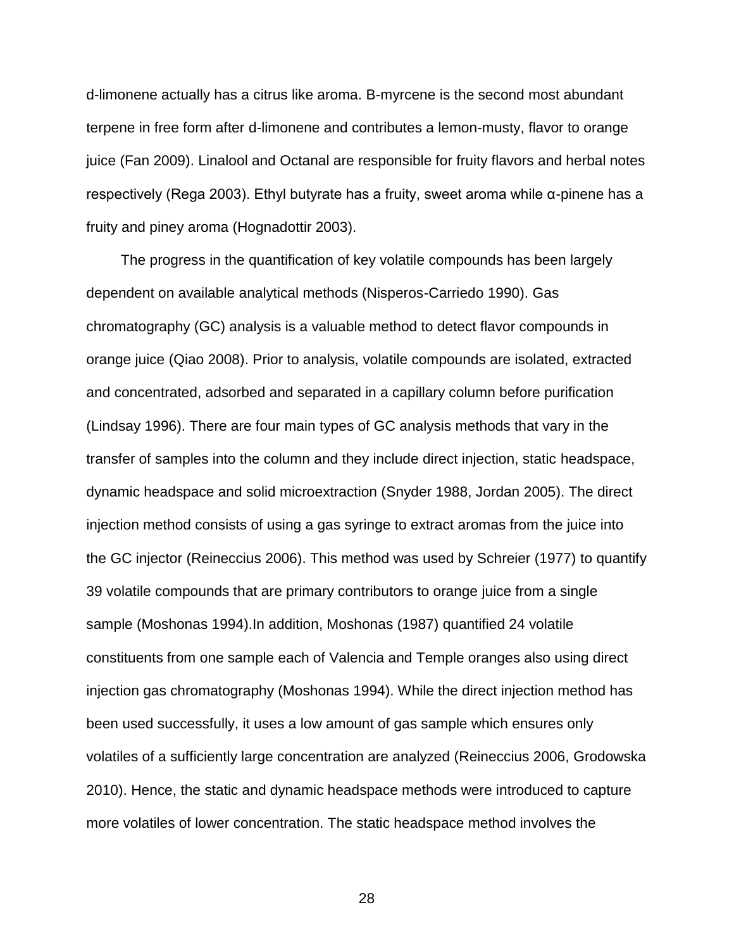d-limonene actually has a citrus like aroma. B-myrcene is the second most abundant terpene in free form after d-limonene and contributes a lemon-musty, flavor to orange juice (Fan 2009). Linalool and Octanal are responsible for fruity flavors and herbal notes respectively (Rega 2003). Ethyl butyrate has a fruity, sweet aroma while α-pinene has a fruity and piney aroma (Hognadottir 2003).

The progress in the quantification of key volatile compounds has been largely dependent on available analytical methods (Nisperos-Carriedo 1990). Gas chromatography (GC) analysis is a valuable method to detect flavor compounds in orange juice (Qiao 2008). Prior to analysis, volatile compounds are isolated, extracted and concentrated, adsorbed and separated in a capillary column before purification (Lindsay 1996). There are four main types of GC analysis methods that vary in the transfer of samples into the column and they include direct injection, static headspace, dynamic headspace and solid microextraction (Snyder 1988, Jordan 2005). The direct injection method consists of using a gas syringe to extract aromas from the juice into the GC injector (Reineccius 2006). This method was used by Schreier (1977) to quantify 39 volatile compounds that are primary contributors to orange juice from a single sample (Moshonas 1994).In addition, Moshonas (1987) quantified 24 volatile constituents from one sample each of Valencia and Temple oranges also using direct injection gas chromatography (Moshonas 1994). While the direct injection method has been used successfully, it uses a low amount of gas sample which ensures only volatiles of a sufficiently large concentration are analyzed (Reineccius 2006, Grodowska 2010). Hence, the static and dynamic headspace methods were introduced to capture more volatiles of lower concentration. The static headspace method involves the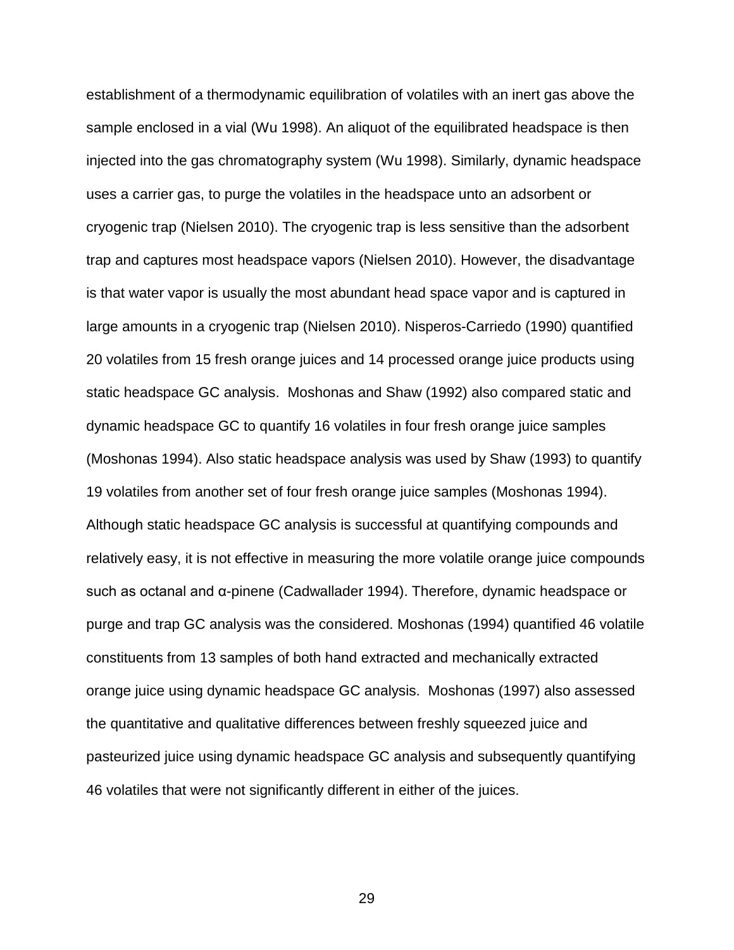establishment of a thermodynamic equilibration of volatiles with an inert gas above the sample enclosed in a vial (Wu 1998). An aliquot of the equilibrated headspace is then injected into the gas chromatography system (Wu 1998). Similarly, dynamic headspace uses a carrier gas, to purge the volatiles in the headspace unto an adsorbent or cryogenic trap (Nielsen 2010). The cryogenic trap is less sensitive than the adsorbent trap and captures most headspace vapors (Nielsen 2010). However, the disadvantage is that water vapor is usually the most abundant head space vapor and is captured in large amounts in a cryogenic trap (Nielsen 2010). Nisperos-Carriedo (1990) quantified 20 volatiles from 15 fresh orange juices and 14 processed orange juice products using static headspace GC analysis. Moshonas and Shaw (1992) also compared static and dynamic headspace GC to quantify 16 volatiles in four fresh orange juice samples (Moshonas 1994). Also static headspace analysis was used by Shaw (1993) to quantify 19 volatiles from another set of four fresh orange juice samples (Moshonas 1994). Although static headspace GC analysis is successful at quantifying compounds and relatively easy, it is not effective in measuring the more volatile orange juice compounds such as octanal and α-pinene (Cadwallader 1994). Therefore, dynamic headspace or purge and trap GC analysis was the considered. Moshonas (1994) quantified 46 volatile constituents from 13 samples of both hand extracted and mechanically extracted orange juice using dynamic headspace GC analysis. Moshonas (1997) also assessed the quantitative and qualitative differences between freshly squeezed juice and pasteurized juice using dynamic headspace GC analysis and subsequently quantifying 46 volatiles that were not significantly different in either of the juices.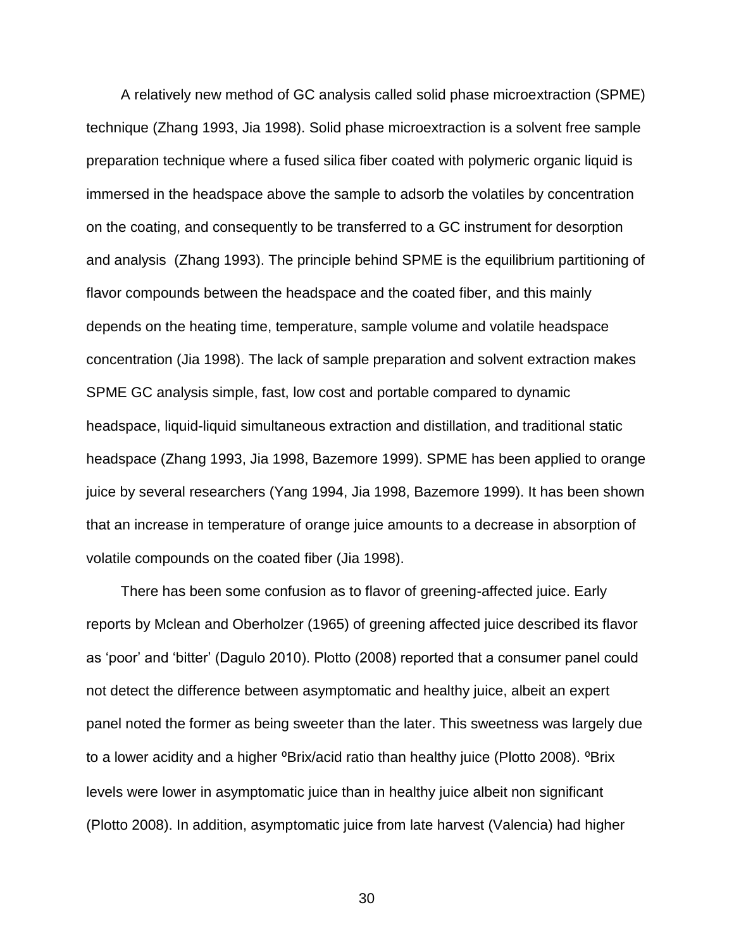A relatively new method of GC analysis called solid phase microextraction (SPME) technique (Zhang 1993, Jia 1998). Solid phase microextraction is a solvent free sample preparation technique where a fused silica fiber coated with polymeric organic liquid is immersed in the headspace above the sample to adsorb the volatiles by concentration on the coating, and consequently to be transferred to a GC instrument for desorption and analysis (Zhang 1993). The principle behind SPME is the equilibrium partitioning of flavor compounds between the headspace and the coated fiber, and this mainly depends on the heating time, temperature, sample volume and volatile headspace concentration (Jia 1998). The lack of sample preparation and solvent extraction makes SPME GC analysis simple, fast, low cost and portable compared to dynamic headspace, liquid-liquid simultaneous extraction and distillation, and traditional static headspace (Zhang 1993, Jia 1998, Bazemore 1999). SPME has been applied to orange juice by several researchers (Yang 1994, Jia 1998, Bazemore 1999). It has been shown that an increase in temperature of orange juice amounts to a decrease in absorption of volatile compounds on the coated fiber (Jia 1998).

There has been some confusion as to flavor of greening-affected juice. Early reports by Mclean and Oberholzer (1965) of greening affected juice described its flavor as 'poor' and 'bitter' (Dagulo 2010). Plotto (2008) reported that a consumer panel could not detect the difference between asymptomatic and healthy juice, albeit an expert panel noted the former as being sweeter than the later. This sweetness was largely due to a lower acidity and a higher <sup>o</sup>Brix/acid ratio than healthy juice (Plotto 2008). <sup>o</sup>Brix levels were lower in asymptomatic juice than in healthy juice albeit non significant (Plotto 2008). In addition, asymptomatic juice from late harvest (Valencia) had higher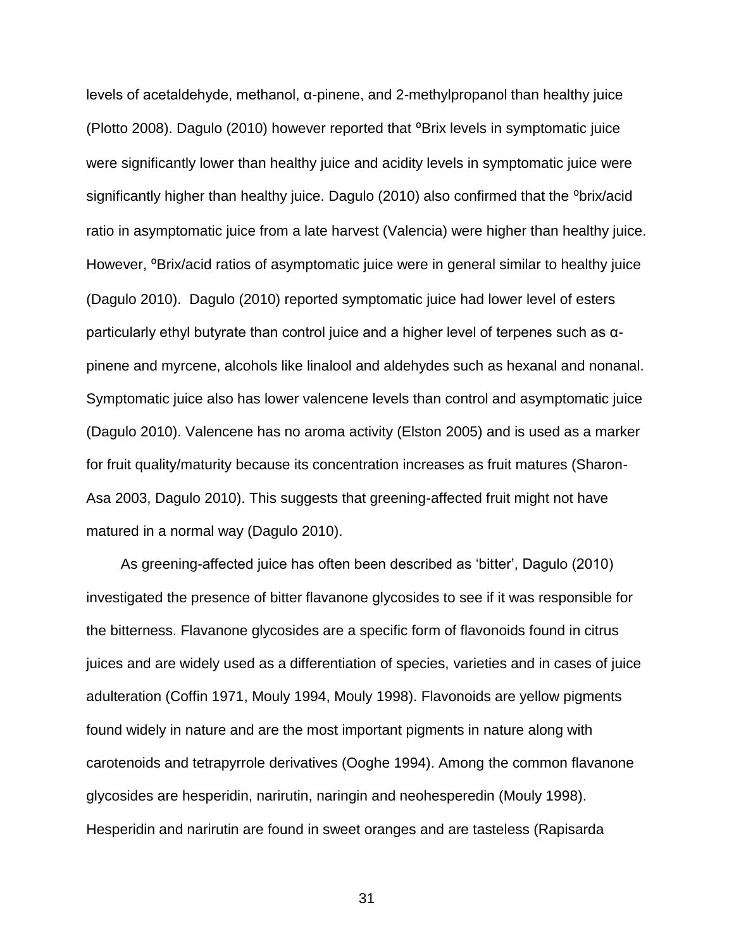levels of acetaldehyde, methanol, α-pinene, and 2-methylpropanol than healthy juice (Plotto 2008). Dagulo (2010) however reported that <sup>o</sup>Brix levels in symptomatic juice were significantly lower than healthy juice and acidity levels in symptomatic juice were significantly higher than healthy juice. Dagulo (2010) also confirmed that the <sup>o</sup>brix/acid ratio in asymptomatic juice from a late harvest (Valencia) were higher than healthy juice. However, <sup>o</sup>Brix/acid ratios of asymptomatic juice were in general similar to healthy juice (Dagulo 2010). Dagulo (2010) reported symptomatic juice had lower level of esters particularly ethyl butyrate than control juice and a higher level of terpenes such as αpinene and myrcene, alcohols like linalool and aldehydes such as hexanal and nonanal. Symptomatic juice also has lower valencene levels than control and asymptomatic juice (Dagulo 2010). Valencene has no aroma activity (Elston 2005) and is used as a marker for fruit quality/maturity because its concentration increases as fruit matures (Sharon-Asa 2003, Dagulo 2010). This suggests that greening-affected fruit might not have matured in a normal way (Dagulo 2010).

As greening-affected juice has often been described as 'bitter', Dagulo (2010) investigated the presence of bitter flavanone glycosides to see if it was responsible for the bitterness. Flavanone glycosides are a specific form of flavonoids found in citrus juices and are widely used as a differentiation of species, varieties and in cases of juice adulteration (Coffin 1971, Mouly 1994, Mouly 1998). Flavonoids are yellow pigments found widely in nature and are the most important pigments in nature along with carotenoids and tetrapyrrole derivatives (Ooghe 1994). Among the common flavanone glycosides are hesperidin, narirutin, naringin and neohesperedin (Mouly 1998). Hesperidin and narirutin are found in sweet oranges and are tasteless (Rapisarda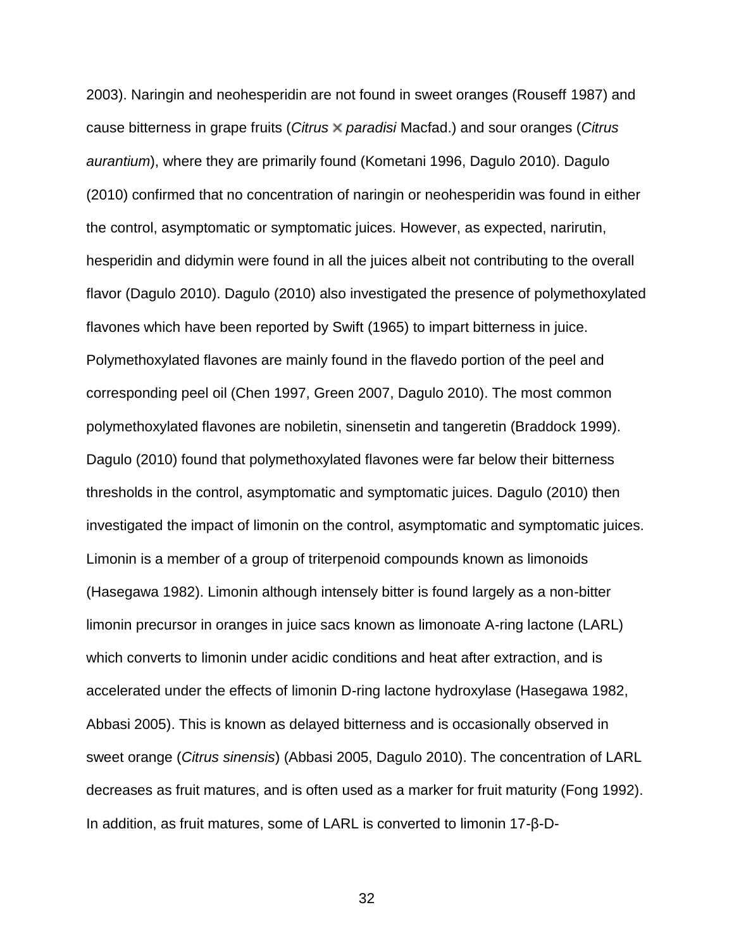2003). Naringin and neohesperidin are not found in sweet oranges (Rouseff 1987) and cause bitterness in grape fruits (*Citrus paradisi* Macfad.) and sour oranges (*Citrus aurantium*), where they are primarily found (Kometani 1996, Dagulo 2010). Dagulo (2010) confirmed that no concentration of naringin or neohesperidin was found in either the control, asymptomatic or symptomatic juices. However, as expected, narirutin, hesperidin and didymin were found in all the juices albeit not contributing to the overall flavor (Dagulo 2010). Dagulo (2010) also investigated the presence of polymethoxylated flavones which have been reported by Swift (1965) to impart bitterness in juice. Polymethoxylated flavones are mainly found in the flavedo portion of the peel and corresponding peel oil (Chen 1997, Green 2007, Dagulo 2010). The most common polymethoxylated flavones are nobiletin, sinensetin and tangeretin (Braddock 1999). Dagulo (2010) found that polymethoxylated flavones were far below their bitterness thresholds in the control, asymptomatic and symptomatic juices. Dagulo (2010) then investigated the impact of limonin on the control, asymptomatic and symptomatic juices. Limonin is a member of a group of triterpenoid compounds known as limonoids (Hasegawa 1982). Limonin although intensely bitter is found largely as a non-bitter limonin precursor in oranges in juice sacs known as limonoate A-ring lactone (LARL) which converts to limonin under acidic conditions and heat after extraction, and is accelerated under the effects of limonin D-ring lactone hydroxylase (Hasegawa 1982, Abbasi 2005). This is known as delayed bitterness and is occasionally observed in sweet orange (*Citrus sinensis*) (Abbasi 2005, Dagulo 2010). The concentration of LARL decreases as fruit matures, and is often used as a marker for fruit maturity (Fong 1992). In addition, as fruit matures, some of LARL is converted to limonin 17-β-D-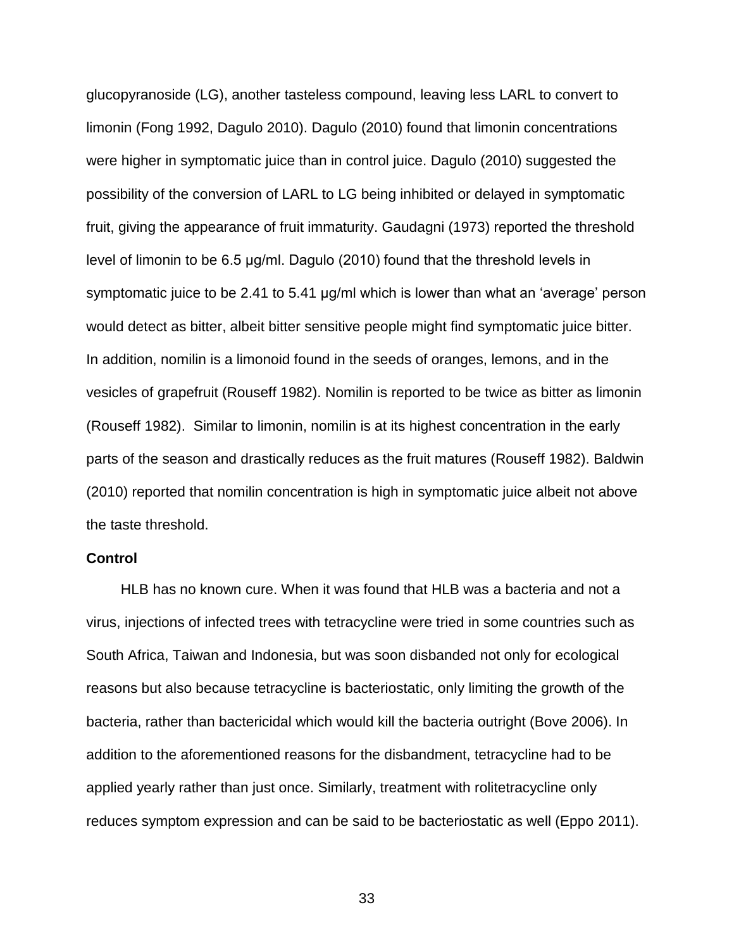glucopyranoside (LG), another tasteless compound, leaving less LARL to convert to limonin (Fong 1992, Dagulo 2010). Dagulo (2010) found that limonin concentrations were higher in symptomatic juice than in control juice. Dagulo (2010) suggested the possibility of the conversion of LARL to LG being inhibited or delayed in symptomatic fruit, giving the appearance of fruit immaturity. Gaudagni (1973) reported the threshold level of limonin to be 6.5 μg/ml. Dagulo (2010) found that the threshold levels in symptomatic juice to be 2.41 to 5.41 μg/ml which is lower than what an 'average' person would detect as bitter, albeit bitter sensitive people might find symptomatic juice bitter. In addition, nomilin is a limonoid found in the seeds of oranges, lemons, and in the vesicles of grapefruit (Rouseff 1982). Nomilin is reported to be twice as bitter as limonin (Rouseff 1982). Similar to limonin, nomilin is at its highest concentration in the early parts of the season and drastically reduces as the fruit matures (Rouseff 1982). Baldwin (2010) reported that nomilin concentration is high in symptomatic juice albeit not above the taste threshold.

### <span id="page-32-0"></span>**Control**

HLB has no known cure. When it was found that HLB was a bacteria and not a virus, injections of infected trees with tetracycline were tried in some countries such as South Africa, Taiwan and Indonesia, but was soon disbanded not only for ecological reasons but also because tetracycline is bacteriostatic, only limiting the growth of the bacteria, rather than bactericidal which would kill the bacteria outright (Bove 2006). In addition to the aforementioned reasons for the disbandment, tetracycline had to be applied yearly rather than just once. Similarly, treatment with rolitetracycline only reduces symptom expression and can be said to be bacteriostatic as well (Eppo 2011).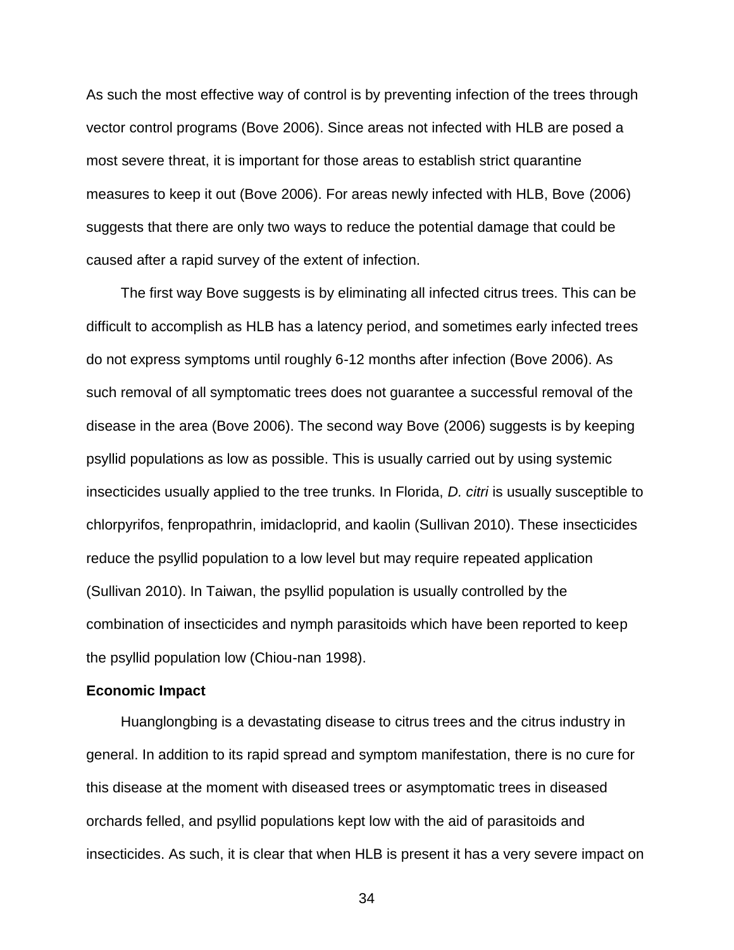As such the most effective way of control is by preventing infection of the trees through vector control programs (Bove 2006). Since areas not infected with HLB are posed a most severe threat, it is important for those areas to establish strict quarantine measures to keep it out (Bove 2006). For areas newly infected with HLB, Bove (2006) suggests that there are only two ways to reduce the potential damage that could be caused after a rapid survey of the extent of infection.

The first way Bove suggests is by eliminating all infected citrus trees. This can be difficult to accomplish as HLB has a latency period, and sometimes early infected trees do not express symptoms until roughly 6-12 months after infection (Bove 2006). As such removal of all symptomatic trees does not guarantee a successful removal of the disease in the area (Bove 2006). The second way Bove (2006) suggests is by keeping psyllid populations as low as possible. This is usually carried out by using systemic insecticides usually applied to the tree trunks. In Florida, *D. citri* is usually susceptible to chlorpyrifos, fenpropathrin, imidacloprid, and kaolin (Sullivan 2010). These insecticides reduce the psyllid population to a low level but may require repeated application (Sullivan 2010). In Taiwan, the psyllid population is usually controlled by the combination of insecticides and nymph parasitoids which have been reported to keep the psyllid population low (Chiou-nan 1998).

#### <span id="page-33-0"></span>**Economic Impact**

Huanglongbing is a devastating disease to citrus trees and the citrus industry in general. In addition to its rapid spread and symptom manifestation, there is no cure for this disease at the moment with diseased trees or asymptomatic trees in diseased orchards felled, and psyllid populations kept low with the aid of parasitoids and insecticides. As such, it is clear that when HLB is present it has a very severe impact on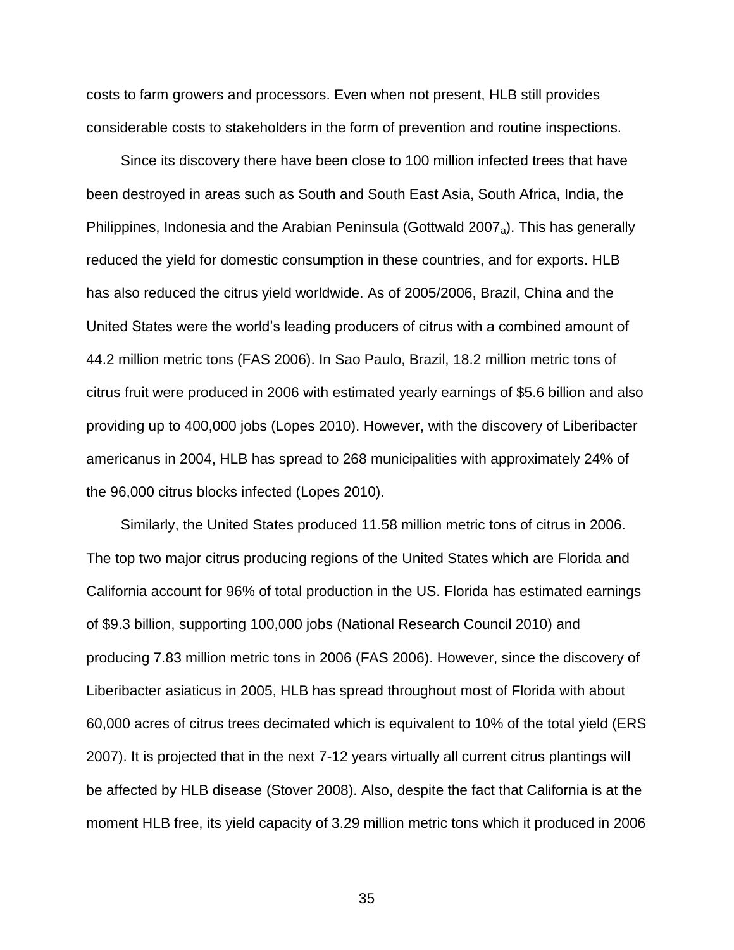costs to farm growers and processors. Even when not present, HLB still provides considerable costs to stakeholders in the form of prevention and routine inspections.

Since its discovery there have been close to 100 million infected trees that have been destroyed in areas such as South and South East Asia, South Africa, India, the Philippines, Indonesia and the Arabian Peninsula (Gottwald 2007<sub>a</sub>). This has generally reduced the yield for domestic consumption in these countries, and for exports. HLB has also reduced the citrus yield worldwide. As of 2005/2006, Brazil, China and the United States were the world's leading producers of citrus with a combined amount of 44.2 million metric tons (FAS 2006). In Sao Paulo, Brazil, 18.2 million metric tons of citrus fruit were produced in 2006 with estimated yearly earnings of \$5.6 billion and also providing up to 400,000 jobs (Lopes 2010). However, with the discovery of Liberibacter americanus in 2004, HLB has spread to 268 municipalities with approximately 24% of the 96,000 citrus blocks infected (Lopes 2010).

Similarly, the United States produced 11.58 million metric tons of citrus in 2006. The top two major citrus producing regions of the United States which are Florida and California account for 96% of total production in the US. Florida has estimated earnings of \$9.3 billion, supporting 100,000 jobs (National Research Council 2010) and producing 7.83 million metric tons in 2006 (FAS 2006). However, since the discovery of Liberibacter asiaticus in 2005, HLB has spread throughout most of Florida with about 60,000 acres of citrus trees decimated which is equivalent to 10% of the total yield (ERS 2007). It is projected that in the next 7-12 years virtually all current citrus plantings will be affected by HLB disease (Stover 2008). Also, despite the fact that California is at the moment HLB free, its yield capacity of 3.29 million metric tons which it produced in 2006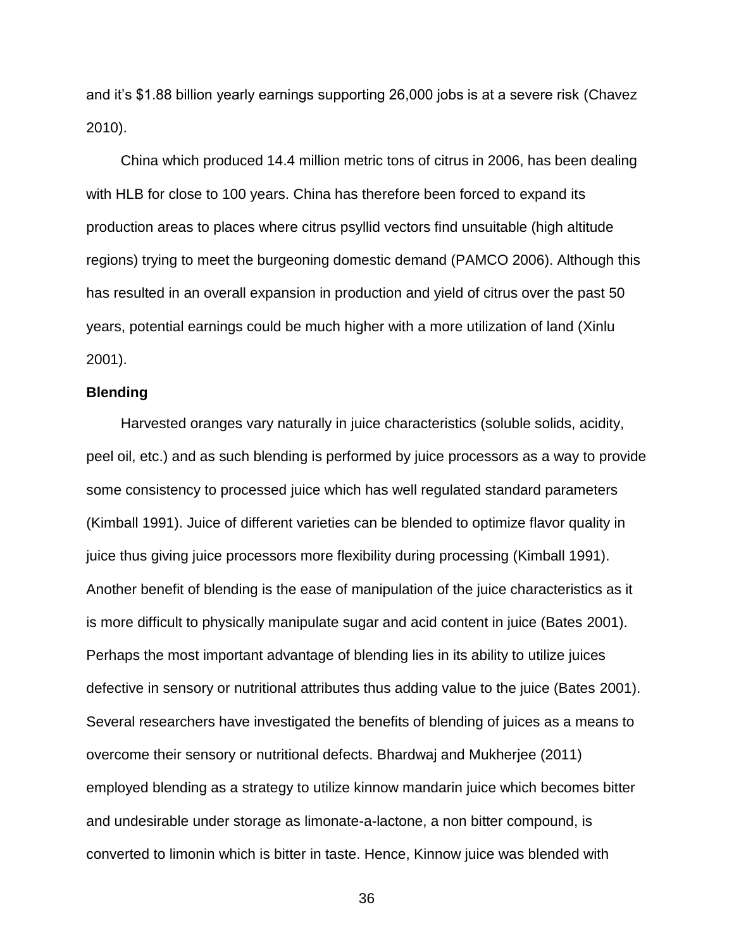and it's \$1.88 billion yearly earnings supporting 26,000 jobs is at a severe risk (Chavez 2010).

China which produced 14.4 million metric tons of citrus in 2006, has been dealing with HLB for close to 100 years. China has therefore been forced to expand its production areas to places where citrus psyllid vectors find unsuitable (high altitude regions) trying to meet the burgeoning domestic demand (PAMCO 2006). Although this has resulted in an overall expansion in production and yield of citrus over the past 50 years, potential earnings could be much higher with a more utilization of land (Xinlu 2001).

#### <span id="page-35-0"></span>**Blending**

Harvested oranges vary naturally in juice characteristics (soluble solids, acidity, peel oil, etc.) and as such blending is performed by juice processors as a way to provide some consistency to processed juice which has well regulated standard parameters (Kimball 1991). Juice of different varieties can be blended to optimize flavor quality in juice thus giving juice processors more flexibility during processing (Kimball 1991). Another benefit of blending is the ease of manipulation of the juice characteristics as it is more difficult to physically manipulate sugar and acid content in juice (Bates 2001). Perhaps the most important advantage of blending lies in its ability to utilize juices defective in sensory or nutritional attributes thus adding value to the juice (Bates 2001). Several researchers have investigated the benefits of blending of juices as a means to overcome their sensory or nutritional defects. Bhardwaj and Mukherjee (2011) employed blending as a strategy to utilize kinnow mandarin juice which becomes bitter and undesirable under storage as limonate-a-lactone, a non bitter compound, is converted to limonin which is bitter in taste. Hence, Kinnow juice was blended with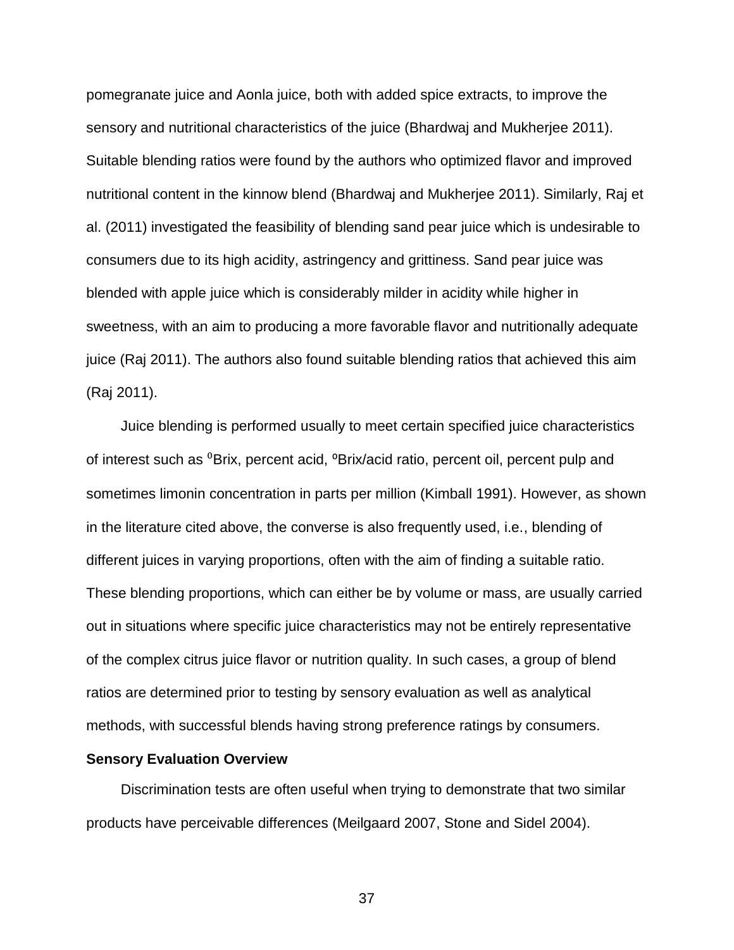pomegranate juice and Aonla juice, both with added spice extracts, to improve the sensory and nutritional characteristics of the juice (Bhardwaj and Mukherjee 2011). Suitable blending ratios were found by the authors who optimized flavor and improved nutritional content in the kinnow blend (Bhardwaj and Mukherjee 2011). Similarly, Raj et al. (2011) investigated the feasibility of blending sand pear juice which is undesirable to consumers due to its high acidity, astringency and grittiness. Sand pear juice was blended with apple juice which is considerably milder in acidity while higher in sweetness, with an aim to producing a more favorable flavor and nutritionally adequate juice (Raj 2011). The authors also found suitable blending ratios that achieved this aim (Raj 2011).

Juice blending is performed usually to meet certain specified juice characteristics of interest such as <sup>0</sup>Brix, percent acid, <sup>o</sup>Brix/acid ratio, percent oil, percent pulp and sometimes limonin concentration in parts per million (Kimball 1991). However, as shown in the literature cited above, the converse is also frequently used, i.e., blending of different juices in varying proportions, often with the aim of finding a suitable ratio. These blending proportions, which can either be by volume or mass, are usually carried out in situations where specific juice characteristics may not be entirely representative of the complex citrus juice flavor or nutrition quality. In such cases, a group of blend ratios are determined prior to testing by sensory evaluation as well as analytical methods, with successful blends having strong preference ratings by consumers.

### **Sensory Evaluation Overview**

Discrimination tests are often useful when trying to demonstrate that two similar products have perceivable differences (Meilgaard 2007, Stone and Sidel 2004).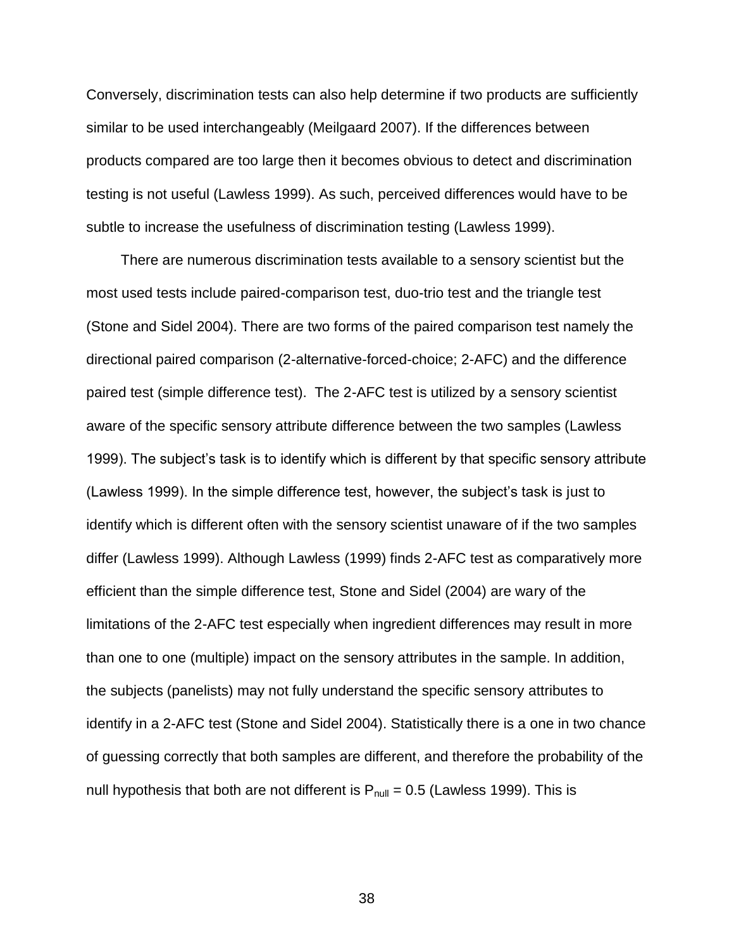Conversely, discrimination tests can also help determine if two products are sufficiently similar to be used interchangeably (Meilgaard 2007). If the differences between products compared are too large then it becomes obvious to detect and discrimination testing is not useful (Lawless 1999). As such, perceived differences would have to be subtle to increase the usefulness of discrimination testing (Lawless 1999).

There are numerous discrimination tests available to a sensory scientist but the most used tests include paired-comparison test, duo-trio test and the triangle test (Stone and Sidel 2004). There are two forms of the paired comparison test namely the directional paired comparison (2-alternative-forced-choice; 2-AFC) and the difference paired test (simple difference test). The 2-AFC test is utilized by a sensory scientist aware of the specific sensory attribute difference between the two samples (Lawless 1999). The subject's task is to identify which is different by that specific sensory attribute (Lawless 1999). In the simple difference test, however, the subject's task is just to identify which is different often with the sensory scientist unaware of if the two samples differ (Lawless 1999). Although Lawless (1999) finds 2-AFC test as comparatively more efficient than the simple difference test, Stone and Sidel (2004) are wary of the limitations of the 2-AFC test especially when ingredient differences may result in more than one to one (multiple) impact on the sensory attributes in the sample. In addition, the subjects (panelists) may not fully understand the specific sensory attributes to identify in a 2-AFC test (Stone and Sidel 2004). Statistically there is a one in two chance of guessing correctly that both samples are different, and therefore the probability of the null hypothesis that both are not different is  $P_{null} = 0.5$  (Lawless 1999). This is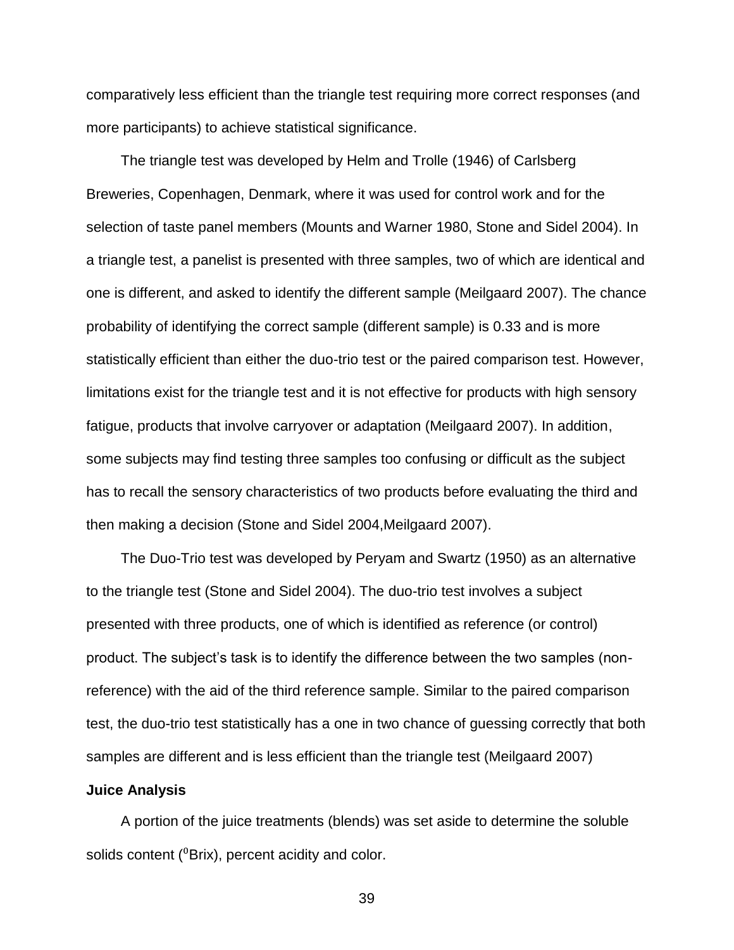comparatively less efficient than the triangle test requiring more correct responses (and more participants) to achieve statistical significance.

The triangle test was developed by Helm and Trolle (1946) of Carlsberg Breweries, Copenhagen, Denmark, where it was used for control work and for the selection of taste panel members (Mounts and Warner 1980, Stone and Sidel 2004). In a triangle test, a panelist is presented with three samples, two of which are identical and one is different, and asked to identify the different sample (Meilgaard 2007). The chance probability of identifying the correct sample (different sample) is 0.33 and is more statistically efficient than either the duo-trio test or the paired comparison test. However, limitations exist for the triangle test and it is not effective for products with high sensory fatigue, products that involve carryover or adaptation (Meilgaard 2007). In addition, some subjects may find testing three samples too confusing or difficult as the subject has to recall the sensory characteristics of two products before evaluating the third and then making a decision (Stone and Sidel 2004,Meilgaard 2007).

The Duo-Trio test was developed by Peryam and Swartz (1950) as an alternative to the triangle test (Stone and Sidel 2004). The duo-trio test involves a subject presented with three products, one of which is identified as reference (or control) product. The subject's task is to identify the difference between the two samples (nonreference) with the aid of the third reference sample. Similar to the paired comparison test, the duo-trio test statistically has a one in two chance of guessing correctly that both samples are different and is less efficient than the triangle test (Meilgaard 2007)

#### **Juice Analysis**

A portion of the juice treatments (blends) was set aside to determine the soluble solids content (<sup>0</sup>Brix), percent acidity and color.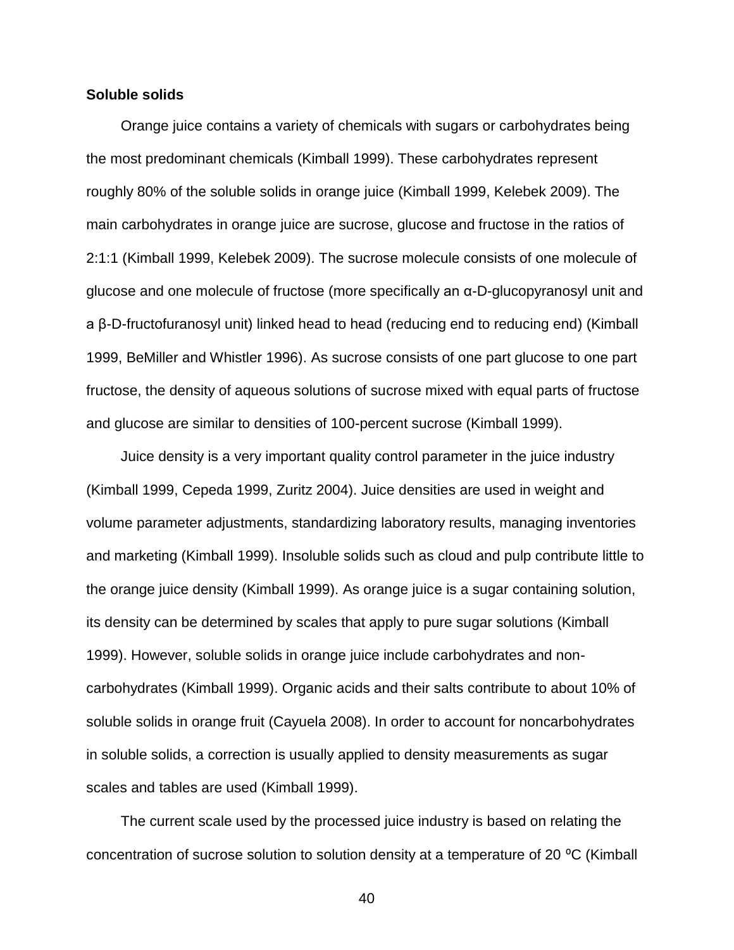### **Soluble solids**

Orange juice contains a variety of chemicals with sugars or carbohydrates being the most predominant chemicals (Kimball 1999). These carbohydrates represent roughly 80% of the soluble solids in orange juice (Kimball 1999, Kelebek 2009). The main carbohydrates in orange juice are sucrose, glucose and fructose in the ratios of 2:1:1 (Kimball 1999, Kelebek 2009). The sucrose molecule consists of one molecule of glucose and one molecule of fructose (more specifically an α-D-glucopyranosyl unit and a β-D-fructofuranosyl unit) linked head to head (reducing end to reducing end) (Kimball 1999, BeMiller and Whistler 1996). As sucrose consists of one part glucose to one part fructose, the density of aqueous solutions of sucrose mixed with equal parts of fructose and glucose are similar to densities of 100-percent sucrose (Kimball 1999).

Juice density is a very important quality control parameter in the juice industry (Kimball 1999, Cepeda 1999, Zuritz 2004). Juice densities are used in weight and volume parameter adjustments, standardizing laboratory results, managing inventories and marketing (Kimball 1999). Insoluble solids such as cloud and pulp contribute little to the orange juice density (Kimball 1999). As orange juice is a sugar containing solution, its density can be determined by scales that apply to pure sugar solutions (Kimball 1999). However, soluble solids in orange juice include carbohydrates and noncarbohydrates (Kimball 1999). Organic acids and their salts contribute to about 10% of soluble solids in orange fruit (Cayuela 2008). In order to account for noncarbohydrates in soluble solids, a correction is usually applied to density measurements as sugar scales and tables are used (Kimball 1999).

The current scale used by the processed juice industry is based on relating the concentration of sucrose solution to solution density at a temperature of 20 °C (Kimball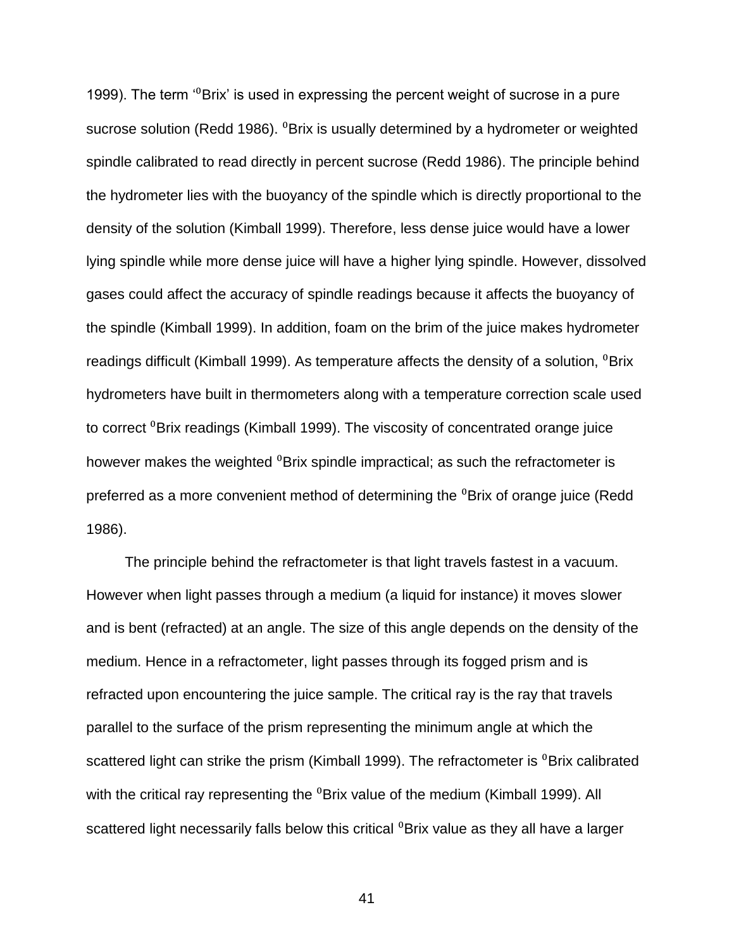1999). The term  $\cdot^{0}$ Brix' is used in expressing the percent weight of sucrose in a pure sucrose solution (Redd 1986).  $^{0}$ Brix is usually determined by a hydrometer or weighted spindle calibrated to read directly in percent sucrose (Redd 1986). The principle behind the hydrometer lies with the buoyancy of the spindle which is directly proportional to the density of the solution (Kimball 1999). Therefore, less dense juice would have a lower lying spindle while more dense juice will have a higher lying spindle. However, dissolved gases could affect the accuracy of spindle readings because it affects the buoyancy of the spindle (Kimball 1999). In addition, foam on the brim of the juice makes hydrometer readings difficult (Kimball 1999). As temperature affects the density of a solution,  $\textdegree$ Brix hydrometers have built in thermometers along with a temperature correction scale used to correct <sup>0</sup>Brix readings (Kimball 1999). The viscosity of concentrated orange juice however makes the weighted <sup>0</sup>Brix spindle impractical; as such the refractometer is preferred as a more convenient method of determining the <sup>0</sup>Brix of orange juice (Redd 1986).

The principle behind the refractometer is that light travels fastest in a vacuum. However when light passes through a medium (a liquid for instance) it moves slower and is bent (refracted) at an angle. The size of this angle depends on the density of the medium. Hence in a refractometer, light passes through its fogged prism and is refracted upon encountering the juice sample. The critical ray is the ray that travels parallel to the surface of the prism representing the minimum angle at which the scattered light can strike the prism (Kimball 1999). The refractometer is <sup>0</sup>Brix calibrated with the critical ray representing the <sup>0</sup>Brix value of the medium (Kimball 1999). All scattered light necessarily falls below this critical <sup>0</sup>Brix value as they all have a larger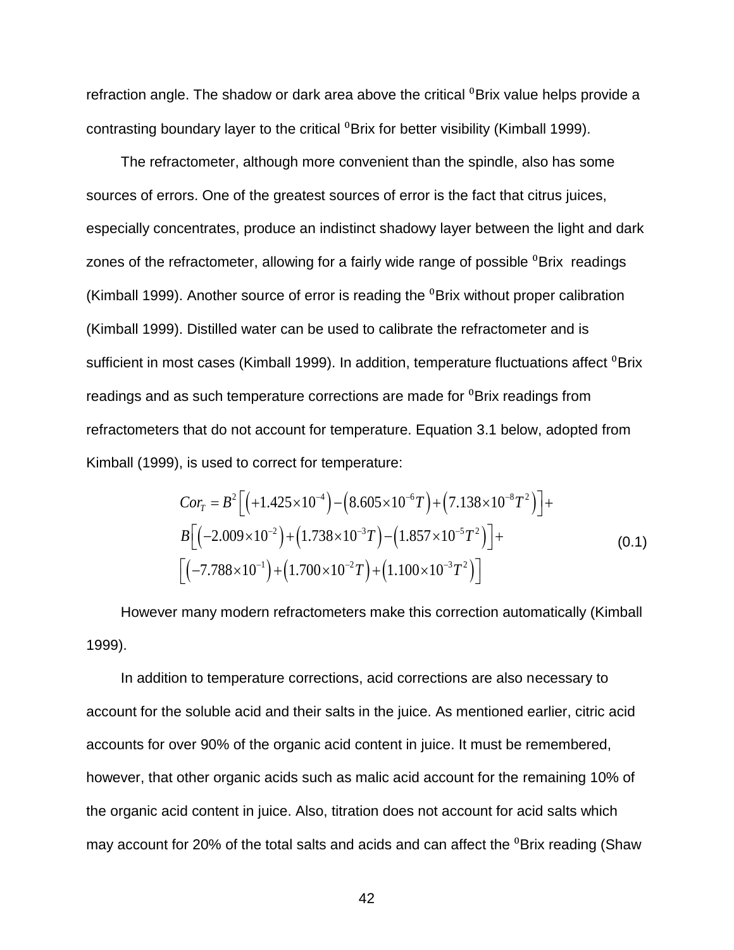refraction angle. The shadow or dark area above the critical <sup>0</sup>Brix value helps provide a contrasting boundary layer to the critical <sup>0</sup>Brix for better visibility (Kimball 1999).

The refractometer, although more convenient than the spindle, also has some sources of errors. One of the greatest sources of error is the fact that citrus juices, especially concentrates, produce an indistinct shadowy layer between the light and dark zones of the refractometer, allowing for a fairly wide range of possible  $\textdegree$ Brix readings (Kimball 1999). Another source of error is reading the  ${}^{0}$ Brix without proper calibration (Kimball 1999). Distilled water can be used to calibrate the refractometer and is sufficient in most cases (Kimball 1999). In addition, temperature fluctuations affect <sup>0</sup>Brix readings and as such temperature corrections are made for <sup>0</sup>Brix readings from refractometers that do not account for temperature. Equation 3.1 below, adopted from

$$
\text{Kimball (1999), is used to correct for temperature:}
$$
\n
$$
Cor_{\mathcal{T}} = B^2 \left[ \left( +1.425 \times 10^{-4} \right) - \left( 8.605 \times 10^{-6} \text{ T} \right) + \left( 7.138 \times 10^{-8} \text{ T}^2 \right) \right] +
$$
\n
$$
B \left[ \left( -2.009 \times 10^{-2} \right) + \left( 1.738 \times 10^{-3} \text{ T} \right) - \left( 1.857 \times 10^{-5} \text{ T}^2 \right) \right] +
$$
\n
$$
\left[ \left( -7.788 \times 10^{-1} \right) + \left( 1.700 \times 10^{-2} \text{ T} \right) + \left( 1.100 \times 10^{-3} \text{ T}^2 \right) \right]
$$
\n
$$
(0.1)
$$

However many modern refractometers make this correction automatically (Kimball 1999).

In addition to temperature corrections, acid corrections are also necessary to account for the soluble acid and their salts in the juice. As mentioned earlier, citric acid accounts for over 90% of the organic acid content in juice. It must be remembered, however, that other organic acids such as malic acid account for the remaining 10% of the organic acid content in juice. Also, titration does not account for acid salts which may account for 20% of the total salts and acids and can affect the <sup>0</sup>Brix reading (Shaw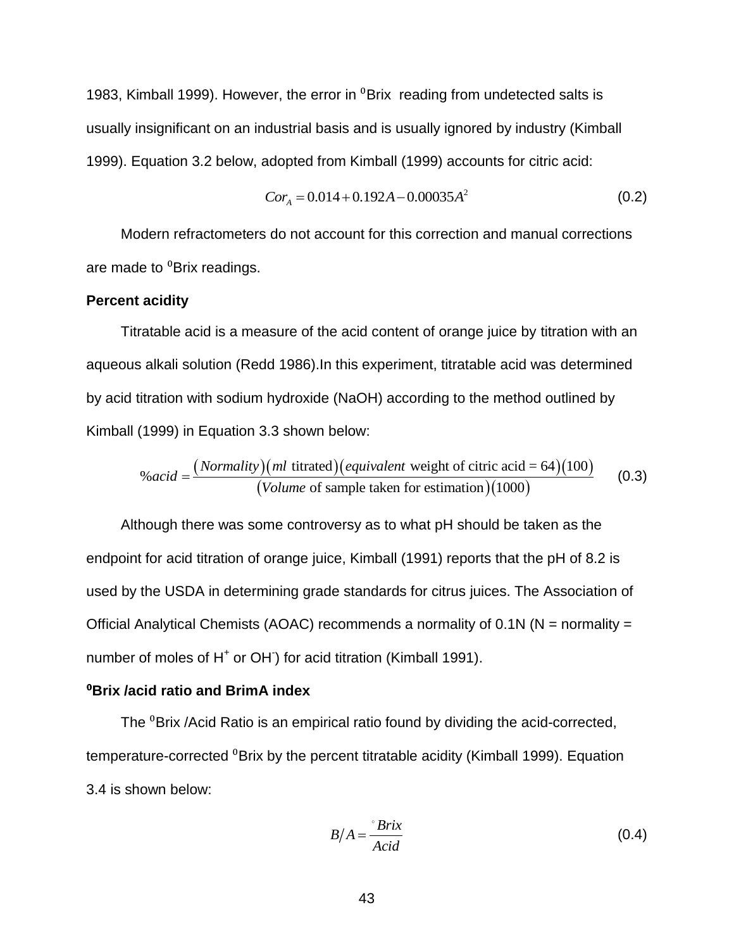1983, Kimball 1999). However, the error in  $^{0}$ Brix reading from undetected salts is usually insignificant on an industrial basis and is usually ignored by industry (Kimball 1999). Equation 3.2 below, adopted from Kimball (1999) accounts for citric acid:

$$
Cor_A = 0.014 + 0.192A - 0.00035A^2
$$
 (0.2)

Modern refractometers do not account for this correction and manual corrections are made to <sup>0</sup>Brix readings.

### **Percent acidity**

Titratable acid is a measure of the acid content of orange juice by titration with an aqueous alkali solution (Redd 1986).In this experiment, titratable acid was determined by acid titration with sodium hydroxide (NaOH) according to the method outlined by Kimball (1999) in Equation 3.3 shown below: shown below:<br>titrated)(*equivalent* weight of citric acid = 64)(100<br>of some latter for estimation)(1000) *Equation 3.3 shown below:*<br>*Normality (ml titrated) (equivalent*)

(1999) In Equation 3.3 shown below:  
\n
$$
\%acid = \frac{(Normality)(ml \text{ titrated})(equivalent \text{ weight of citric acid} = 64)(100)}{(Volume \text{ of sample taken for estimation})(1000)}
$$
\n(0.3)

Although there was some controversy as to what pH should be taken as the endpoint for acid titration of orange juice, Kimball (1991) reports that the pH of 8.2 is used by the USDA in determining grade standards for citrus juices. The Association of Official Analytical Chemists (AOAC) recommends a normality of 0.1N (N = normality = number of moles of H<sup>+</sup> or OH for acid titration (Kimball 1991).

# ⁰**Brix /acid ratio and BrimA index**

The <sup>0</sup>Brix /Acid Ratio is an empirical ratio found by dividing the acid-corrected, temperature-corrected <sup>0</sup>Brix by the percent titratable acidity (Kimball 1999). Equation 3.4 is shown below:

$$
B/A = \frac{\text{Frix}}{Acid} \tag{0.4}
$$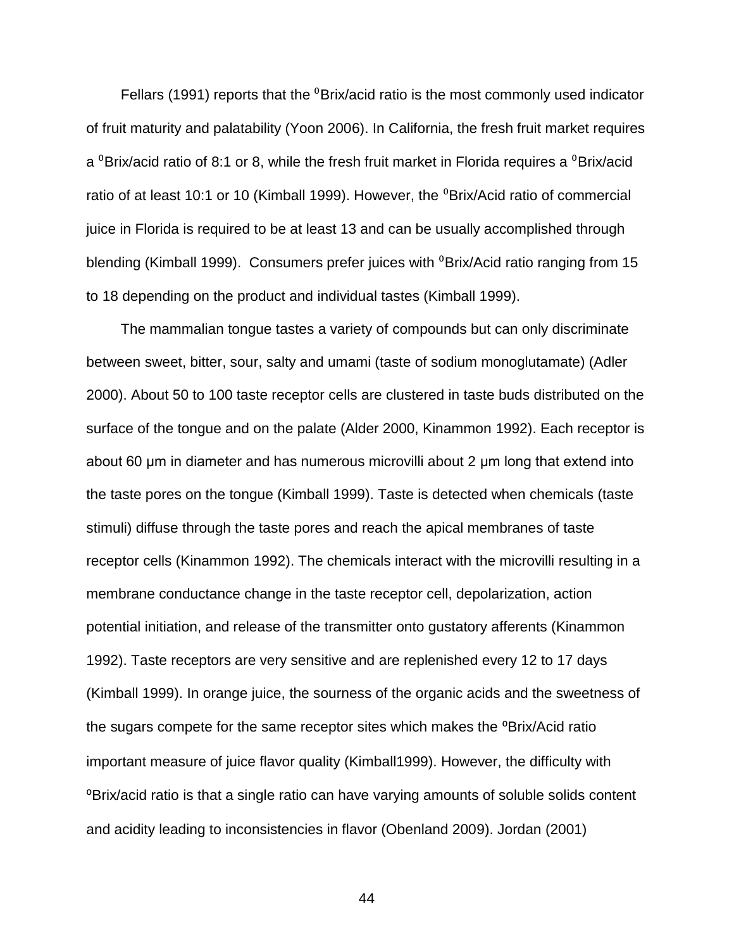Fellars (1991) reports that the  $\textdegree$ Brix/acid ratio is the most commonly used indicator of fruit maturity and palatability (Yoon 2006). In California, the fresh fruit market requires a  ${}^{0}$ Brix/acid ratio of 8:1 or 8, while the fresh fruit market in Florida requires a  ${}^{0}$ Brix/acid ratio of at least 10:1 or 10 (Kimball 1999). However, the <sup>0</sup>Brix/Acid ratio of commercial juice in Florida is required to be at least 13 and can be usually accomplished through blending (Kimball 1999). Consumers prefer juices with <sup>0</sup>Brix/Acid ratio ranging from 15 to 18 depending on the product and individual tastes (Kimball 1999).

The mammalian tongue tastes a variety of compounds but can only discriminate between sweet, bitter, sour, salty and umami (taste of sodium monoglutamate) (Adler 2000). About 50 to 100 taste receptor cells are clustered in taste buds distributed on the surface of the tongue and on the palate (Alder 2000, Kinammon 1992). Each receptor is about 60 μm in diameter and has numerous microvilli about 2 μm long that extend into the taste pores on the tongue (Kimball 1999). Taste is detected when chemicals (taste stimuli) diffuse through the taste pores and reach the apical membranes of taste receptor cells (Kinammon 1992). The chemicals interact with the microvilli resulting in a membrane conductance change in the taste receptor cell, depolarization, action potential initiation, and release of the transmitter onto gustatory afferents (Kinammon 1992). Taste receptors are very sensitive and are replenished every 12 to 17 days (Kimball 1999). In orange juice, the sourness of the organic acids and the sweetness of the sugars compete for the same receptor sites which makes the <sup>o</sup>Brix/Acid ratio important measure of juice flavor quality (Kimball1999). However, the difficulty with ⁰Brix/acid ratio is that a single ratio can have varying amounts of soluble solids content and acidity leading to inconsistencies in flavor (Obenland 2009). Jordan (2001)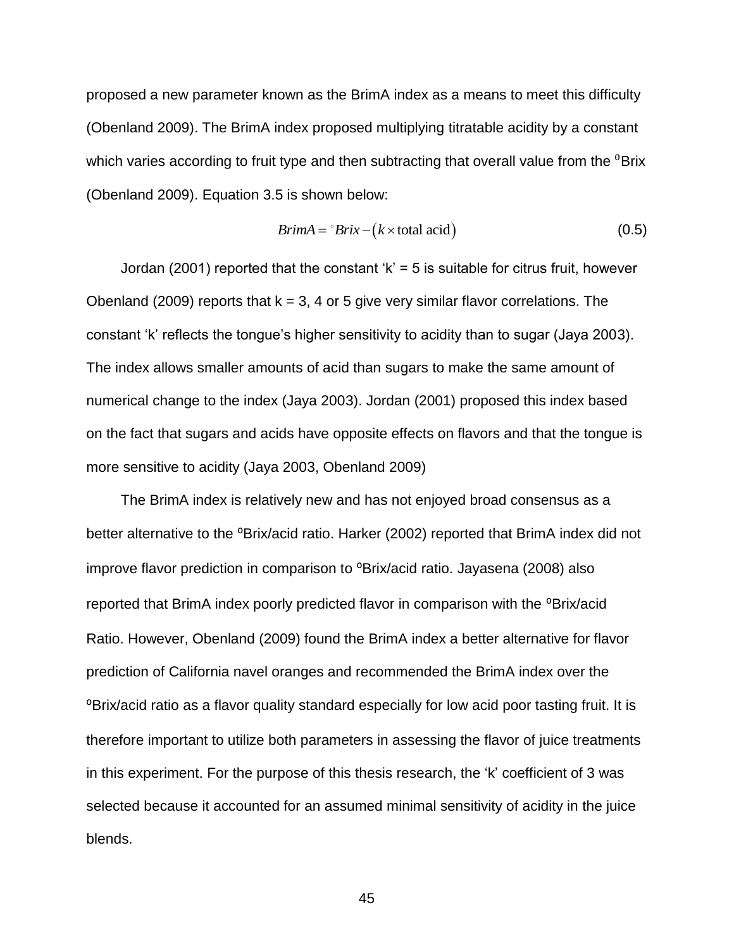proposed a new parameter known as the BrimA index as a means to meet this difficulty (Obenland 2009). The BrimA index proposed multiplying titratable acidity by a constant which varies according to fruit type and then subtracting that overall value from the  ${}^{0}$ Brix (Obenland 2009). Equation 3.5 is shown below:

$$
BrimA = {}^{\circ}Brix - (k \times \text{total acid})
$$
 (0.5)

Jordan (2001) reported that the constant 'k' = 5 is suitable for citrus fruit, however Obenland (2009) reports that  $k = 3$ , 4 or 5 give very similar flavor correlations. The constant 'k' reflects the tongue's higher sensitivity to acidity than to sugar (Jaya 2003). The index allows smaller amounts of acid than sugars to make the same amount of numerical change to the index (Jaya 2003). Jordan (2001) proposed this index based on the fact that sugars and acids have opposite effects on flavors and that the tongue is more sensitive to acidity (Jaya 2003, Obenland 2009)

The BrimA index is relatively new and has not enjoyed broad consensus as a better alternative to the <sup>o</sup>Brix/acid ratio. Harker (2002) reported that BrimA index did not improve flavor prediction in comparison to <sup>o</sup>Brix/acid ratio. Jayasena (2008) also reported that BrimA index poorly predicted flavor in comparison with the <sup>o</sup>Brix/acid Ratio. However, Obenland (2009) found the BrimA index a better alternative for flavor prediction of California navel oranges and recommended the BrimA index over the ⁰Brix/acid ratio as a flavor quality standard especially for low acid poor tasting fruit. It is therefore important to utilize both parameters in assessing the flavor of juice treatments in this experiment. For the purpose of this thesis research, the 'k' coefficient of 3 was selected because it accounted for an assumed minimal sensitivity of acidity in the juice blends.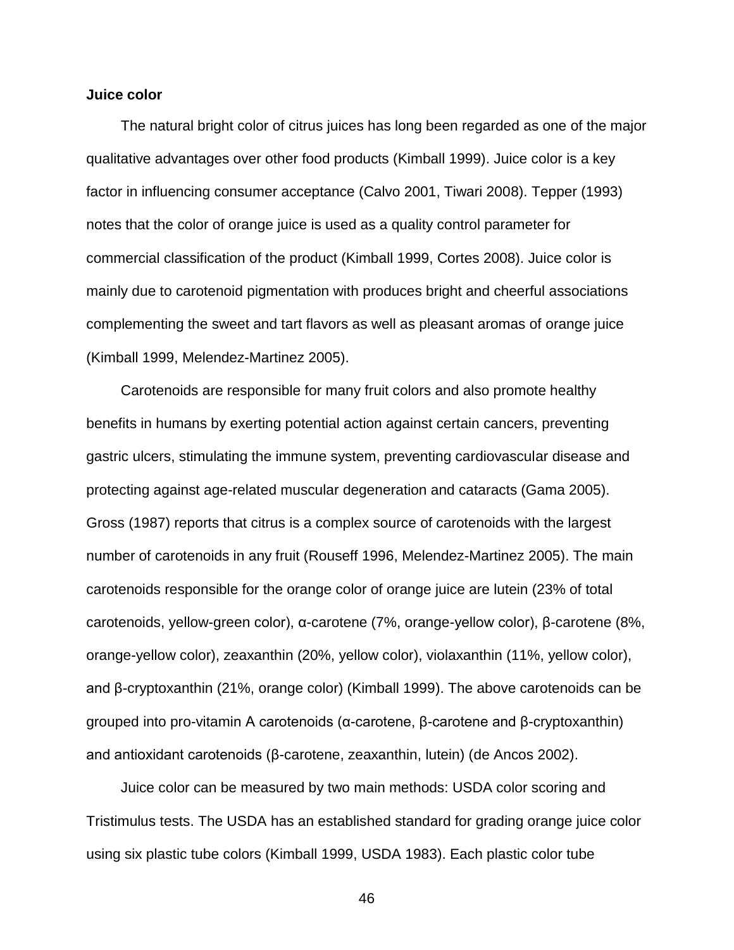### **Juice color**

The natural bright color of citrus juices has long been regarded as one of the major qualitative advantages over other food products (Kimball 1999). Juice color is a key factor in influencing consumer acceptance (Calvo 2001, Tiwari 2008). Tepper (1993) notes that the color of orange juice is used as a quality control parameter for commercial classification of the product (Kimball 1999, Cortes 2008). Juice color is mainly due to carotenoid pigmentation with produces bright and cheerful associations complementing the sweet and tart flavors as well as pleasant aromas of orange juice (Kimball 1999, Melendez-Martinez 2005).

Carotenoids are responsible for many fruit colors and also promote healthy benefits in humans by exerting potential action against certain cancers, preventing gastric ulcers, stimulating the immune system, preventing cardiovascular disease and protecting against age-related muscular degeneration and cataracts (Gama 2005). Gross (1987) reports that citrus is a complex source of carotenoids with the largest number of carotenoids in any fruit (Rouseff 1996, Melendez-Martinez 2005). The main carotenoids responsible for the orange color of orange juice are lutein (23% of total carotenoids, yellow-green color), α-carotene (7%, orange-yellow color), β-carotene (8%, orange-yellow color), zeaxanthin (20%, yellow color), violaxanthin (11%, yellow color), and β-cryptoxanthin (21%, orange color) (Kimball 1999). The above carotenoids can be grouped into pro-vitamin A carotenoids (α-carotene, β-carotene and β-cryptoxanthin) and antioxidant carotenoids (β-carotene, zeaxanthin, lutein) (de Ancos 2002).

Juice color can be measured by two main methods: USDA color scoring and Tristimulus tests. The USDA has an established standard for grading orange juice color using six plastic tube colors (Kimball 1999, USDA 1983). Each plastic color tube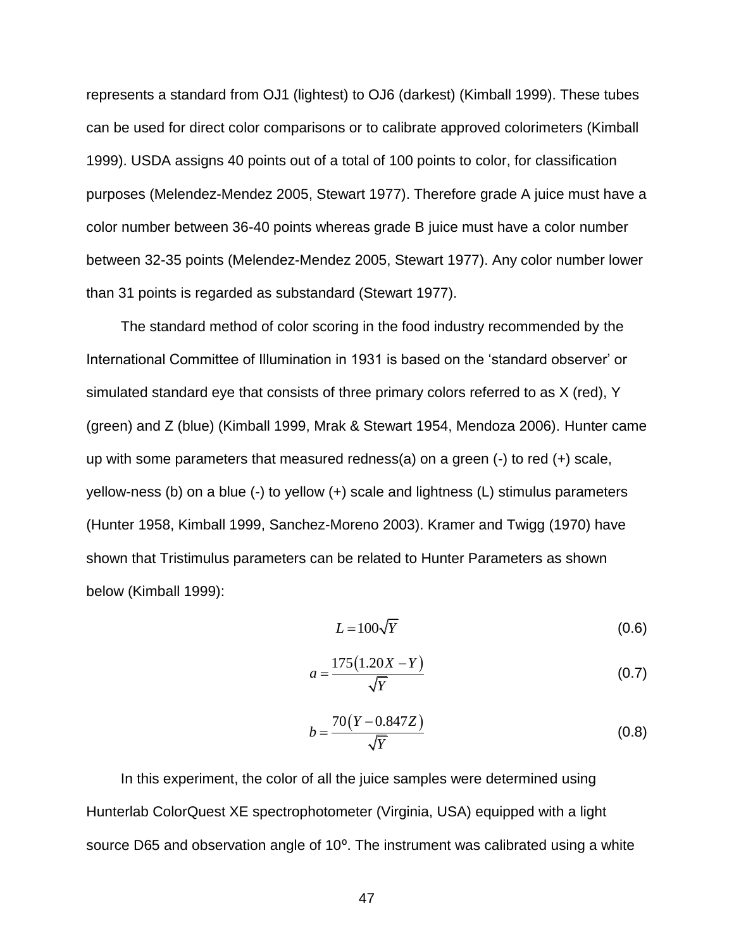represents a standard from OJ1 (lightest) to OJ6 (darkest) (Kimball 1999). These tubes can be used for direct color comparisons or to calibrate approved colorimeters (Kimball 1999). USDA assigns 40 points out of a total of 100 points to color, for classification purposes (Melendez-Mendez 2005, Stewart 1977). Therefore grade A juice must have a color number between 36-40 points whereas grade B juice must have a color number between 32-35 points (Melendez-Mendez 2005, Stewart 1977). Any color number lower than 31 points is regarded as substandard (Stewart 1977).

The standard method of color scoring in the food industry recommended by the International Committee of Illumination in 1931 is based on the 'standard observer' or simulated standard eye that consists of three primary colors referred to as X (red), Y (green) and Z (blue) (Kimball 1999, Mrak & Stewart 1954, Mendoza 2006). Hunter came up with some parameters that measured redness(a) on a green  $(-)$  to red  $(+)$  scale, yellow-ness (b) on a blue (-) to yellow (+) scale and lightness (L) stimulus parameters (Hunter 1958, Kimball 1999, Sanchez-Moreno 2003). Kramer and Twigg (1970) have shown that Tristimulus parameters can be related to Hunter Parameters as shown below (Kimball 1999):

$$
L = 100\sqrt{Y} \tag{0.6}
$$

$$
a = \frac{175(1.20X - Y)}{\sqrt{Y}}
$$
 (0.7)

$$
b = \frac{70(Y - 0.847Z)}{\sqrt{Y}}
$$
 (0.8)

In this experiment, the color of all the juice samples were determined using Hunterlab ColorQuest XE spectrophotometer (Virginia, USA) equipped with a light source D65 and observation angle of 10°. The instrument was calibrated using a white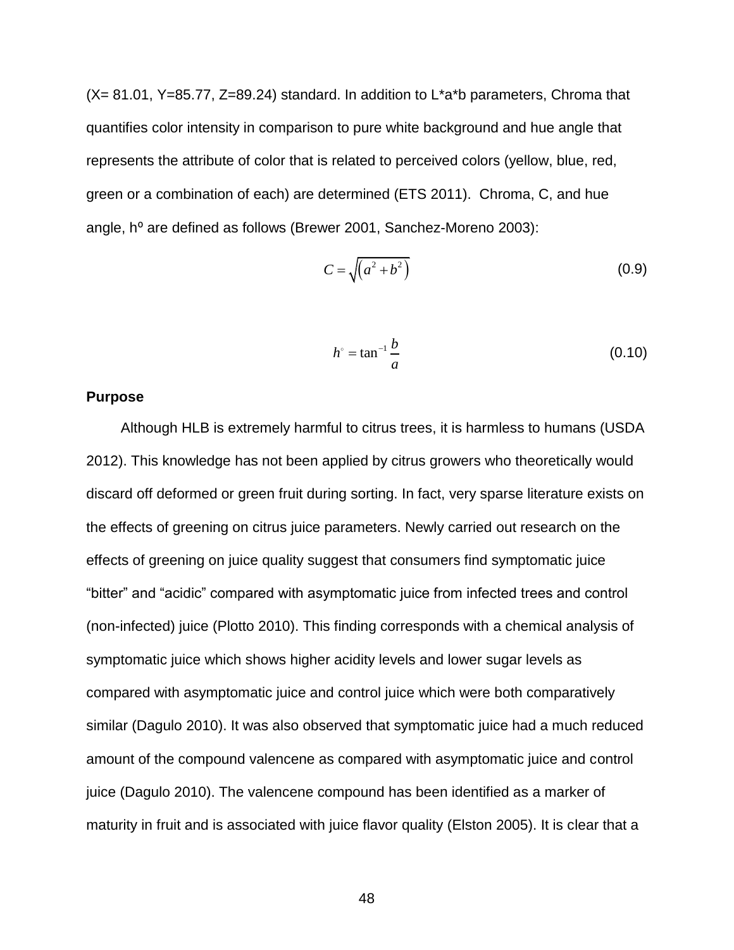$(X= 81.01, Y=85.77, Z=89.24)$  standard. In addition to L<sup>\*</sup>a<sup>\*</sup>b parameters, Chroma that quantifies color intensity in comparison to pure white background and hue angle that represents the attribute of color that is related to perceived colors (yellow, blue, red, green or a combination of each) are determined (ETS 2011). Chroma, C, and hue angle, h<sup>o</sup> are defined as follows (Brewer 2001, Sanchez-Moreno 2003):

$$
C = \sqrt{\left(a^2 + b^2\right)}\tag{0.9}
$$

$$
h^{\circ} = \tan^{-1} \frac{b}{a}
$$
 (0.10)

### **Purpose**

Although HLB is extremely harmful to citrus trees, it is harmless to humans (USDA 2012). This knowledge has not been applied by citrus growers who theoretically would discard off deformed or green fruit during sorting. In fact, very sparse literature exists on the effects of greening on citrus juice parameters. Newly carried out research on the effects of greening on juice quality suggest that consumers find symptomatic juice "bitter" and "acidic" compared with asymptomatic juice from infected trees and control (non-infected) juice (Plotto 2010). This finding corresponds with a chemical analysis of symptomatic juice which shows higher acidity levels and lower sugar levels as compared with asymptomatic juice and control juice which were both comparatively similar (Dagulo 2010). It was also observed that symptomatic juice had a much reduced amount of the compound valencene as compared with asymptomatic juice and control juice (Dagulo 2010). The valencene compound has been identified as a marker of maturity in fruit and is associated with juice flavor quality (Elston 2005). It is clear that a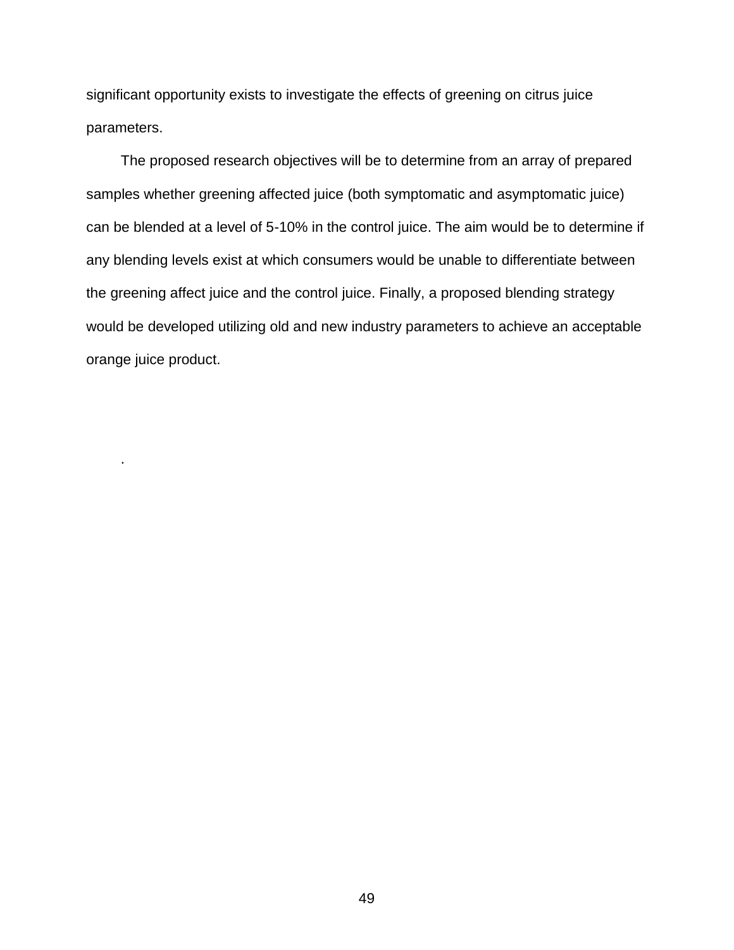significant opportunity exists to investigate the effects of greening on citrus juice parameters.

The proposed research objectives will be to determine from an array of prepared samples whether greening affected juice (both symptomatic and asymptomatic juice) can be blended at a level of 5-10% in the control juice. The aim would be to determine if any blending levels exist at which consumers would be unable to differentiate between the greening affect juice and the control juice. Finally, a proposed blending strategy would be developed utilizing old and new industry parameters to achieve an acceptable orange juice product.

.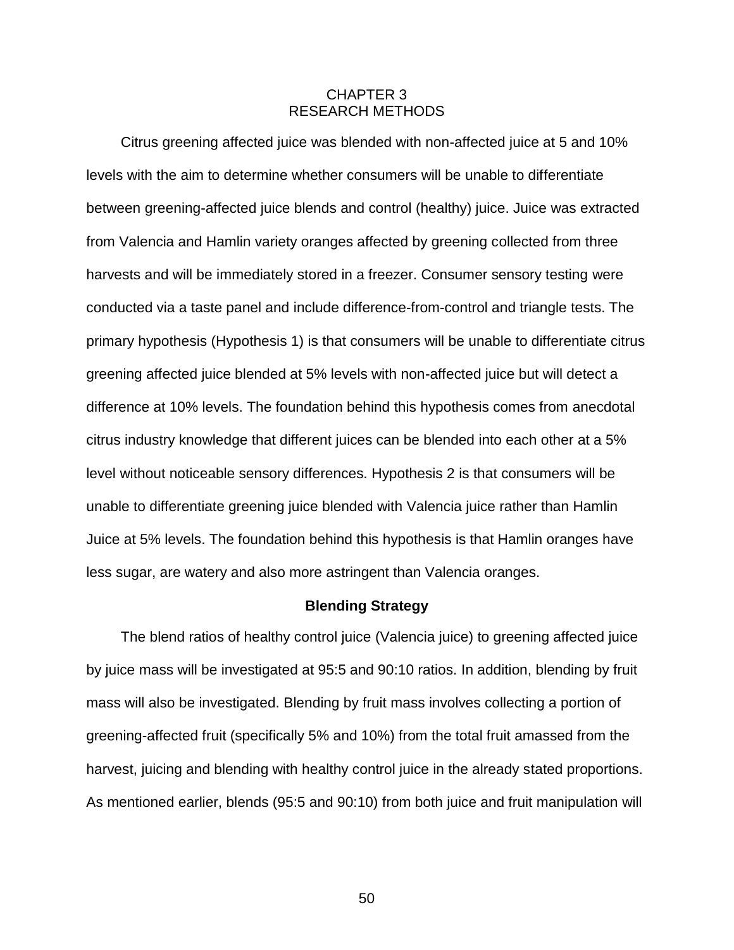### CHAPTER 3 RESEARCH METHODS

Citrus greening affected juice was blended with non-affected juice at 5 and 10% levels with the aim to determine whether consumers will be unable to differentiate between greening-affected juice blends and control (healthy) juice. Juice was extracted from Valencia and Hamlin variety oranges affected by greening collected from three harvests and will be immediately stored in a freezer. Consumer sensory testing were conducted via a taste panel and include difference-from-control and triangle tests. The primary hypothesis (Hypothesis 1) is that consumers will be unable to differentiate citrus greening affected juice blended at 5% levels with non-affected juice but will detect a difference at 10% levels. The foundation behind this hypothesis comes from anecdotal citrus industry knowledge that different juices can be blended into each other at a 5% level without noticeable sensory differences. Hypothesis 2 is that consumers will be unable to differentiate greening juice blended with Valencia juice rather than Hamlin Juice at 5% levels. The foundation behind this hypothesis is that Hamlin oranges have less sugar, are watery and also more astringent than Valencia oranges.

#### **Blending Strategy**

The blend ratios of healthy control juice (Valencia juice) to greening affected juice by juice mass will be investigated at 95:5 and 90:10 ratios. In addition, blending by fruit mass will also be investigated. Blending by fruit mass involves collecting a portion of greening-affected fruit (specifically 5% and 10%) from the total fruit amassed from the harvest, juicing and blending with healthy control juice in the already stated proportions. As mentioned earlier, blends (95:5 and 90:10) from both juice and fruit manipulation will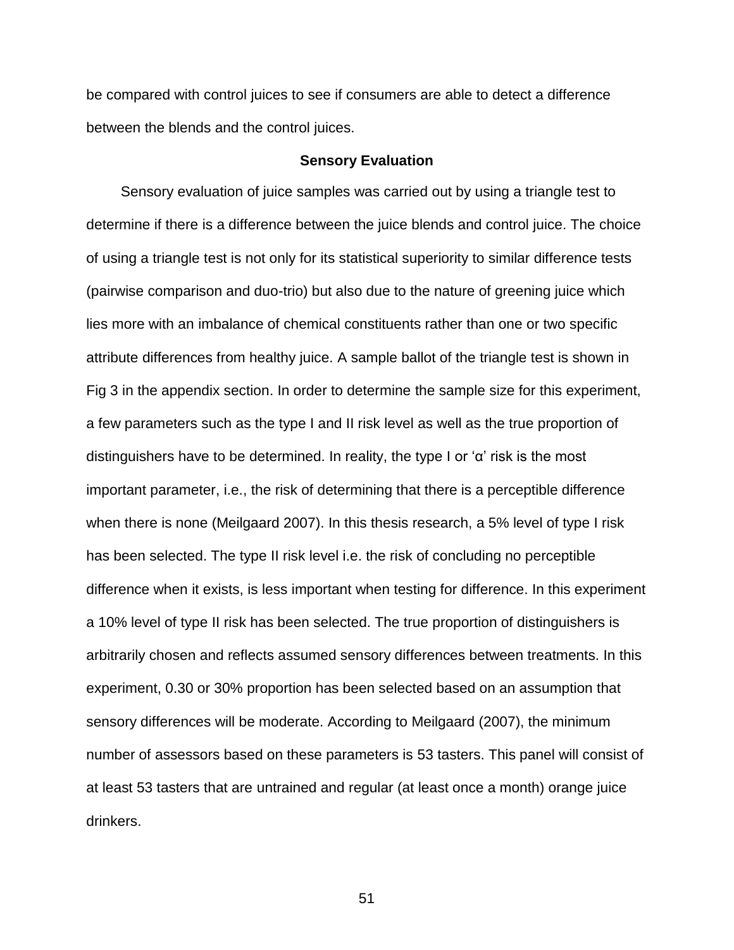be compared with control juices to see if consumers are able to detect a difference between the blends and the control juices.

### **Sensory Evaluation**

Sensory evaluation of juice samples was carried out by using a triangle test to determine if there is a difference between the juice blends and control juice. The choice of using a triangle test is not only for its statistical superiority to similar difference tests (pairwise comparison and duo-trio) but also due to the nature of greening juice which lies more with an imbalance of chemical constituents rather than one or two specific attribute differences from healthy juice. A sample ballot of the triangle test is shown in Fig 3 in the appendix section. In order to determine the sample size for this experiment, a few parameters such as the type I and II risk level as well as the true proportion of distinguishers have to be determined. In reality, the type I or 'α' risk is the most important parameter, i.e., the risk of determining that there is a perceptible difference when there is none (Meilgaard 2007). In this thesis research, a 5% level of type I risk has been selected. The type II risk level i.e. the risk of concluding no perceptible difference when it exists, is less important when testing for difference. In this experiment a 10% level of type II risk has been selected. The true proportion of distinguishers is arbitrarily chosen and reflects assumed sensory differences between treatments. In this experiment, 0.30 or 30% proportion has been selected based on an assumption that sensory differences will be moderate. According to Meilgaard (2007), the minimum number of assessors based on these parameters is 53 tasters. This panel will consist of at least 53 tasters that are untrained and regular (at least once a month) orange juice drinkers.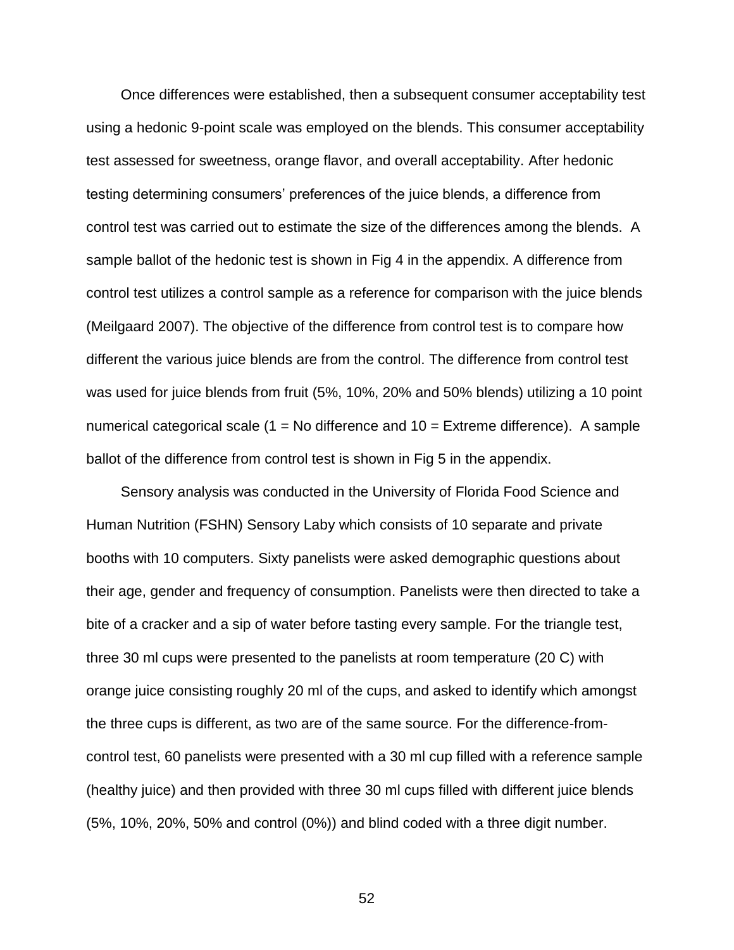Once differences were established, then a subsequent consumer acceptability test using a hedonic 9-point scale was employed on the blends. This consumer acceptability test assessed for sweetness, orange flavor, and overall acceptability. After hedonic testing determining consumers' preferences of the juice blends, a difference from control test was carried out to estimate the size of the differences among the blends. A sample ballot of the hedonic test is shown in Fig 4 in the appendix. A difference from control test utilizes a control sample as a reference for comparison with the juice blends (Meilgaard 2007). The objective of the difference from control test is to compare how different the various juice blends are from the control. The difference from control test was used for juice blends from fruit (5%, 10%, 20% and 50% blends) utilizing a 10 point numerical categorical scale  $(1 = No$  difference and  $10 = Ex$ treme difference). A sample ballot of the difference from control test is shown in Fig 5 in the appendix.

Sensory analysis was conducted in the University of Florida Food Science and Human Nutrition (FSHN) Sensory Laby which consists of 10 separate and private booths with 10 computers. Sixty panelists were asked demographic questions about their age, gender and frequency of consumption. Panelists were then directed to take a bite of a cracker and a sip of water before tasting every sample. For the triangle test, three 30 ml cups were presented to the panelists at room temperature (20 C) with orange juice consisting roughly 20 ml of the cups, and asked to identify which amongst the three cups is different, as two are of the same source. For the difference-fromcontrol test, 60 panelists were presented with a 30 ml cup filled with a reference sample (healthy juice) and then provided with three 30 ml cups filled with different juice blends (5%, 10%, 20%, 50% and control (0%)) and blind coded with a three digit number.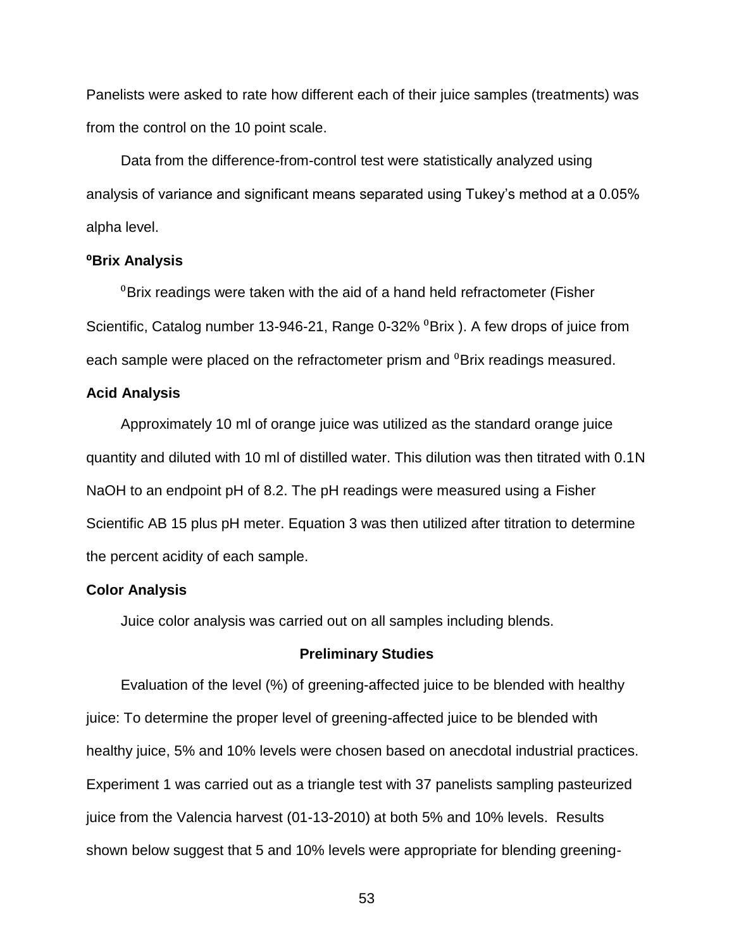Panelists were asked to rate how different each of their juice samples (treatments) was from the control on the 10 point scale.

Data from the difference-from-control test were statistically analyzed using analysis of variance and significant means separated using Tukey's method at a 0.05% alpha level.

#### **⁰Brix Analysis**

 ${}^{0}$ Brix readings were taken with the aid of a hand held refractometer (Fisher Scientific, Catalog number 13-946-21, Range 0-32% <sup>0</sup>Brix ). A few drops of juice from each sample were placed on the refractometer prism and <sup>0</sup>Brix readings measured.

#### **Acid Analysis**

Approximately 10 ml of orange juice was utilized as the standard orange juice quantity and diluted with 10 ml of distilled water. This dilution was then titrated with 0.1N NaOH to an endpoint pH of 8.2. The pH readings were measured using a Fisher Scientific AB 15 plus pH meter. Equation 3 was then utilized after titration to determine the percent acidity of each sample.

### **Color Analysis**

Juice color analysis was carried out on all samples including blends.

### **Preliminary Studies**

Evaluation of the level (%) of greening-affected juice to be blended with healthy juice: To determine the proper level of greening-affected juice to be blended with healthy juice, 5% and 10% levels were chosen based on anecdotal industrial practices. Experiment 1 was carried out as a triangle test with 37 panelists sampling pasteurized juice from the Valencia harvest (01-13-2010) at both 5% and 10% levels. Results shown below suggest that 5 and 10% levels were appropriate for blending greening-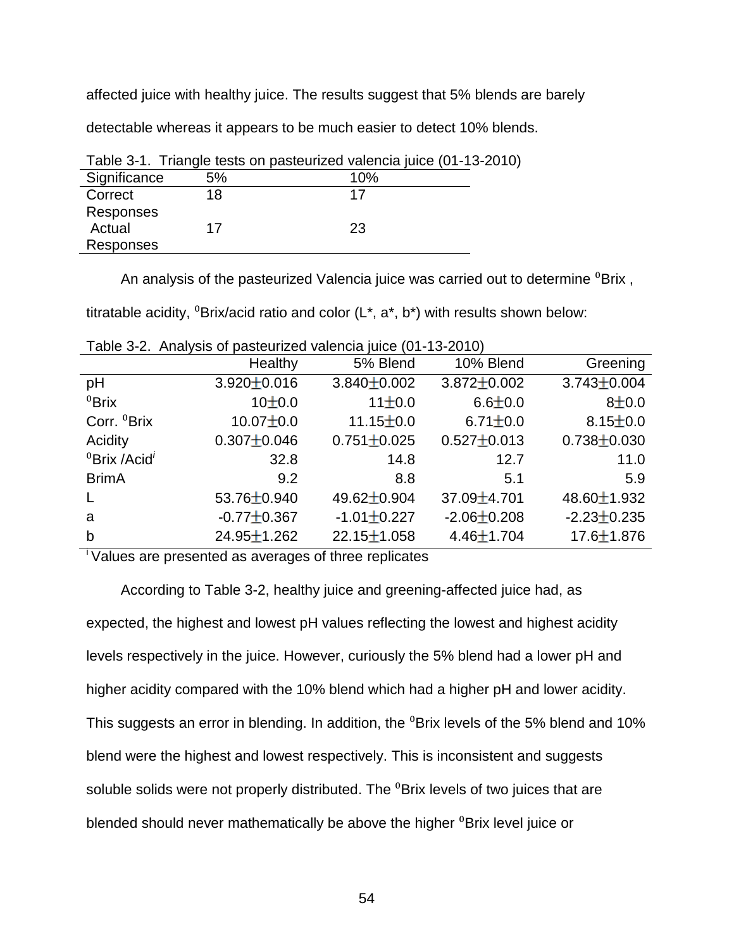affected juice with healthy juice. The results suggest that 5% blends are barely

detectable whereas it appears to be much easier to detect 10% blends.

|              |    | Table 3-1. Thangle lests on pasteurized valencia juice (01-13-20 |  |
|--------------|----|------------------------------------------------------------------|--|
| Significance | 5% | 10%                                                              |  |
| Correct      | 18 |                                                                  |  |
| Responses    |    |                                                                  |  |
| Actual       | 17 | 23                                                               |  |
| Responses    |    |                                                                  |  |

Table 3-1. Triangle tests on pasteurized valencia juice (01-13-2010)

An analysis of the pasteurized Valencia juice was carried out to determine <sup>0</sup>Brix,

titratable acidity,  ${}^{0}$ Brix/acid ratio and color (L<sup>\*</sup>, a<sup>\*</sup>, b<sup>\*</sup>) with results shown below:

|                                      | Healthy           | 5% Blend          | 10% Blend         | Greening          |
|--------------------------------------|-------------------|-------------------|-------------------|-------------------|
| pH                                   | $3.920 \pm 0.016$ | $3.840 \pm 0.002$ | $3.872 \pm 0.002$ | $3.743 \pm 0.004$ |
| ${}^{0}$ Brix                        | $10+0.0$          | 11±0.0            | $6.6 \pm 0.0$     | $8 + 0.0$         |
| Corr. <sup>0</sup> Brix              | $10.07 \pm 0.0$   | $11.15 \pm 0.0$   | $6.71 \pm 0.0$    | $8.15 \pm 0.0$    |
| Acidity                              | $0.307 \pm 0.046$ | $0.751 \pm 0.025$ | $0.527 \pm 0.013$ | $0.738 \pm 0.030$ |
| <sup>0</sup> Brix /Acid <sup>i</sup> | 32.8              | 14.8              | 12.7              | 11.0              |
| <b>BrimA</b>                         | 9.2               | 8.8               | 5.1               | 5.9               |
| $\mathsf{L}$                         | 53.76±0.940       | 49.62 ± 0.904     | $37.09 \pm 4.701$ | $48.60 \pm 1.932$ |
| a                                    | $-0.77 \pm 0.367$ | $-1.01 \pm 0.227$ | $-2.06 \pm 0.208$ | $-2.23 \pm 0.235$ |
| $\mathsf{b}$                         | $24.95 \pm 1.262$ | $22.15 \pm 1.058$ | $4.46 \pm 1.704$  | $17.6 \pm 1.876$  |

Table 3-2. Analysis of pasteurized valencia juice (01-13-2010)

<sup>1</sup> Values are presented as averages of three replicates

According to Table 3-2, healthy juice and greening-affected juice had, as expected, the highest and lowest pH values reflecting the lowest and highest acidity levels respectively in the juice. However, curiously the 5% blend had a lower pH and higher acidity compared with the 10% blend which had a higher pH and lower acidity. This suggests an error in blending. In addition, the  ${}^{0}$ Brix levels of the 5% blend and 10% blend were the highest and lowest respectively. This is inconsistent and suggests soluble solids were not properly distributed. The <sup>0</sup>Brix levels of two juices that are blended should never mathematically be above the higher <sup>0</sup>Brix level juice or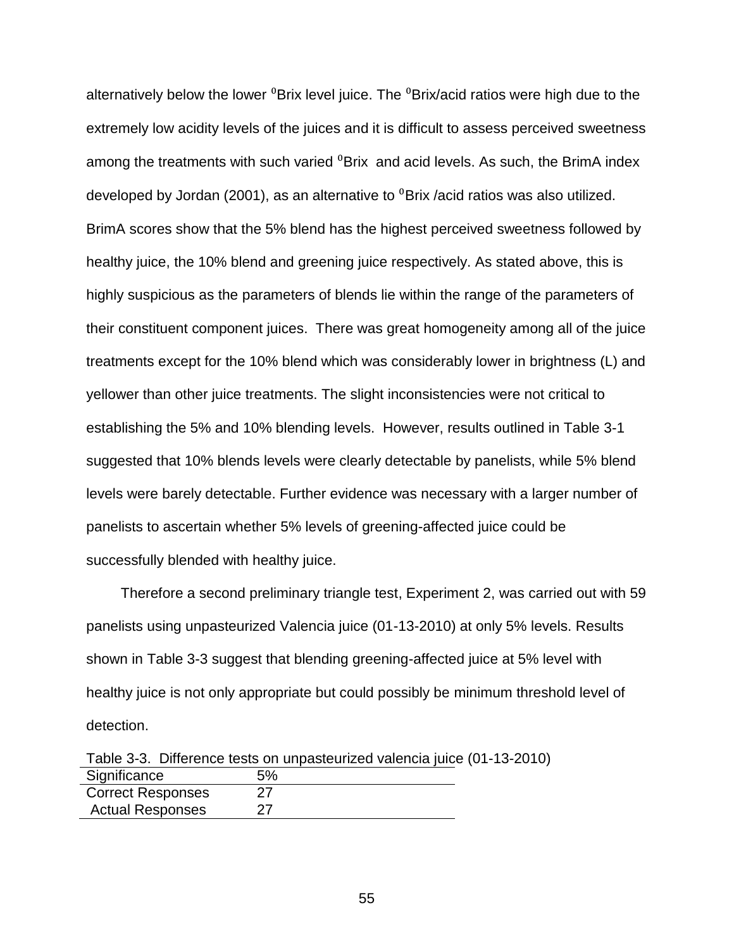alternatively below the lower  ${}^{0}$ Brix level juice. The  ${}^{0}$ Brix/acid ratios were high due to the extremely low acidity levels of the juices and it is difficult to assess perceived sweetness among the treatments with such varied <sup>0</sup>Brix and acid levels. As such, the BrimA index developed by Jordan (2001), as an alternative to  $^{0}$ Brix /acid ratios was also utilized. BrimA scores show that the 5% blend has the highest perceived sweetness followed by healthy juice, the 10% blend and greening juice respectively. As stated above, this is highly suspicious as the parameters of blends lie within the range of the parameters of their constituent component juices. There was great homogeneity among all of the juice treatments except for the 10% blend which was considerably lower in brightness (L) and yellower than other juice treatments. The slight inconsistencies were not critical to establishing the 5% and 10% blending levels. However, results outlined in Table 3-1 suggested that 10% blends levels were clearly detectable by panelists, while 5% blend levels were barely detectable. Further evidence was necessary with a larger number of panelists to ascertain whether 5% levels of greening-affected juice could be successfully blended with healthy juice.

Therefore a second preliminary triangle test, Experiment 2, was carried out with 59 panelists using unpasteurized Valencia juice (01-13-2010) at only 5% levels. Results shown in Table 3-3 suggest that blending greening-affected juice at 5% level with healthy juice is not only appropriate but could possibly be minimum threshold level of detection.

|                          | Table 3-3. Difference tests on unpasteurized valencia juice (01-13-2010) |  |
|--------------------------|--------------------------------------------------------------------------|--|
| Significance             | 5%                                                                       |  |
| <b>Correct Responses</b> | 27                                                                       |  |
| <b>Actual Responses</b>  | 27                                                                       |  |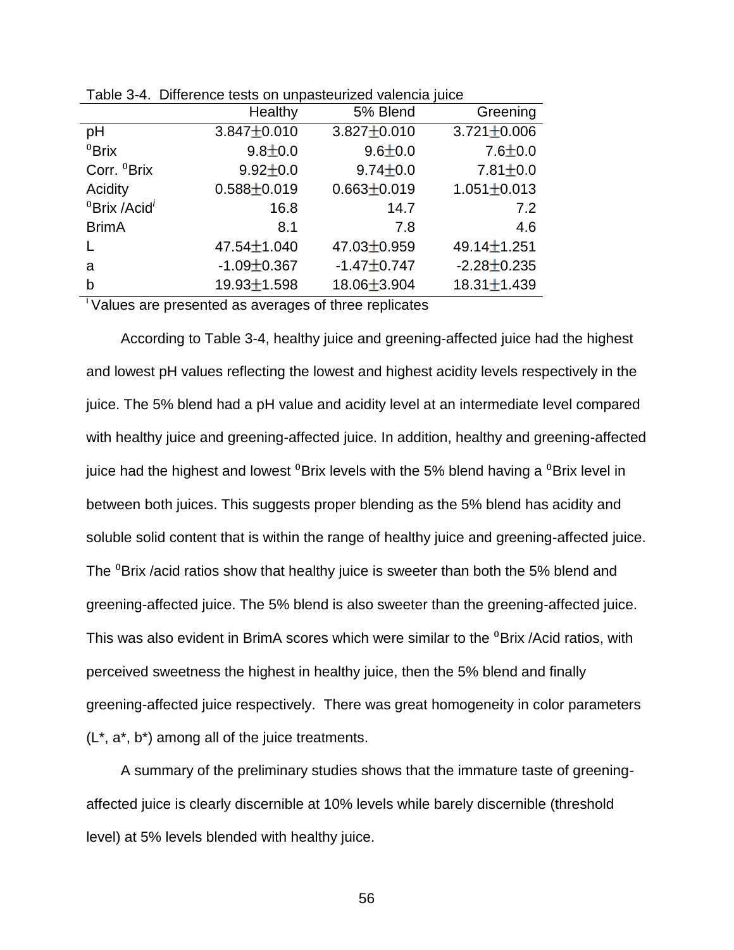|                                      | Healthy           | 5% Blend          | Greening          |
|--------------------------------------|-------------------|-------------------|-------------------|
| рH                                   | $3.847 \pm 0.010$ | $3.827 \pm 0.010$ | $3.721 \pm 0.006$ |
| ${}^{0}$ Brix                        | $9.8 \pm 0.0$     | $9.6 \pm 0.0$     | $7.6 \pm 0.0$     |
| Corr. <sup>0</sup> Brix              | $9.92 \pm 0.0$    | $9.74 \pm 0.0$    | $7.81 \pm 0.0$    |
| Acidity                              | $0.588 \pm 0.019$ | $0.663 \pm 0.019$ | $1.051 \pm 0.013$ |
| <sup>0</sup> Brix /Acid <sup>i</sup> | 16.8              | 14.7              | 7.2               |
| <b>BrimA</b>                         | 8.1               | 7.8               | 4.6               |
|                                      | 47.54 $\pm$ 1.040 | 47.03±0.959       | $49.14 \pm 1.251$ |
| a                                    | $-1.09 \pm 0.367$ | $-1.47 \pm 0.747$ | $-2.28 \pm 0.235$ |
| b                                    | $19.93 \pm 1.598$ | 18.06±3.904       | $18.31 \pm 1.439$ |

Table 3-4. Difference tests on unpasteurized valencia juice

<sup>i</sup>Values are presented as averages of three replicates

According to Table 3-4, healthy juice and greening-affected juice had the highest and lowest pH values reflecting the lowest and highest acidity levels respectively in the juice. The 5% blend had a pH value and acidity level at an intermediate level compared with healthy juice and greening-affected juice. In addition, healthy and greening-affected juice had the highest and lowest  $^0$ Brix levels with the 5% blend having a  $^0$ Brix level in between both juices. This suggests proper blending as the 5% blend has acidity and soluble solid content that is within the range of healthy juice and greening-affected juice. The <sup>0</sup>Brix /acid ratios show that healthy juice is sweeter than both the 5% blend and greening-affected juice. The 5% blend is also sweeter than the greening-affected juice. This was also evident in BrimA scores which were similar to the <sup>0</sup>Brix /Acid ratios, with perceived sweetness the highest in healthy juice, then the 5% blend and finally greening-affected juice respectively. There was great homogeneity in color parameters (L\*, a\*, b\*) among all of the juice treatments.

A summary of the preliminary studies shows that the immature taste of greeningaffected juice is clearly discernible at 10% levels while barely discernible (threshold level) at 5% levels blended with healthy juice.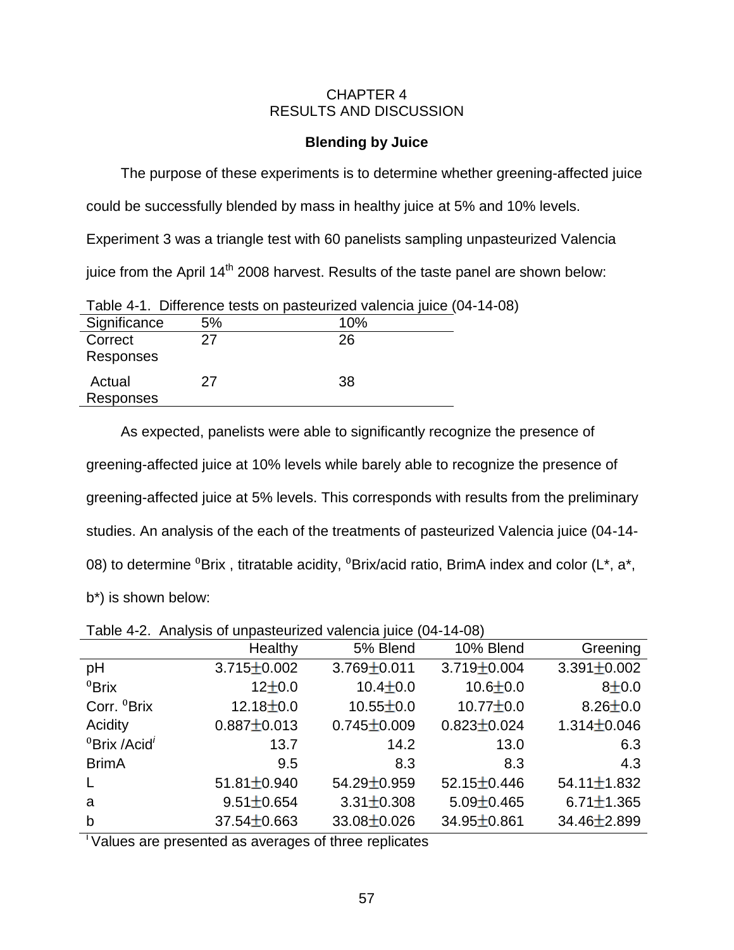### CHAPTER 4 RESULTS AND DISCUSSION

## **Blending by Juice**

The purpose of these experiments is to determine whether greening-affected juice

could be successfully blended by mass in healthy juice at 5% and 10% levels.

Experiment 3 was a triangle test with 60 panelists sampling unpasteurized Valencia

iuice from the April  $14<sup>th</sup>$  2008 harvest. Results of the taste panel are shown below:

|                      |    | Table 4-1. Difference tests on pasteurized valencia juice (04-14-08) |
|----------------------|----|----------------------------------------------------------------------|
| Significance         | 5% | 10%                                                                  |
| Correct<br>Responses | 27 | 26                                                                   |
| Actual<br>Responses  | 27 | 38                                                                   |

As expected, panelists were able to significantly recognize the presence of greening-affected juice at 10% levels while barely able to recognize the presence of greening-affected juice at 5% levels. This corresponds with results from the preliminary studies. An analysis of the each of the treatments of pasteurized Valencia juice (04-14- 08) to determine  ${}^{0}B$ rix, titratable acidity,  ${}^{0}B$ rix/acid ratio, BrimA index and color (L\*, a\*, b\*) is shown below:

Table 4-2. Analysis of unpasteurized valencia juice (04-14-08)

|                                               | Healthy           | 5% Blend          | 10% Blend         | Greening          |
|-----------------------------------------------|-------------------|-------------------|-------------------|-------------------|
| pH                                            | $3.715 \pm 0.002$ | $3.769 \pm 0.011$ | $3.719 \pm 0.004$ | $3.391 \pm 0.002$ |
| ${}^{0}$ Brix                                 | $12+0.0$          | $10.4 \pm 0.0$    | $10.6 \pm 0.0$    | $8 + 0.0$         |
| Corr. <sup>0</sup> Brix                       | $12.18 \pm 0.0$   | $10.55 \pm 0.0$   | $10.77 \pm 0.0$   | $8.26 \pm 0.0$    |
| Acidity                                       | $0.887 \pm 0.013$ | $0.745 \pm 0.009$ | $0.823 \pm 0.024$ | $1.314 \pm 0.046$ |
| ${}^{0}$ Brix /Acid <sup><math>'</math></sup> | 13.7              | 14.2              | 13.0              | 6.3               |
| <b>BrimA</b>                                  | 9.5               | 8.3               | 8.3               | 4.3               |
| $\mathsf{L}$                                  | $51.81 \pm 0.940$ | 54.29±0.959       | 52.15 $\pm$ 0.446 | $54.11 \pm 1.832$ |
| a                                             | $9.51 \pm 0.654$  | $3.31 \pm 0.308$  | $5.09 \pm 0.465$  | $6.71 \pm 1.365$  |
| $\mathsf b$                                   | $37.54 \pm 0.663$ | $33.08 + 0.026$   | 34.95±0.861       | $34.46 \pm 2.899$ |

<sup>i</sup>Values are presented as averages of three replicates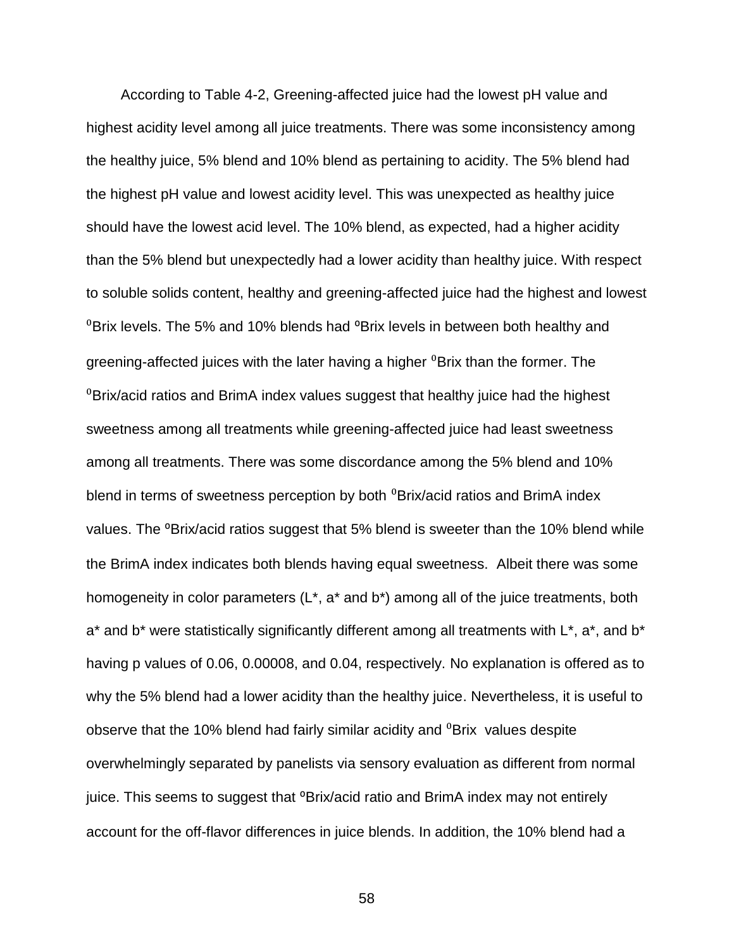According to Table 4-2, Greening-affected juice had the lowest pH value and highest acidity level among all juice treatments. There was some inconsistency among the healthy juice, 5% blend and 10% blend as pertaining to acidity. The 5% blend had the highest pH value and lowest acidity level. This was unexpected as healthy juice should have the lowest acid level. The 10% blend, as expected, had a higher acidity than the 5% blend but unexpectedly had a lower acidity than healthy juice. With respect to soluble solids content, healthy and greening-affected juice had the highest and lowest  $\mathrm{^0}$ Brix levels. The 5% and 10% blends had  $\mathrm{^0}$ Brix levels in between both healthy and greening-affected juices with the later having a higher <sup>0</sup>Brix than the former. The  $\mathrm{PBrix}/\mathrm{acid}$  ratios and BrimA index values suggest that healthy juice had the highest sweetness among all treatments while greening-affected juice had least sweetness among all treatments. There was some discordance among the 5% blend and 10% blend in terms of sweetness perception by both  ${}^{0}$ Brix/acid ratios and BrimA index values. The <sup>o</sup>Brix/acid ratios suggest that 5% blend is sweeter than the 10% blend while the BrimA index indicates both blends having equal sweetness. Albeit there was some homogeneity in color parameters (L<sup>\*</sup>, a<sup>\*</sup> and b<sup>\*</sup>) among all of the juice treatments, both  $a^*$  and b<sup>\*</sup> were statistically significantly different among all treatments with  $L^*$ ,  $a^*$ , and  $b^*$ having p values of 0.06, 0.00008, and 0.04, respectively. No explanation is offered as to why the 5% blend had a lower acidity than the healthy juice. Nevertheless, it is useful to observe that the 10% blend had fairly similar acidity and <sup>0</sup>Brix values despite overwhelmingly separated by panelists via sensory evaluation as different from normal juice. This seems to suggest that <sup>o</sup>Brix/acid ratio and BrimA index may not entirely account for the off-flavor differences in juice blends. In addition, the 10% blend had a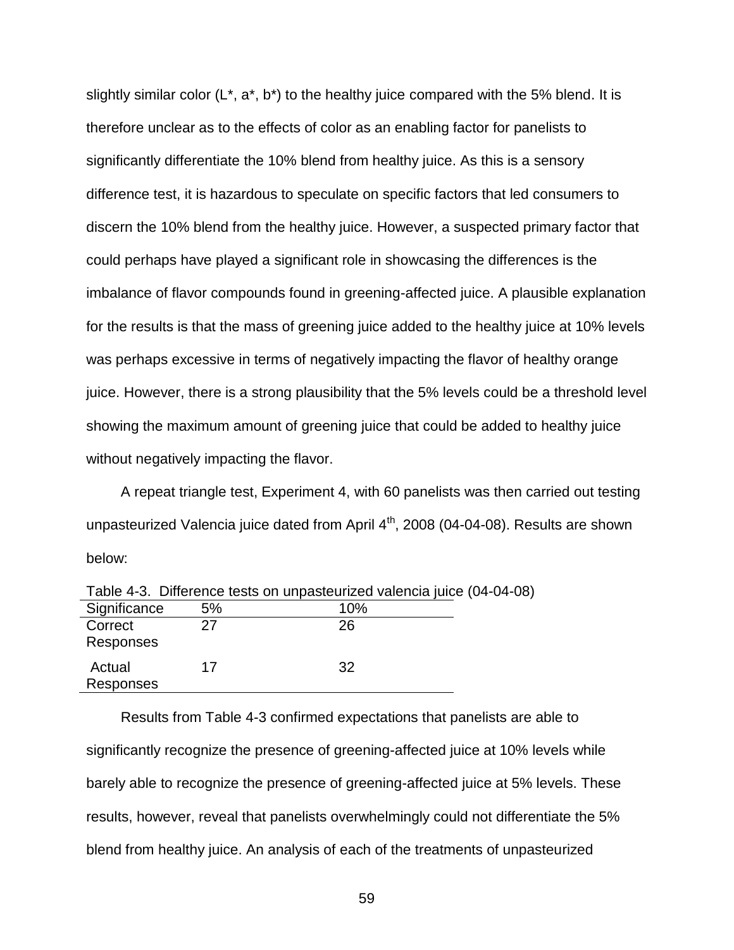slightly similar color  $(L^*, a^*, b^*)$  to the healthy juice compared with the 5% blend. It is therefore unclear as to the effects of color as an enabling factor for panelists to significantly differentiate the 10% blend from healthy juice. As this is a sensory difference test, it is hazardous to speculate on specific factors that led consumers to discern the 10% blend from the healthy juice. However, a suspected primary factor that could perhaps have played a significant role in showcasing the differences is the imbalance of flavor compounds found in greening-affected juice. A plausible explanation for the results is that the mass of greening juice added to the healthy juice at 10% levels was perhaps excessive in terms of negatively impacting the flavor of healthy orange juice. However, there is a strong plausibility that the 5% levels could be a threshold level showing the maximum amount of greening juice that could be added to healthy juice without negatively impacting the flavor.

A repeat triangle test, Experiment 4, with 60 panelists was then carried out testing unpasteurized Valencia juice dated from April 4<sup>th</sup>, 2008 (04-04-08). Results are shown below:

|                      |    | Table 4-3. Difference tests on unpasteurized valencia juice (04-04-08 |  |
|----------------------|----|-----------------------------------------------------------------------|--|
| Significance         | 5% | 10%                                                                   |  |
| Correct<br>Responses | 27 | 26                                                                    |  |
| Actual<br>Responses  | 17 | 32                                                                    |  |

Results from Table 4-3 confirmed expectations that panelists are able to significantly recognize the presence of greening-affected juice at 10% levels while barely able to recognize the presence of greening-affected juice at 5% levels. These results, however, reveal that panelists overwhelmingly could not differentiate the 5% blend from healthy juice. An analysis of each of the treatments of unpasteurized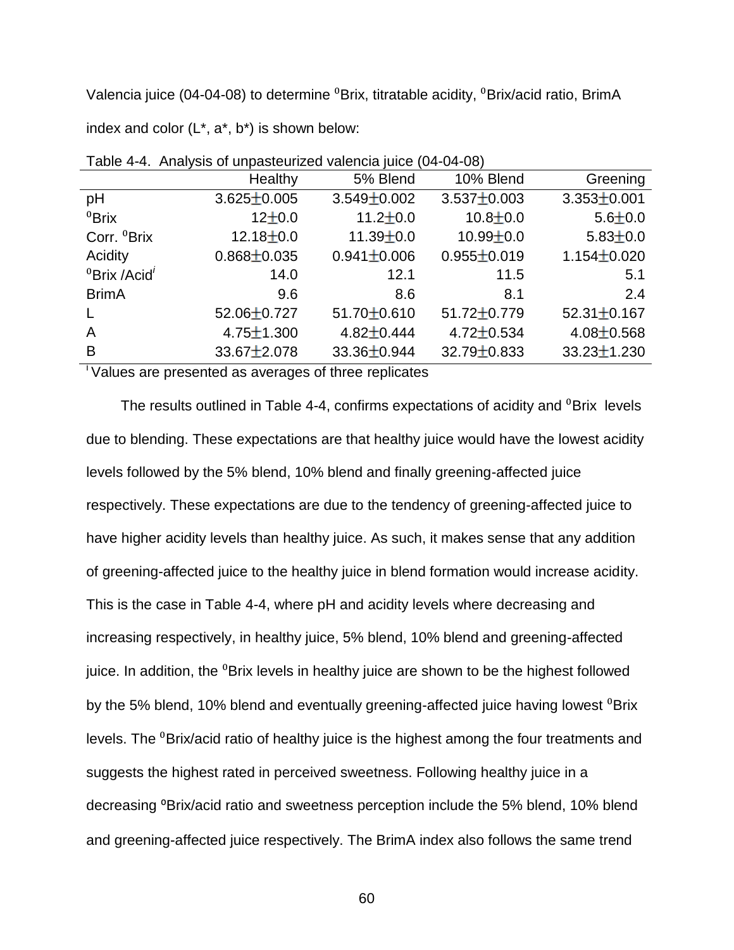Valencia juice (04-04-08) to determine  ${}^{0}$ Brix, titratable acidity,  ${}^{0}$ Brix/acid ratio, BrimA index and color  $(L^*, a^*, b^*)$  is shown below:

|                                      | Healthy           | 5% Blend          | 10% Blend         | Greening          |
|--------------------------------------|-------------------|-------------------|-------------------|-------------------|
| рH                                   | $3.625 \pm 0.005$ | $3.549 \pm 0.002$ | $3.537 \pm 0.003$ | $3.353 \pm 0.001$ |
| ${}^{0}$ Brix                        | $12+0.0$          | $11.2 \pm 0.0$    | $10.8 + 0.0$      | $5.6 \pm 0.0$     |
| Corr. <sup>0</sup> Brix              | $12.18 \pm 0.0$   | $11.39 \pm 0.0$   | $10.99 \pm 0.0$   | $5.83 \pm 0.0$    |
| Acidity                              | $0.868 \pm 0.035$ | $0.941 \pm 0.006$ | $0.955 \pm 0.019$ | $1.154 \pm 0.020$ |
| <sup>0</sup> Brix /Acid <sup>'</sup> | 14.0              | 12.1              | 11.5              | 5.1               |
| <b>BrimA</b>                         | 9.6               | 8.6               | 8.1               | 2.4               |
|                                      | 52.06±0.727       | $51.70 \pm 0.610$ | $51.72 \pm 0.779$ | $52.31 \pm 0.167$ |
| A                                    | $4.75 \pm 1.300$  | $4.82 \pm 0.444$  | $4.72 \pm 0.534$  | $4.08 \pm 0.568$  |
| B                                    | $33.67 \pm 2.078$ | 33.36±0.944       | 32.79±0.833       | $33.23 \pm 1.230$ |
|                                      |                   |                   |                   |                   |

Table 4-4. Analysis of unpasteurized valencia juice (04-04-08)

 $\overline{\phantom{a}}$  Values are presented as averages of three replicates

The results outlined in Table 4-4, confirms expectations of acidity and <sup>0</sup>Brix levels due to blending. These expectations are that healthy juice would have the lowest acidity levels followed by the 5% blend, 10% blend and finally greening-affected juice respectively. These expectations are due to the tendency of greening-affected juice to have higher acidity levels than healthy juice. As such, it makes sense that any addition of greening-affected juice to the healthy juice in blend formation would increase acidity. This is the case in Table 4-4, where pH and acidity levels where decreasing and increasing respectively, in healthy juice, 5% blend, 10% blend and greening-affected juice. In addition, the <sup>0</sup>Brix levels in healthy juice are shown to be the highest followed by the 5% blend, 10% blend and eventually greening-affected juice having lowest  ${}^{0}$ Brix levels. The <sup>0</sup>Brix/acid ratio of healthy juice is the highest among the four treatments and suggests the highest rated in perceived sweetness. Following healthy juice in a decreasing <sup>o</sup>Brix/acid ratio and sweetness perception include the 5% blend, 10% blend and greening-affected juice respectively. The BrimA index also follows the same trend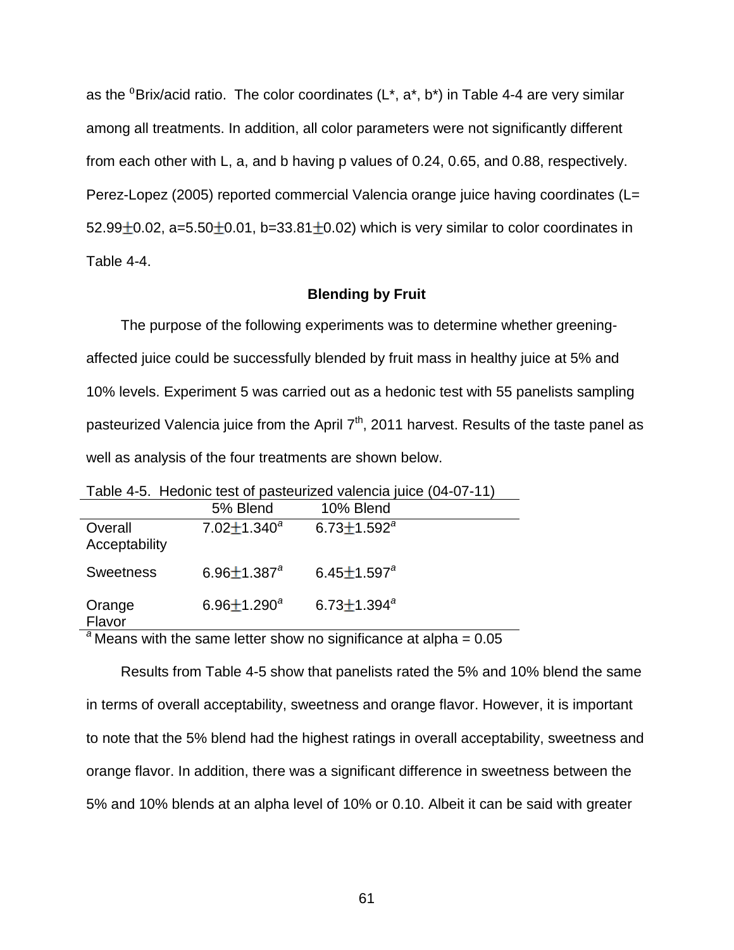as the <sup>0</sup>Brix/acid ratio. The color coordinates ( $L^*$ ,  $a^*$ ,  $b^*$ ) in Table 4-4 are very similar among all treatments. In addition, all color parameters were not significantly different from each other with L, a, and b having p values of 0.24, 0.65, and 0.88, respectively. Perez-Lopez (2005) reported commercial Valencia orange juice having coordinates (L= 52.99 $\pm$ 0.02, a=5.50 $\pm$ 0.01, b=33.81 $\pm$ 0.02) which is very similar to color coordinates in Table 4-4.

### **Blending by Fruit**

The purpose of the following experiments was to determine whether greeningaffected juice could be successfully blended by fruit mass in healthy juice at 5% and 10% levels. Experiment 5 was carried out as a hedonic test with 55 panelists sampling pasteurized Valencia juice from the April  $7<sup>th</sup>$ , 2011 harvest. Results of the taste panel as well as analysis of the four treatments are shown below.

|                          |                               | <u>Lapic +-0. TIGUULIIU lGSL UL pastGuTLCU ValGHUIA JUIUG (U+-07-TT)</u> |
|--------------------------|-------------------------------|--------------------------------------------------------------------------|
|                          | 5% Blend                      | 10% Blend                                                                |
| Overall<br>Acceptability | 7.02 $\pm$ 1.340 <sup>a</sup> | $6.73 \pm 1.592^a$                                                       |
| <b>Sweetness</b>         | 6.96 $\pm$ 1.387 $^{a}$       | $6.45 \pm 1.597^a$                                                       |
| Orange<br>Flavor         | $6.96 \pm 1.290^a$            | 6.73 $\pm$ 1.394 $a$                                                     |

Table 4-5. Hedonic test of pasteurized valencia juice (04-07-11)

 $a^2$  Means with the same letter show no significance at alpha =  $0.05$ 

Results from Table 4-5 show that panelists rated the 5% and 10% blend the same in terms of overall acceptability, sweetness and orange flavor. However, it is important to note that the 5% blend had the highest ratings in overall acceptability, sweetness and orange flavor. In addition, there was a significant difference in sweetness between the 5% and 10% blends at an alpha level of 10% or 0.10. Albeit it can be said with greater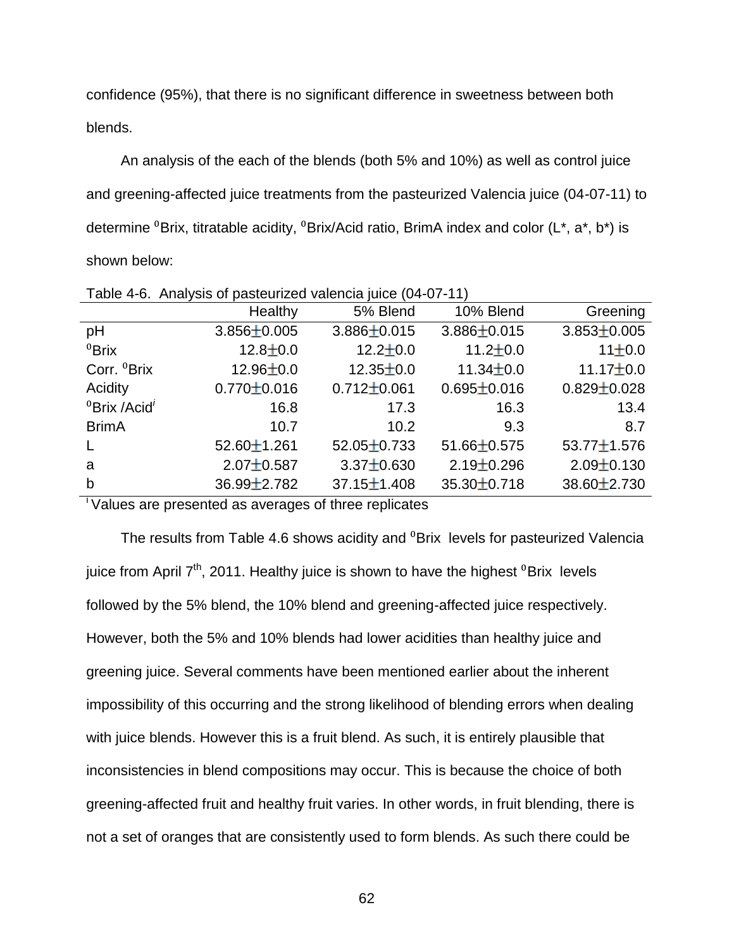confidence (95%), that there is no significant difference in sweetness between both blends.

An analysis of the each of the blends (both 5% and 10%) as well as control juice and greening-affected juice treatments from the pasteurized Valencia juice (04-07-11) to determine  ${}^{0}$ Brix, titratable acidity,  ${}^{0}$ Brix/Acid ratio, BrimA index and color (L\*, a\*, b\*) is shown below:

|                                               | Healthy           | 5% Blend          | 10% Blend         | Greening          |
|-----------------------------------------------|-------------------|-------------------|-------------------|-------------------|
| pH                                            | $3.856 \pm 0.005$ | $3.886 \pm 0.015$ | $3.886 \pm 0.015$ | $3.853 \pm 0.005$ |
| ${}^{0}$ Brix                                 | $12.8 \pm 0.0$    | $12.2 \pm 0.0$    | 11.2 $\pm$ 0.0    | 11±0.0            |
| Corr. <sup>0</sup> Brix                       | $12.96 \pm 0.0$   | $12.35 \pm 0.0$   | 11.34 $\pm$ 0.0   | $11.17 \pm 0.0$   |
| Acidity                                       | $0.770 \pm 0.016$ | $0.712 \pm 0.061$ | $0.695 \pm 0.016$ | $0.829 \pm 0.028$ |
| ${}^{0}$ Brix /Acid <sup><math>'</math></sup> | 16.8              | 17.3              | 16.3              | 13.4              |
| <b>BrimA</b>                                  | 10.7              | 10.2              | 9.3               | 8.7               |
|                                               | $52.60 \pm 1.261$ | $52.05 \pm 0.733$ | 51.66±0.575       | $53.77 \pm 1.576$ |
| a                                             | $2.07 \pm 0.587$  | $3.37 \pm 0.630$  | $2.19 \pm 0.296$  | $2.09 \pm 0.130$  |
| b                                             | $36.99 \pm 2.782$ | $37.15 \pm 1.408$ | $35.30 \pm 0.718$ | $38.60 \pm 2.730$ |

Table 4-6. Analysis of pasteurized valencia juice (04-07-11)

 $\overline{\phantom{a}}$  Values are presented as averages of three replicates

The results from Table 4.6 shows acidity and <sup>0</sup>Brix levels for pasteurized Valencia juice from April  $7<sup>th</sup>$ , 2011. Healthy juice is shown to have the highest  $^0$ Brix levels followed by the 5% blend, the 10% blend and greening-affected juice respectively. However, both the 5% and 10% blends had lower acidities than healthy juice and greening juice. Several comments have been mentioned earlier about the inherent impossibility of this occurring and the strong likelihood of blending errors when dealing with juice blends. However this is a fruit blend. As such, it is entirely plausible that inconsistencies in blend compositions may occur. This is because the choice of both greening-affected fruit and healthy fruit varies. In other words, in fruit blending, there is not a set of oranges that are consistently used to form blends. As such there could be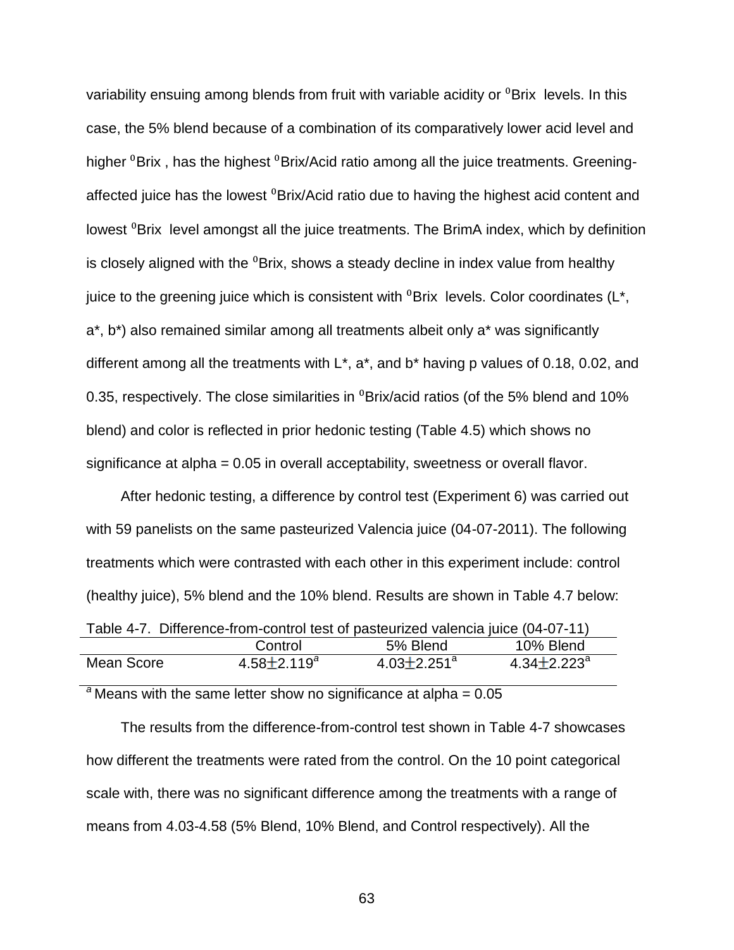variability ensuing among blends from fruit with variable acidity or  ${}^{0}$ Brix levels. In this case, the 5% blend because of a combination of its comparatively lower acid level and higher <sup>o</sup>Brix, has the highest <sup>o</sup>Brix/Acid ratio among all the juice treatments. Greeningaffected juice has the lowest <sup>0</sup>Brix/Acid ratio due to having the highest acid content and lowest <sup>o</sup>Brix level amongst all the juice treatments. The BrimA index, which by definition is closely aligned with the <sup>0</sup>Brix, shows a steady decline in index value from healthy juice to the greening juice which is consistent with  ${}^{0}$ Brix levels. Color coordinates ( $L^*$ , a\*, b\*) also remained similar among all treatments albeit only a\* was significantly different among all the treatments with L\*, a\*, and b\* having p values of 0.18, 0.02, and 0.35, respectively. The close similarities in  $\textdegree$ Brix/acid ratios (of the 5% blend and 10% blend) and color is reflected in prior hedonic testing (Table 4.5) which shows no significance at alpha = 0.05 in overall acceptability, sweetness or overall flavor.

After hedonic testing, a difference by control test (Experiment 6) was carried out with 59 panelists on the same pasteurized Valencia juice (04-07-2011). The following treatments which were contrasted with each other in this experiment include: control (healthy juice), 5% blend and the 10% blend. Results are shown in Table 4.7 below:

|            | Table 4-7. Difference-from-control test of pasteurized valencia juice (04-07-11) |                               |                               |  |  |  |  |
|------------|----------------------------------------------------------------------------------|-------------------------------|-------------------------------|--|--|--|--|
|            | Control                                                                          | .5% Blend                     | 10% Blend                     |  |  |  |  |
| Mean Score | $4.58 \pm 2.119^a$                                                               | $4.03 \pm 2.251$ <sup>a</sup> | $4.34 \pm 2.223$ <sup>a</sup> |  |  |  |  |

 $a^2$  Means with the same letter show no significance at alpha =  $0.05$ 

The results from the difference-from-control test shown in Table 4-7 showcases how different the treatments were rated from the control. On the 10 point categorical scale with, there was no significant difference among the treatments with a range of means from 4.03-4.58 (5% Blend, 10% Blend, and Control respectively). All the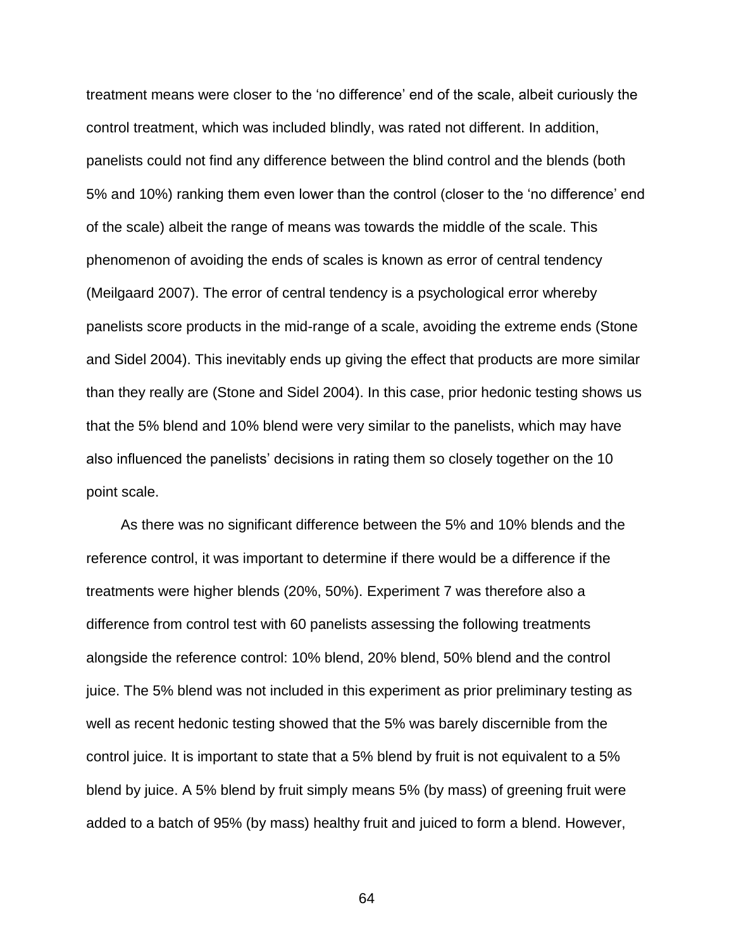treatment means were closer to the 'no difference' end of the scale, albeit curiously the control treatment, which was included blindly, was rated not different. In addition, panelists could not find any difference between the blind control and the blends (both 5% and 10%) ranking them even lower than the control (closer to the 'no difference' end of the scale) albeit the range of means was towards the middle of the scale. This phenomenon of avoiding the ends of scales is known as error of central tendency (Meilgaard 2007). The error of central tendency is a psychological error whereby panelists score products in the mid-range of a scale, avoiding the extreme ends (Stone and Sidel 2004). This inevitably ends up giving the effect that products are more similar than they really are (Stone and Sidel 2004). In this case, prior hedonic testing shows us that the 5% blend and 10% blend were very similar to the panelists, which may have also influenced the panelists' decisions in rating them so closely together on the 10 point scale.

As there was no significant difference between the 5% and 10% blends and the reference control, it was important to determine if there would be a difference if the treatments were higher blends (20%, 50%). Experiment 7 was therefore also a difference from control test with 60 panelists assessing the following treatments alongside the reference control: 10% blend, 20% blend, 50% blend and the control juice. The 5% blend was not included in this experiment as prior preliminary testing as well as recent hedonic testing showed that the 5% was barely discernible from the control juice. It is important to state that a 5% blend by fruit is not equivalent to a 5% blend by juice. A 5% blend by fruit simply means 5% (by mass) of greening fruit were added to a batch of 95% (by mass) healthy fruit and juiced to form a blend. However,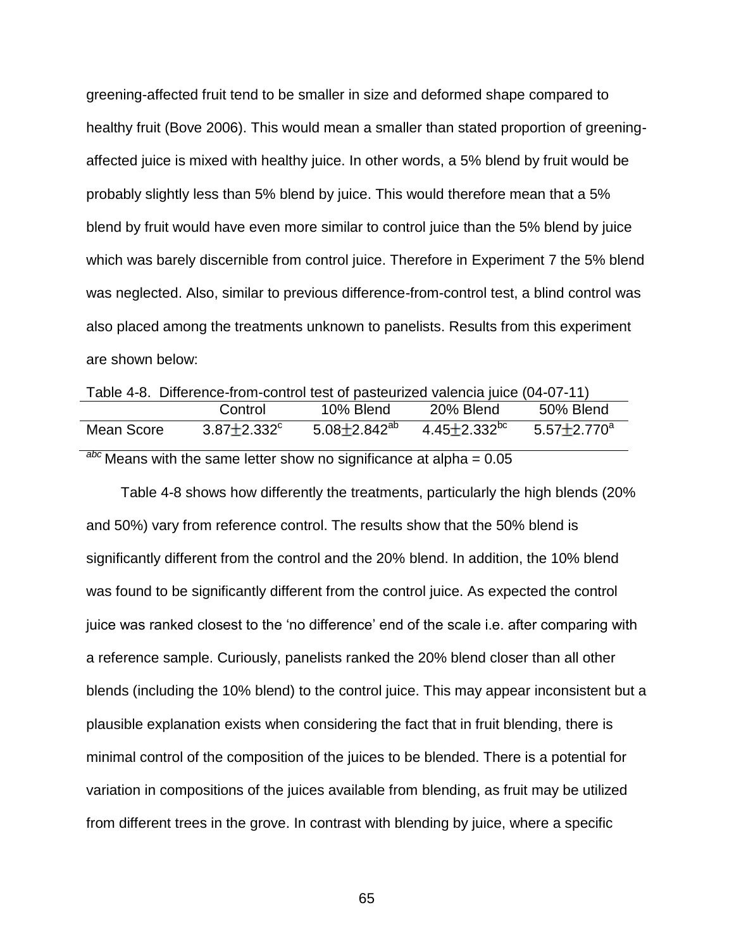greening-affected fruit tend to be smaller in size and deformed shape compared to healthy fruit (Bove 2006). This would mean a smaller than stated proportion of greeningaffected juice is mixed with healthy juice. In other words, a 5% blend by fruit would be probably slightly less than 5% blend by juice. This would therefore mean that a 5% blend by fruit would have even more similar to control juice than the 5% blend by juice which was barely discernible from control juice. Therefore in Experiment 7 the 5% blend was neglected. Also, similar to previous difference-from-control test, a blind control was also placed among the treatments unknown to panelists. Results from this experiment are shown below:

Table 4-8. Difference-from-control test of pasteurized valencia juice (04-07-11) Control 10% Blend 20% Blend 50% Blend Mean Score  $3.87 \pm 2.332$ <sup>c</sup>  $5.08 \pm 2.842^{ab}$   $4.45 \pm 2.332^{bc}$   $5.57 \pm 2.770^{a}$ 

*abc* Means with the same letter show no significance at alpha = 0.05

Table 4-8 shows how differently the treatments, particularly the high blends (20% and 50%) vary from reference control. The results show that the 50% blend is significantly different from the control and the 20% blend. In addition, the 10% blend was found to be significantly different from the control juice. As expected the control juice was ranked closest to the 'no difference' end of the scale i.e. after comparing with a reference sample. Curiously, panelists ranked the 20% blend closer than all other blends (including the 10% blend) to the control juice. This may appear inconsistent but a plausible explanation exists when considering the fact that in fruit blending, there is minimal control of the composition of the juices to be blended. There is a potential for variation in compositions of the juices available from blending, as fruit may be utilized from different trees in the grove. In contrast with blending by juice, where a specific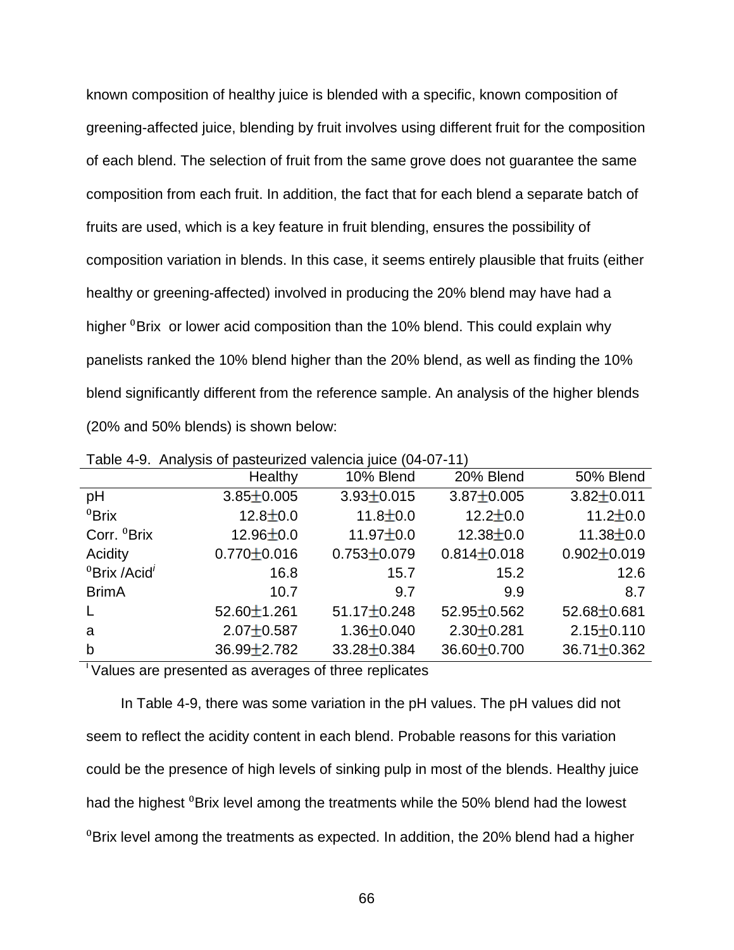known composition of healthy juice is blended with a specific, known composition of greening-affected juice, blending by fruit involves using different fruit for the composition of each blend. The selection of fruit from the same grove does not guarantee the same composition from each fruit. In addition, the fact that for each blend a separate batch of fruits are used, which is a key feature in fruit blending, ensures the possibility of composition variation in blends. In this case, it seems entirely plausible that fruits (either healthy or greening-affected) involved in producing the 20% blend may have had a higher  $\mathrm{^{0}Brix}$  or lower acid composition than the 10% blend. This could explain why panelists ranked the 10% blend higher than the 20% blend, as well as finding the 10% blend significantly different from the reference sample. An analysis of the higher blends (20% and 50% blends) is shown below:

|                                      | Healthy           | 10% Blend         | 20% Blend         | 50% Blend         |
|--------------------------------------|-------------------|-------------------|-------------------|-------------------|
| pH                                   | $3.85 \pm 0.005$  | $3.93 \pm 0.015$  | $3.87 \pm 0.005$  | $3.82 \pm 0.011$  |
| ${}^{0}$ Brix                        | $12.8 \pm 0.0$    | $11.8 \pm 0.0$    | $12.2 \pm 0.0$    | $11.2 \pm 0.0$    |
| Corr. <sup>0</sup> Brix              | $12.96 \pm 0.0$   | $11.97 \pm 0.0$   | $12.38 \pm 0.0$   | $11.38 \pm 0.0$   |
| Acidity                              | $0.770 \pm 0.016$ | $0.753 \pm 0.079$ | $0.814 \pm 0.018$ | $0.902 \pm 0.019$ |
| <sup>0</sup> Brix /Acid <sup>'</sup> | 16.8              | 15.7              | 15.2              | 12.6              |
| <b>BrimA</b>                         | 10.7              | 9.7               | 9.9               | 8.7               |
| $\mathsf{L}$                         | $52.60 \pm 1.261$ | $51.17 \pm 0.248$ | $52.95 \pm 0.562$ | $52.68 \pm 0.681$ |
| a                                    | $2.07 \pm 0.587$  | $1.36 \pm 0.040$  | $2.30 \pm 0.281$  | $2.15 \pm 0.110$  |
| $\mathsf{b}$                         | $36.99 \pm 2.782$ | 33.28±0.384       | 36.60±0.700       | $36.71 \pm 0.362$ |

Table 4-9. Analysis of pasteurized valencia juice (04-07-11)

 $\overline{\phantom{a}}$  Values are presented as averages of three replicates

In Table 4-9, there was some variation in the pH values. The pH values did not seem to reflect the acidity content in each blend. Probable reasons for this variation could be the presence of high levels of sinking pulp in most of the blends. Healthy juice had the highest <sup>0</sup>Brix level among the treatments while the 50% blend had the lowest  ${}^{0}$ Brix level among the treatments as expected. In addition, the 20% blend had a higher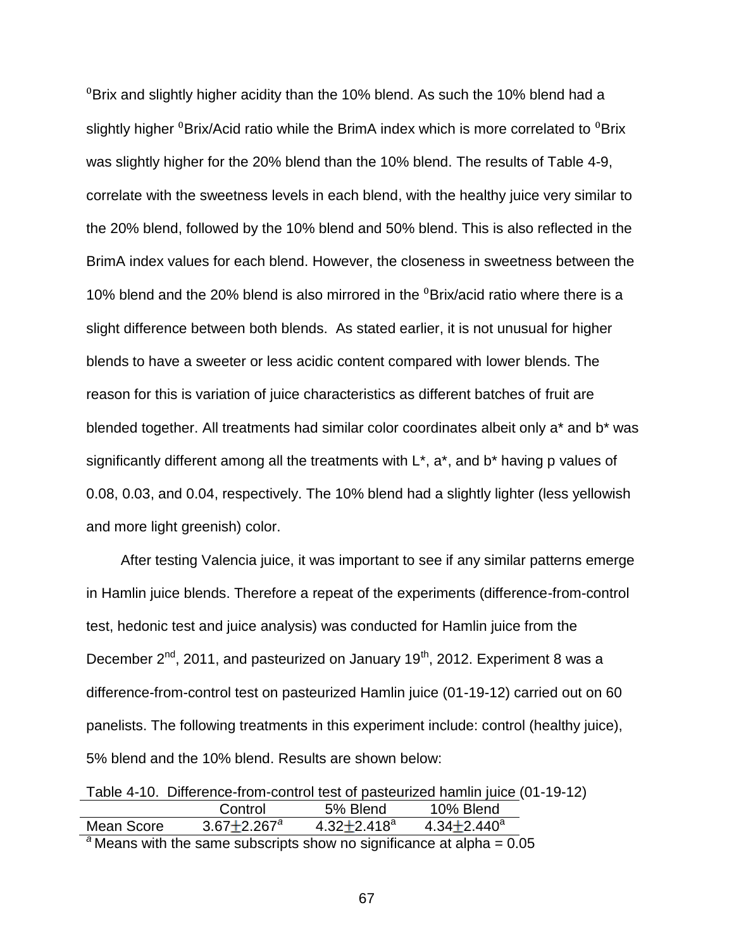$\mathrm{^{0}Brix}$  and slightly higher acidity than the 10% blend. As such the 10% blend had a slightly higher  ${}^{0}$ Brix/Acid ratio while the BrimA index which is more correlated to  ${}^{0}$ Brix was slightly higher for the 20% blend than the 10% blend. The results of Table 4-9, correlate with the sweetness levels in each blend, with the healthy juice very similar to the 20% blend, followed by the 10% blend and 50% blend. This is also reflected in the BrimA index values for each blend. However, the closeness in sweetness between the 10% blend and the 20% blend is also mirrored in the  $\textdegree$ Brix/acid ratio where there is a slight difference between both blends. As stated earlier, it is not unusual for higher blends to have a sweeter or less acidic content compared with lower blends. The reason for this is variation of juice characteristics as different batches of fruit are blended together. All treatments had similar color coordinates albeit only a\* and b\* was significantly different among all the treatments with  $L^*$ ,  $a^*$ , and  $b^*$  having p values of 0.08, 0.03, and 0.04, respectively. The 10% blend had a slightly lighter (less yellowish and more light greenish) color.

After testing Valencia juice, it was important to see if any similar patterns emerge in Hamlin juice blends. Therefore a repeat of the experiments (difference-from-control test, hedonic test and juice analysis) was conducted for Hamlin juice from the December  $2^{nd}$ , 2011, and pasteurized on January 19<sup>th</sup>, 2012. Experiment 8 was a difference-from-control test on pasteurized Hamlin juice (01-19-12) carried out on 60 panelists. The following treatments in this experiment include: control (healthy juice), 5% blend and the 10% blend. Results are shown below:

|                                                                             | Table 4-10. Difference-from-control test of pasteurized hamlin juice (01-19-12) |                             |                             |  |
|-----------------------------------------------------------------------------|---------------------------------------------------------------------------------|-----------------------------|-----------------------------|--|
|                                                                             | Control                                                                         | 5% Blend                    | 10% Blend                   |  |
| Mean Score                                                                  | $3.67 \pm 2.267$ <sup>a</sup>                                                   | 4.32 $\pm$ 2.418 $^{\circ}$ | 4.34 $\pm$ 2.440 $^{\circ}$ |  |
| $^{8}$ Mone with the same subscripts show no significance at alpha $-$ 0.05 |                                                                                 |                             |                             |  |

*<sup>a</sup>* Means with the same subscripts show no significance at alpha = 0.05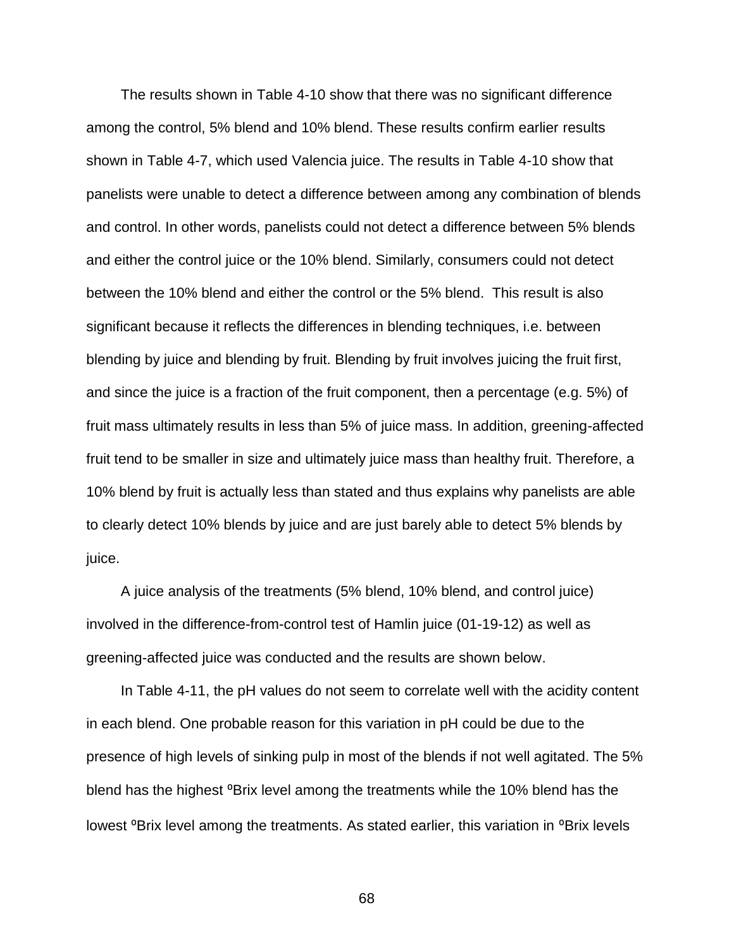The results shown in Table 4-10 show that there was no significant difference among the control, 5% blend and 10% blend. These results confirm earlier results shown in Table 4-7, which used Valencia juice. The results in Table 4-10 show that panelists were unable to detect a difference between among any combination of blends and control. In other words, panelists could not detect a difference between 5% blends and either the control juice or the 10% blend. Similarly, consumers could not detect between the 10% blend and either the control or the 5% blend. This result is also significant because it reflects the differences in blending techniques, i.e. between blending by juice and blending by fruit. Blending by fruit involves juicing the fruit first, and since the juice is a fraction of the fruit component, then a percentage (e.g. 5%) of fruit mass ultimately results in less than 5% of juice mass. In addition, greening-affected fruit tend to be smaller in size and ultimately juice mass than healthy fruit. Therefore, a 10% blend by fruit is actually less than stated and thus explains why panelists are able to clearly detect 10% blends by juice and are just barely able to detect 5% blends by juice.

A juice analysis of the treatments (5% blend, 10% blend, and control juice) involved in the difference-from-control test of Hamlin juice (01-19-12) as well as greening-affected juice was conducted and the results are shown below.

In Table 4-11, the pH values do not seem to correlate well with the acidity content in each blend. One probable reason for this variation in pH could be due to the presence of high levels of sinking pulp in most of the blends if not well agitated. The 5% blend has the highest <sup>o</sup>Brix level among the treatments while the 10% blend has the lowest <sup>o</sup>Brix level among the treatments. As stated earlier, this variation in <sup>o</sup>Brix levels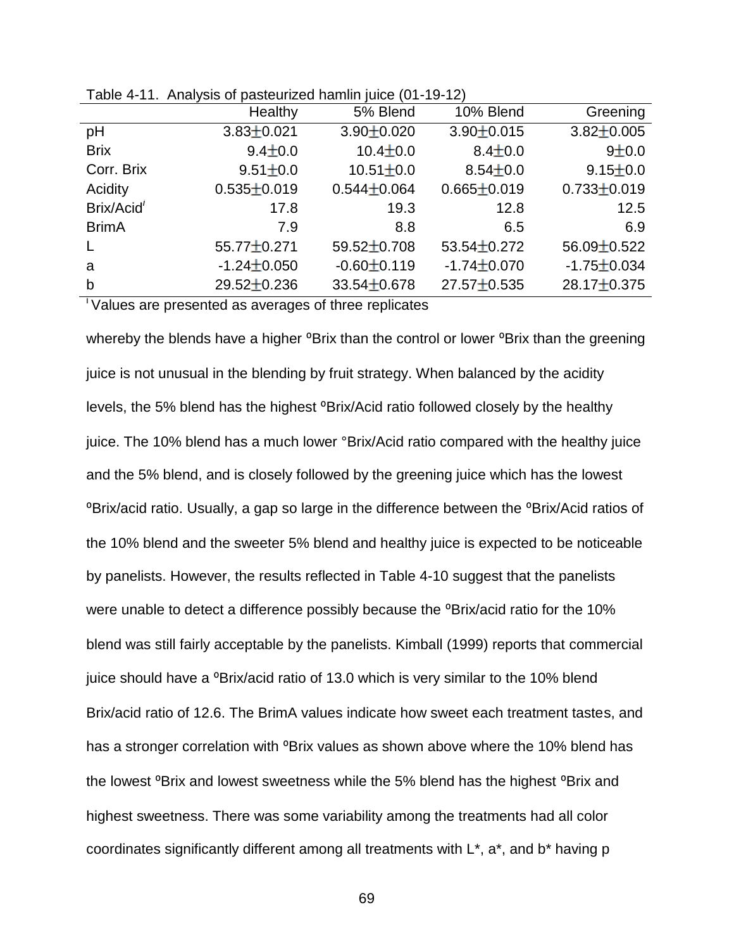|                        | Healthy           | 5% Blend          | 10% Blend         | Greening          |
|------------------------|-------------------|-------------------|-------------------|-------------------|
| pH                     | $3.83 \pm 0.021$  | $3.90 \pm 0.020$  | $3.90 \pm 0.015$  | $3.82 \pm 0.005$  |
| <b>Brix</b>            | $9.4 \pm 0.0$     | $10.4 \pm 0.0$    | $8.4 \pm 0.0$     | 9±0.0             |
| Corr. Brix             | $9.51 \pm 0.0$    | $10.51 \pm 0.0$   | $8.54 \pm 0.0$    | $9.15 \pm 0.0$    |
| Acidity                | $0.535 \pm 0.019$ | $0.544 \pm 0.064$ | $0.665 \pm 0.019$ | $0.733 \pm 0.019$ |
| Brix/Acid <sup>i</sup> | 17.8              | 19.3              | 12.8              | 12.5              |
| <b>BrimA</b>           | 7.9               | 8.8               | 6.5               | 6.9               |
| $\mathsf{L}$           | 55.77±0.271       | $59.52 \pm 0.708$ | $53.54 \pm 0.272$ | $56.09 \pm 0.522$ |
| a                      | $-1.24 \pm 0.050$ | $-0.60 \pm 0.119$ | $-1.74 \pm 0.070$ | $-1.75 \pm 0.034$ |
| b                      | 29.52±0.236       | $33.54 \pm 0.678$ | $27.57 \pm 0.535$ | $28.17 \pm 0.375$ |

Table 4-11. Analysis of pasteurized hamlin juice (01-19-12)

<sup>i</sup>Values are presented as averages of three replicates

whereby the blends have a higher <sup>o</sup>Brix than the control or lower <sup>o</sup>Brix than the greening juice is not unusual in the blending by fruit strategy. When balanced by the acidity levels, the 5% blend has the highest <sup>o</sup>Brix/Acid ratio followed closely by the healthy juice. The 10% blend has a much lower °Brix/Acid ratio compared with the healthy juice and the 5% blend, and is closely followed by the greening juice which has the lowest <sup>o</sup>Brix/acid ratio. Usually, a gap so large in the difference between the <sup>o</sup>Brix/Acid ratios of the 10% blend and the sweeter 5% blend and healthy juice is expected to be noticeable by panelists. However, the results reflected in Table 4-10 suggest that the panelists were unable to detect a difference possibly because the <sup>o</sup>Brix/acid ratio for the 10% blend was still fairly acceptable by the panelists. Kimball (1999) reports that commercial juice should have a <sup>o</sup>Brix/acid ratio of 13.0 which is very similar to the 10% blend Brix/acid ratio of 12.6. The BrimA values indicate how sweet each treatment tastes, and has a stronger correlation with <sup>o</sup>Brix values as shown above where the 10% blend has the lowest <sup>o</sup>Brix and lowest sweetness while the 5% blend has the highest <sup>o</sup>Brix and highest sweetness. There was some variability among the treatments had all color coordinates significantly different among all treatments with L\*, a\*, and b\* having p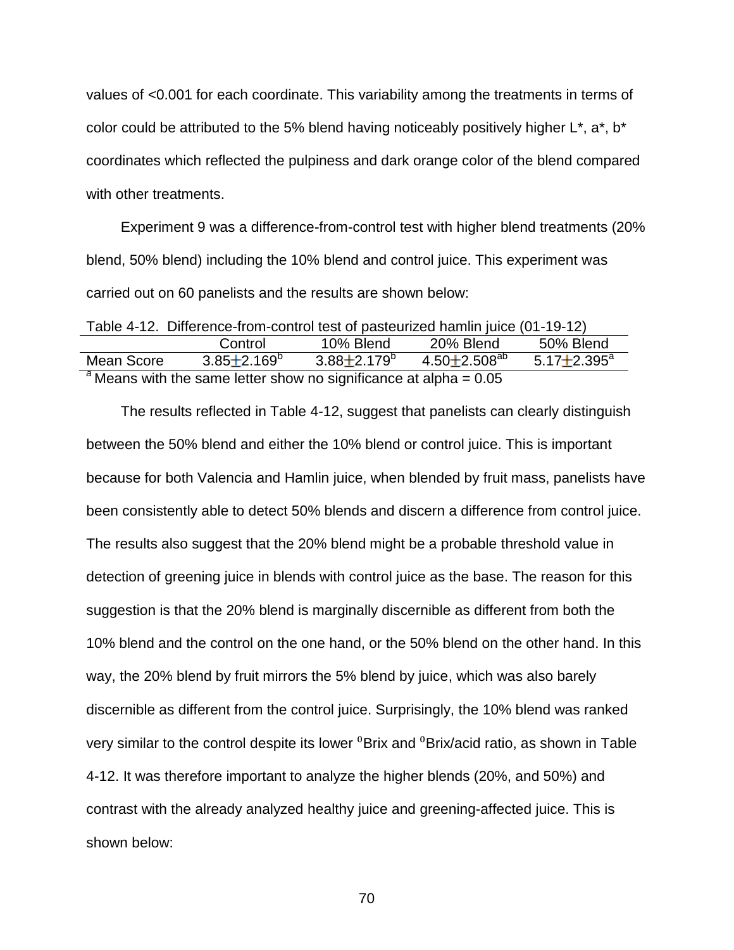values of <0.001 for each coordinate. This variability among the treatments in terms of color could be attributed to the 5% blend having noticeably positively higher  $L^*$ ,  $a^*$ ,  $b^*$ coordinates which reflected the pulpiness and dark orange color of the blend compared with other treatments.

Experiment 9 was a difference-from-control test with higher blend treatments (20% blend, 50% blend) including the 10% blend and control juice. This experiment was carried out on 60 panelists and the results are shown below:

| Table 4-12. Difference-from-control test of pasteurized hamlin juice (01-19-12) |                          |                        |                       |                          |
|---------------------------------------------------------------------------------|--------------------------|------------------------|-----------------------|--------------------------|
|                                                                                 | Control                  | 10% Blend              | 20% Blend             | 50% Blend                |
| Mean Score                                                                      | $3.85 \pm 2.169^{\circ}$ | $3.88 + 2.179^{\circ}$ | $4.50 \pm 2.508^{ab}$ | $5.17 \pm 2.395^{\circ}$ |
| <sup>a</sup> Means with the same letter show no significance at alpha = $0.05$  |                          |                        |                       |                          |

The results reflected in Table 4-12, suggest that panelists can clearly distinguish between the 50% blend and either the 10% blend or control juice. This is important because for both Valencia and Hamlin juice, when blended by fruit mass, panelists have been consistently able to detect 50% blends and discern a difference from control juice. The results also suggest that the 20% blend might be a probable threshold value in detection of greening juice in blends with control juice as the base. The reason for this suggestion is that the 20% blend is marginally discernible as different from both the 10% blend and the control on the one hand, or the 50% blend on the other hand. In this way, the 20% blend by fruit mirrors the 5% blend by juice, which was also barely discernible as different from the control juice. Surprisingly, the 10% blend was ranked very similar to the control despite its lower <sup>0</sup>Brix and <sup>0</sup>Brix/acid ratio, as shown in Table 4-12. It was therefore important to analyze the higher blends (20%, and 50%) and contrast with the already analyzed healthy juice and greening-affected juice. This is shown below: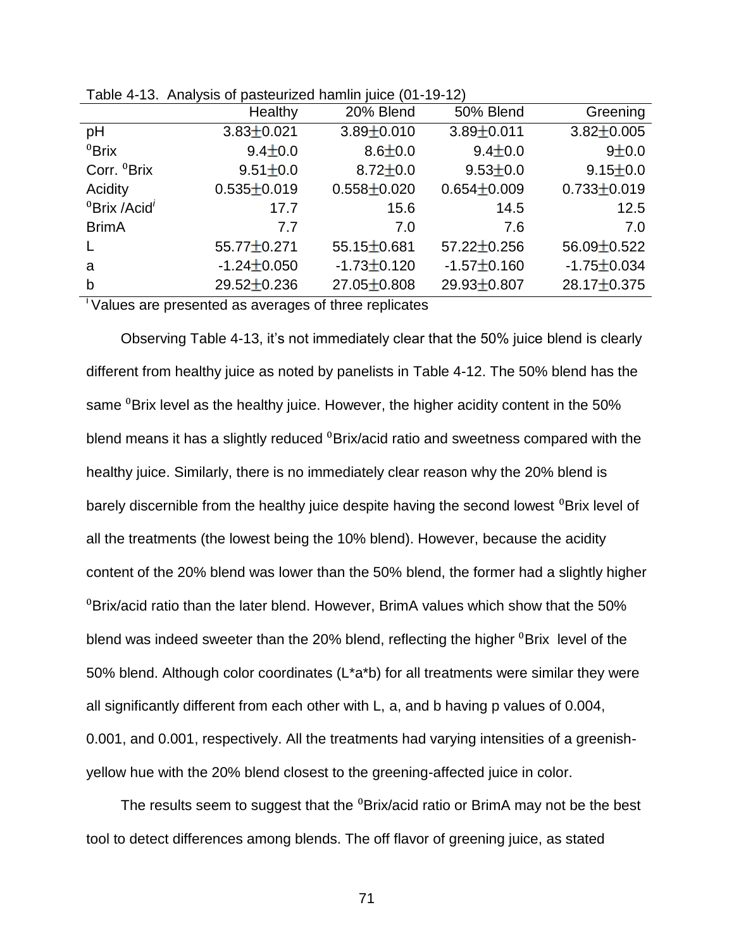|                                               | Healthy           | 20% Blend         | 50% Blend         | Greening          |
|-----------------------------------------------|-------------------|-------------------|-------------------|-------------------|
| pH                                            | $3.83 \pm 0.021$  | $3.89 \pm 0.010$  | $3.89 \pm 0.011$  | $3.82 \pm 0.005$  |
| ${}^{0}$ Brix                                 | $9.4 \pm 0.0$     | $8.6 \pm 0.0$     | $9.4 \pm 0.0$     | 9±0.0             |
| Corr. <sup>0</sup> Brix                       | $9.51 \pm 0.0$    | $8.72 \pm 0.0$    | $9.53 \pm 0.0$    | $9.15 \pm 0.0$    |
| Acidity                                       | $0.535 \pm 0.019$ | $0.558 \pm 0.020$ | $0.654 \pm 0.009$ | $0.733 \pm 0.019$ |
| ${}^{0}$ Brix /Acid <sup><math>'</math></sup> | 17.7              | 15.6              | 14.5              | 12.5              |
| <b>BrimA</b>                                  | 7.7               | 7.0               | 7.6               | 7.0               |
|                                               | 55.77±0.271       | 55.15 $\pm$ 0.681 | $57.22 \pm 0.256$ | $56.09 \pm 0.522$ |
| a                                             | $-1.24 \pm 0.050$ | $-1.73 \pm 0.120$ | $-1.57 \pm 0.160$ | $-1.75 \pm 0.034$ |
| b                                             | $29.52 \pm 0.236$ | $27.05 \pm 0.808$ | 29.93±0.807       | $28.17 \pm 0.375$ |

Table 4-13. Analysis of pasteurized hamlin juice (01-19-12)

<sup>1</sup> Values are presented as averages of three replicates

Observing Table 4-13, it's not immediately clear that the 50% juice blend is clearly different from healthy juice as noted by panelists in Table 4-12. The 50% blend has the same  $\mathrm{^{0}Brix}$  level as the healthy juice. However, the higher acidity content in the 50% blend means it has a slightly reduced <sup>0</sup>Brix/acid ratio and sweetness compared with the healthy juice. Similarly, there is no immediately clear reason why the 20% blend is barely discernible from the healthy juice despite having the second lowest <sup>0</sup>Brix level of all the treatments (the lowest being the 10% blend). However, because the acidity content of the 20% blend was lower than the 50% blend, the former had a slightly higher  $\mathrm{PBrix}/$ acid ratio than the later blend. However, BrimA values which show that the 50% blend was indeed sweeter than the 20% blend, reflecting the higher  ${}^{0}$ Brix level of the 50% blend. Although color coordinates (L\*a\*b) for all treatments were similar they were all significantly different from each other with L, a, and b having p values of 0.004, 0.001, and 0.001, respectively. All the treatments had varying intensities of a greenishyellow hue with the 20% blend closest to the greening-affected juice in color.

The results seem to suggest that the  $\rm{^0Brix/acid}$  ratio or BrimA may not be the best tool to detect differences among blends. The off flavor of greening juice, as stated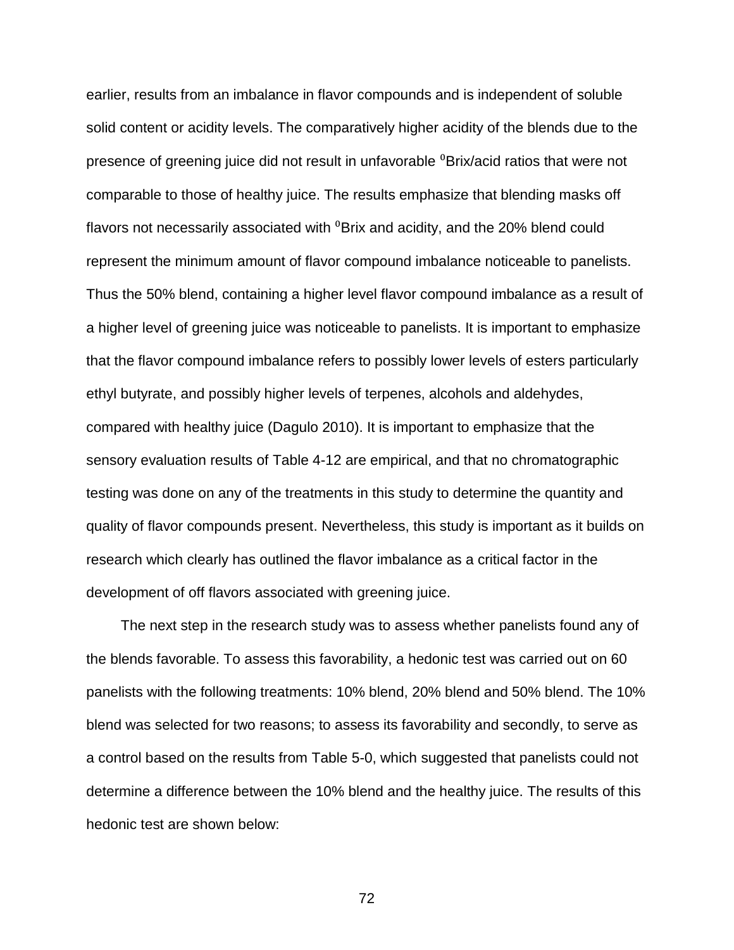earlier, results from an imbalance in flavor compounds and is independent of soluble solid content or acidity levels. The comparatively higher acidity of the blends due to the presence of greening juice did not result in unfavorable <sup>0</sup>Brix/acid ratios that were not comparable to those of healthy juice. The results emphasize that blending masks off flavors not necessarily associated with  ${}^{0}$ Brix and acidity, and the 20% blend could represent the minimum amount of flavor compound imbalance noticeable to panelists. Thus the 50% blend, containing a higher level flavor compound imbalance as a result of a higher level of greening juice was noticeable to panelists. It is important to emphasize that the flavor compound imbalance refers to possibly lower levels of esters particularly ethyl butyrate, and possibly higher levels of terpenes, alcohols and aldehydes, compared with healthy juice (Dagulo 2010). It is important to emphasize that the sensory evaluation results of Table 4-12 are empirical, and that no chromatographic testing was done on any of the treatments in this study to determine the quantity and quality of flavor compounds present. Nevertheless, this study is important as it builds on research which clearly has outlined the flavor imbalance as a critical factor in the development of off flavors associated with greening juice.

The next step in the research study was to assess whether panelists found any of the blends favorable. To assess this favorability, a hedonic test was carried out on 60 panelists with the following treatments: 10% blend, 20% blend and 50% blend. The 10% blend was selected for two reasons; to assess its favorability and secondly, to serve as a control based on the results from Table 5-0, which suggested that panelists could not determine a difference between the 10% blend and the healthy juice. The results of this hedonic test are shown below: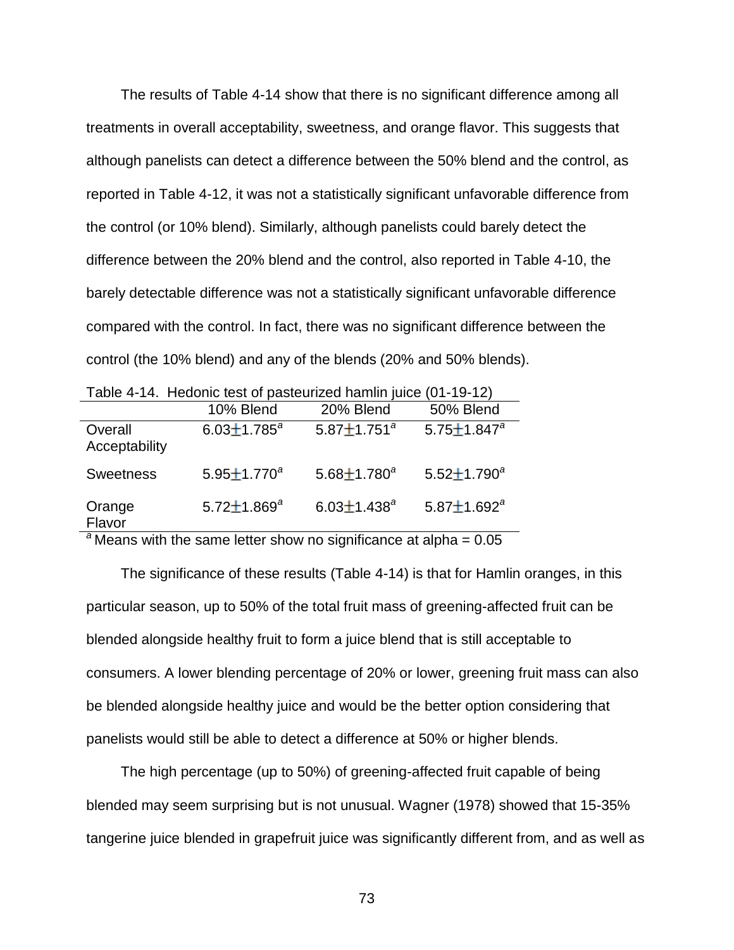The results of Table 4-14 show that there is no significant difference among all treatments in overall acceptability, sweetness, and orange flavor. This suggests that although panelists can detect a difference between the 50% blend and the control, as reported in Table 4-12, it was not a statistically significant unfavorable difference from the control (or 10% blend). Similarly, although panelists could barely detect the difference between the 20% blend and the control, also reported in Table 4-10, the barely detectable difference was not a statistically significant unfavorable difference compared with the control. In fact, there was no significant difference between the control (the 10% blend) and any of the blends (20% and 50% blends).

|                          | Table 4-T4. Heddriic test of pasteurized namilin juice (01-19-12) |                    |                      |
|--------------------------|-------------------------------------------------------------------|--------------------|----------------------|
|                          | 10% Blend                                                         | 20% Blend          | 50% Blend            |
| Overall<br>Acceptability | $6.03 \pm 1.785^a$                                                | $5.87 \pm 1.751^a$ | 5.75 $\pm$ 1.847 $a$ |
| <b>Sweetness</b>         | $5.95 \pm 1.770^a$                                                | $5.68 \pm 1.780^a$ | $5.52 \pm 1.790^a$   |
| Orange<br>Flavor         | $5.72 \pm 1.869^a$                                                | $6.03 \pm 1.438^a$ | $5.87 \pm 1.692^a$   |
|                          |                                                                   |                    |                      |

Table 4-14. Hedonic test of pasteurized hamlin juice (01-19-12)

 $a^2$  Means with the same letter show no significance at alpha =  $0.05$ 

The significance of these results (Table 4-14) is that for Hamlin oranges, in this particular season, up to 50% of the total fruit mass of greening-affected fruit can be blended alongside healthy fruit to form a juice blend that is still acceptable to consumers. A lower blending percentage of 20% or lower, greening fruit mass can also be blended alongside healthy juice and would be the better option considering that panelists would still be able to detect a difference at 50% or higher blends.

The high percentage (up to 50%) of greening-affected fruit capable of being blended may seem surprising but is not unusual. Wagner (1978) showed that 15-35% tangerine juice blended in grapefruit juice was significantly different from, and as well as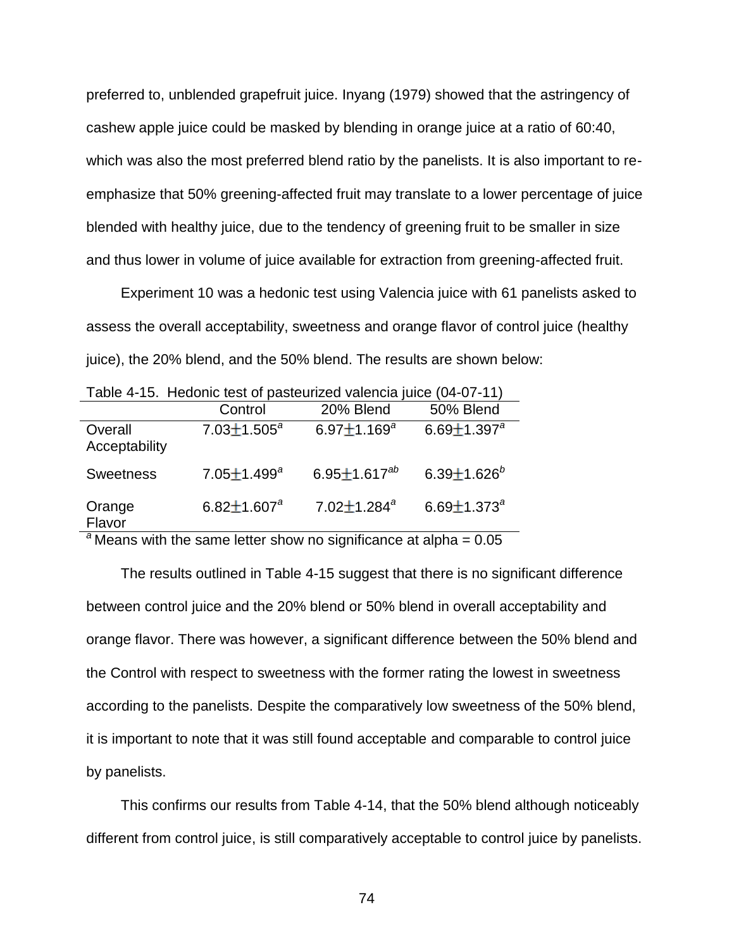preferred to, unblended grapefruit juice. Inyang (1979) showed that the astringency of cashew apple juice could be masked by blending in orange juice at a ratio of 60:40, which was also the most preferred blend ratio by the panelists. It is also important to reemphasize that 50% greening-affected fruit may translate to a lower percentage of juice blended with healthy juice, due to the tendency of greening fruit to be smaller in size and thus lower in volume of juice available for extraction from greening-affected fruit.

Experiment 10 was a hedonic test using Valencia juice with 61 panelists asked to assess the overall acceptability, sweetness and orange flavor of control juice (healthy juice), the 20% blend, and the 50% blend. The results are shown below:

| Table 4-T5. Hedonic lest of pasteurized valencia juice (04-07-TT) |                    |                                |                               |
|-------------------------------------------------------------------|--------------------|--------------------------------|-------------------------------|
|                                                                   | Control            | 20% Blend                      | 50% Blend                     |
| Overall<br>Acceptability                                          | $7.03 \pm 1.505^a$ | 6.97 $\pm$ 1.169 <sup>a</sup>  | 6.69 $\pm$ 1.397 $^{a}$       |
| <b>Sweetness</b>                                                  | $7.05 \pm 1.499^a$ | 6.95 $\pm$ 1.617 <sup>ab</sup> | 6.39 $\pm$ 1.626 <sup>b</sup> |
| Orange<br>Flavor                                                  | $6.82 \pm 1.607^a$ | $7.02 \pm 1.284$ <sup>a</sup>  | 6.69 $\pm$ 1.373 <sup>a</sup> |
| 9.1                                                               |                    |                                |                               |

Table 4-15. Hedonic test of pasteurized valencia juice (04-07-11)

<sup>a</sup> Means with the same letter show no significance at alpha = 0.05

The results outlined in Table 4-15 suggest that there is no significant difference between control juice and the 20% blend or 50% blend in overall acceptability and orange flavor. There was however, a significant difference between the 50% blend and the Control with respect to sweetness with the former rating the lowest in sweetness according to the panelists. Despite the comparatively low sweetness of the 50% blend, it is important to note that it was still found acceptable and comparable to control juice by panelists.

This confirms our results from Table 4-14, that the 50% blend although noticeably different from control juice, is still comparatively acceptable to control juice by panelists.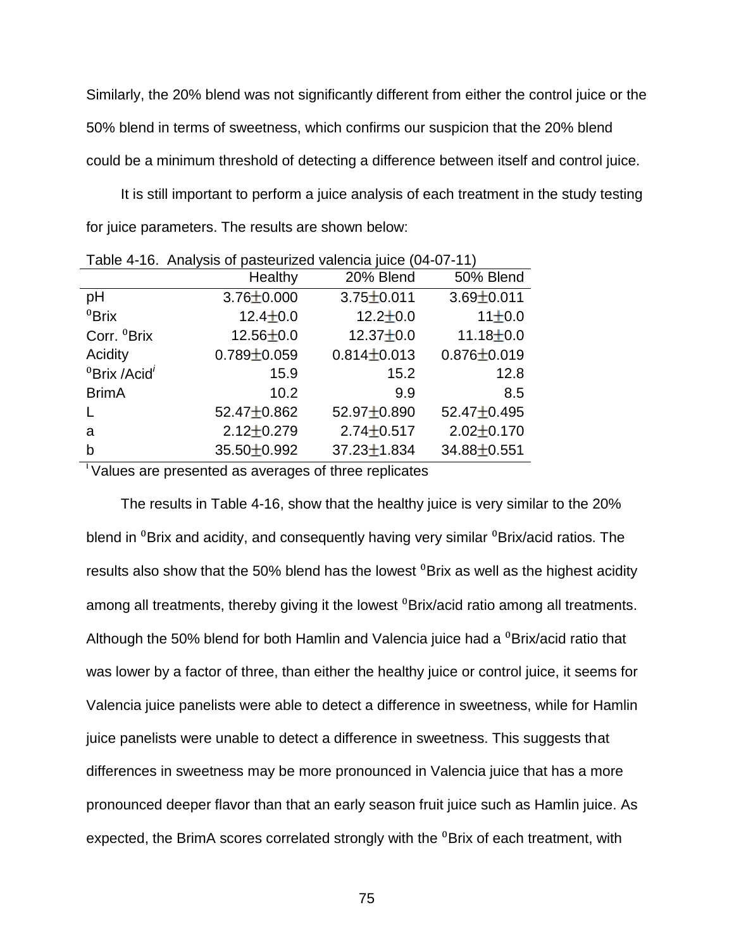Similarly, the 20% blend was not significantly different from either the control juice or the 50% blend in terms of sweetness, which confirms our suspicion that the 20% blend could be a minimum threshold of detecting a difference between itself and control juice.

It is still important to perform a juice analysis of each treatment in the study testing for juice parameters. The results are shown below:

| $\frac{1}{2}$                        |                   |                   |                   |  |
|--------------------------------------|-------------------|-------------------|-------------------|--|
|                                      | Healthy           | 20% Blend         | 50% Blend         |  |
| рH                                   | $3.76 \pm 0.000$  | $3.75 \pm 0.011$  | $3.69 \pm 0.011$  |  |
| ${}^{0}$ Brix                        | $12.4 \pm 0.0$    | $12.2 \pm 0.0$    | 11±0.0            |  |
| Corr. <sup>0</sup> Brix              | $12.56 \pm 0.0$   | $12.37 + 0.0$     | $11.18 + 0.0$     |  |
| Acidity                              | $0.789 \pm 0.059$ | $0.814 \pm 0.013$ | $0.876 \pm 0.019$ |  |
| <sup>0</sup> Brix /Acid <sup>'</sup> | 15.9              | 15.2              | 12.8              |  |
| <b>BrimA</b>                         | 10.2              | 9.9               | 8.5               |  |
|                                      | 52.47 $\pm$ 0.862 | $52.97 + 0.890$   | 52.47 $\pm$ 0.495 |  |
| a                                    | $2.12 \pm 0.279$  | $2.74 \pm 0.517$  | $2.02 \pm 0.170$  |  |
| b                                    | $35.50 \pm 0.992$ | $37.23 \pm 1.834$ | 34.88±0.551       |  |

Table 4-16. Analysis of pasteurized valencia juice (04-07-11)

<sup>i</sup>Values are presented as averages of three replicates

The results in Table 4-16, show that the healthy juice is very similar to the 20% blend in <sup>0</sup>Brix and acidity, and consequently having very similar <sup>0</sup>Brix/acid ratios. The results also show that the 50% blend has the lowest  $\textdegree$ Brix as well as the highest acidity among all treatments, thereby giving it the lowest <sup>0</sup>Brix/acid ratio among all treatments. Although the 50% blend for both Hamlin and Valencia juice had a  $\textdegree$ Brix/acid ratio that was lower by a factor of three, than either the healthy juice or control juice, it seems for Valencia juice panelists were able to detect a difference in sweetness, while for Hamlin juice panelists were unable to detect a difference in sweetness. This suggests that differences in sweetness may be more pronounced in Valencia juice that has a more pronounced deeper flavor than that an early season fruit juice such as Hamlin juice. As expected, the BrimA scores correlated strongly with the <sup>0</sup>Brix of each treatment, with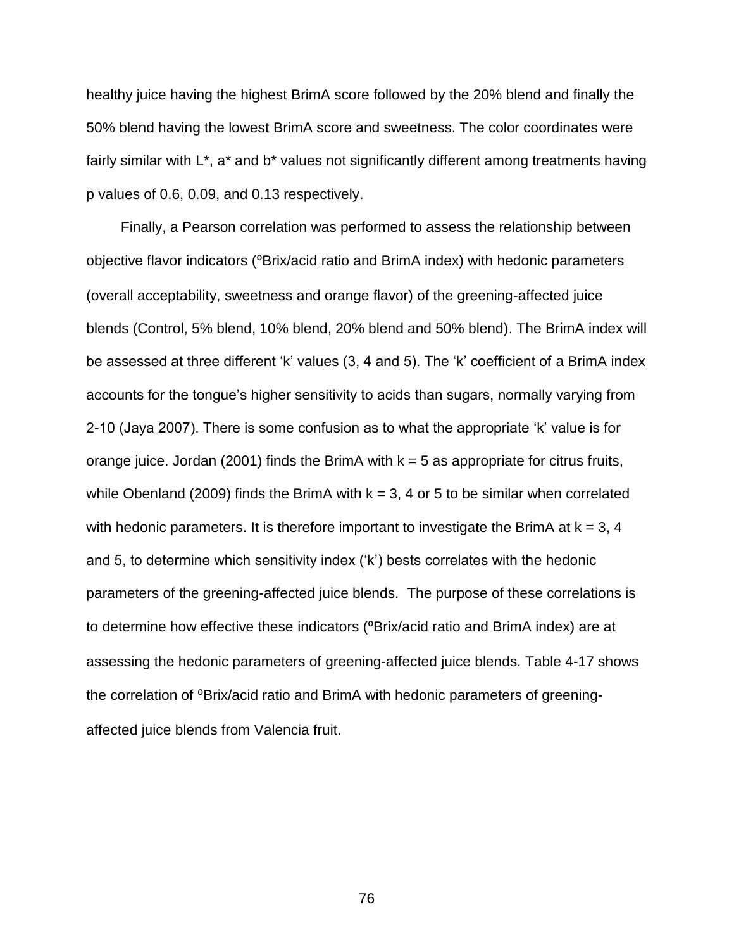healthy juice having the highest BrimA score followed by the 20% blend and finally the 50% blend having the lowest BrimA score and sweetness. The color coordinates were fairly similar with L<sup>\*</sup>, a<sup>\*</sup> and b<sup>\*</sup> values not significantly different among treatments having p values of 0.6, 0.09, and 0.13 respectively.

Finally, a Pearson correlation was performed to assess the relationship between objective flavor indicators (<sup>o</sup>Brix/acid ratio and BrimA index) with hedonic parameters (overall acceptability, sweetness and orange flavor) of the greening-affected juice blends (Control, 5% blend, 10% blend, 20% blend and 50% blend). The BrimA index will be assessed at three different 'k' values (3, 4 and 5). The 'k' coefficient of a BrimA index accounts for the tongue's higher sensitivity to acids than sugars, normally varying from 2-10 (Jaya 2007). There is some confusion as to what the appropriate 'k' value is for orange juice. Jordan (2001) finds the BrimA with  $k = 5$  as appropriate for citrus fruits, while Obenland (2009) finds the BrimA with  $k = 3$ , 4 or 5 to be similar when correlated with hedonic parameters. It is therefore important to investigate the BrimA at  $k = 3, 4$ and 5, to determine which sensitivity index ('k') bests correlates with the hedonic parameters of the greening-affected juice blends. The purpose of these correlations is to determine how effective these indicators (<sup>o</sup>Brix/acid ratio and BrimA index) are at assessing the hedonic parameters of greening-affected juice blends. Table 4-17 shows the correlation of <sup>o</sup>Brix/acid ratio and BrimA with hedonic parameters of greeningaffected juice blends from Valencia fruit.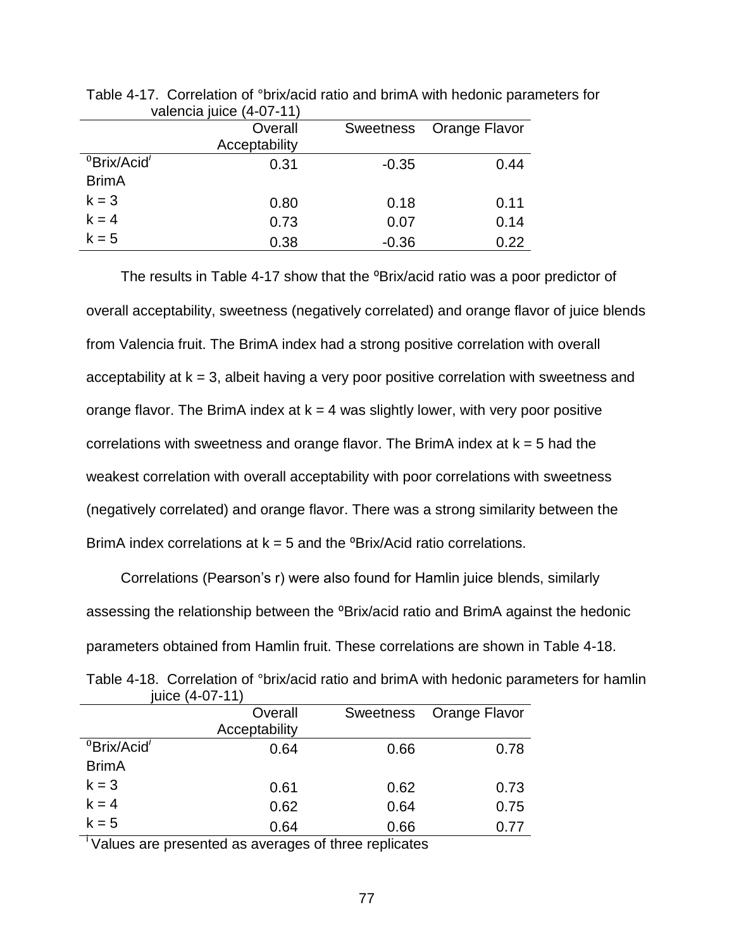| 191011010100            |               |                  |               |
|-------------------------|---------------|------------------|---------------|
|                         | Overall       | <b>Sweetness</b> | Orange Flavor |
|                         | Acceptability |                  |               |
| <sup>0</sup> Brix/Acid' | 0.31          | $-0.35$          | 0.44          |
| <b>BrimA</b>            |               |                  |               |
| $k = 3$                 | 0.80          | 0.18             | 0.11          |
| $k = 4$                 | 0.73          | 0.07             | 0.14          |
| $k = 5$                 | 0.38          | $-0.36$          | 0.22          |

Table 4-17. Correlation of °brix/acid ratio and brimA with hedonic parameters for valencia juice (4-07-11)

The results in Table 4-17 show that the <sup>o</sup>Brix/acid ratio was a poor predictor of overall acceptability, sweetness (negatively correlated) and orange flavor of juice blends from Valencia fruit. The BrimA index had a strong positive correlation with overall acceptability at  $k = 3$ , albeit having a very poor positive correlation with sweetness and orange flavor. The BrimA index at  $k = 4$  was slightly lower, with very poor positive correlations with sweetness and orange flavor. The BrimA index at  $k = 5$  had the weakest correlation with overall acceptability with poor correlations with sweetness (negatively correlated) and orange flavor. There was a strong similarity between the BrimA index correlations at  $k = 5$  and the  $\textdegree$ Brix/Acid ratio correlations.

Correlations (Pearson's r) were also found for Hamlin juice blends, similarly assessing the relationship between the <sup>o</sup>Brix/acid ratio and BrimA against the hedonic parameters obtained from Hamlin fruit. These correlations are shown in Table 4-18.

|                 |                |                         | Table 4-18. Correlation of °brix/acid ratio and brimA with hedonic parameters for hamlin |
|-----------------|----------------|-------------------------|------------------------------------------------------------------------------------------|
| juice (4-07-11) |                |                         |                                                                                          |
|                 | <b>Overall</b> | Sweetness Orange Flavor |                                                                                          |

|                         | Overall<br>Acceptability | Sweetness | Orange Flavor |
|-------------------------|--------------------------|-----------|---------------|
| <sup>0</sup> Brix/Acid' | 0.64                     | 0.66      | 0.78          |
| <b>BrimA</b>            |                          |           |               |
| $k = 3$                 | 0.61                     | 0.62      | 0.73          |
| $k = 4$                 | 0.62                     | 0.64      | 0.75          |
| $k = 5$                 | 0.64                     | 0.66      | 0.77          |

<sup>i</sup>Values are presented as averages of three replicates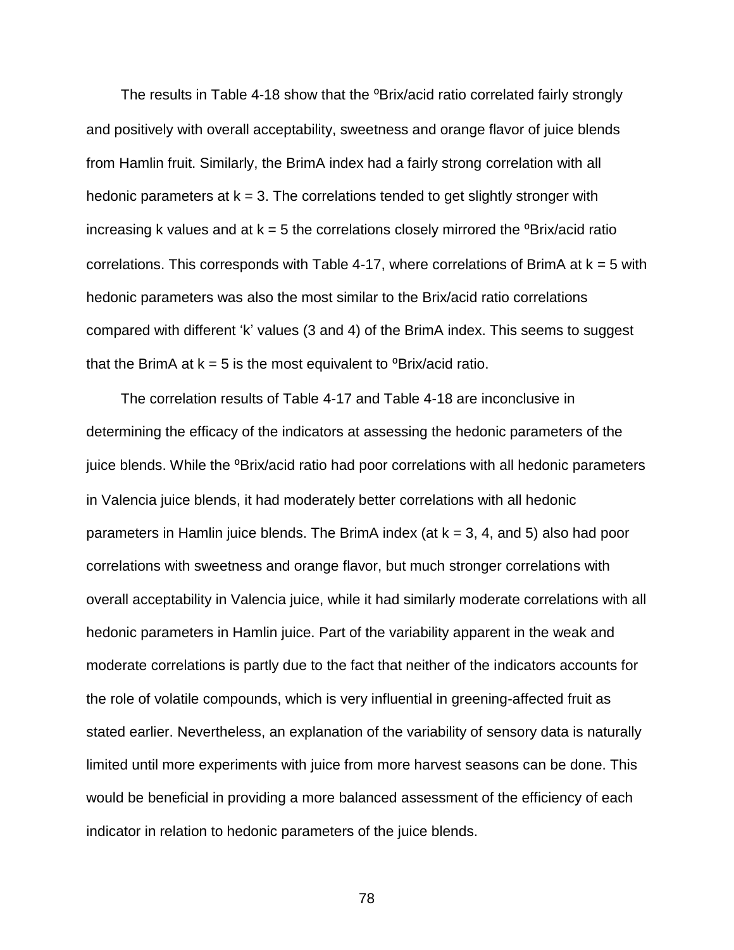The results in Table 4-18 show that the <sup>o</sup>Brix/acid ratio correlated fairly strongly and positively with overall acceptability, sweetness and orange flavor of juice blends from Hamlin fruit. Similarly, the BrimA index had a fairly strong correlation with all hedonic parameters at  $k = 3$ . The correlations tended to get slightly stronger with increasing k values and at  $k = 5$  the correlations closely mirrored the  $\textdegree$ Brix/acid ratio correlations. This corresponds with Table 4-17, where correlations of BrimA at  $k = 5$  with hedonic parameters was also the most similar to the Brix/acid ratio correlations compared with different 'k' values (3 and 4) of the BrimA index. This seems to suggest that the BrimA at  $k = 5$  is the most equivalent to  $\textdegree$ Brix/acid ratio.

The correlation results of Table 4-17 and Table 4-18 are inconclusive in determining the efficacy of the indicators at assessing the hedonic parameters of the juice blends. While the <sup>o</sup>Brix/acid ratio had poor correlations with all hedonic parameters in Valencia juice blends, it had moderately better correlations with all hedonic parameters in Hamlin juice blends. The BrimA index (at  $k = 3$ , 4, and 5) also had poor correlations with sweetness and orange flavor, but much stronger correlations with overall acceptability in Valencia juice, while it had similarly moderate correlations with all hedonic parameters in Hamlin juice. Part of the variability apparent in the weak and moderate correlations is partly due to the fact that neither of the indicators accounts for the role of volatile compounds, which is very influential in greening-affected fruit as stated earlier. Nevertheless, an explanation of the variability of sensory data is naturally limited until more experiments with juice from more harvest seasons can be done. This would be beneficial in providing a more balanced assessment of the efficiency of each indicator in relation to hedonic parameters of the juice blends.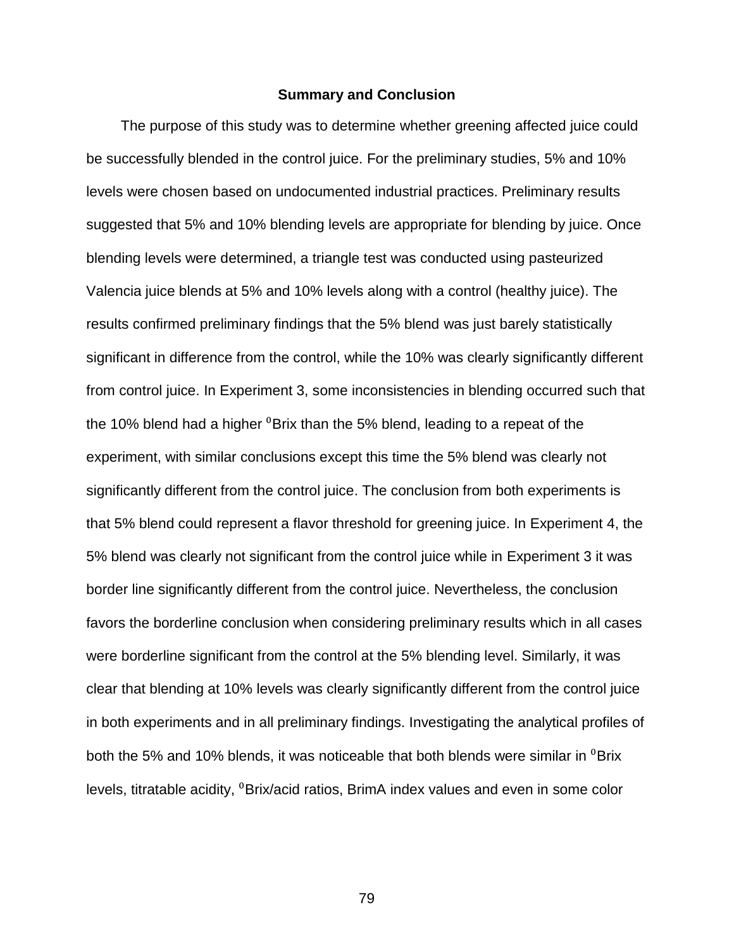#### **Summary and Conclusion**

The purpose of this study was to determine whether greening affected juice could be successfully blended in the control juice. For the preliminary studies, 5% and 10% levels were chosen based on undocumented industrial practices. Preliminary results suggested that 5% and 10% blending levels are appropriate for blending by juice. Once blending levels were determined, a triangle test was conducted using pasteurized Valencia juice blends at 5% and 10% levels along with a control (healthy juice). The results confirmed preliminary findings that the 5% blend was just barely statistically significant in difference from the control, while the 10% was clearly significantly different from control juice. In Experiment 3, some inconsistencies in blending occurred such that the 10% blend had a higher  ${}^{0}$ Brix than the 5% blend, leading to a repeat of the experiment, with similar conclusions except this time the 5% blend was clearly not significantly different from the control juice. The conclusion from both experiments is that 5% blend could represent a flavor threshold for greening juice. In Experiment 4, the 5% blend was clearly not significant from the control juice while in Experiment 3 it was border line significantly different from the control juice. Nevertheless, the conclusion favors the borderline conclusion when considering preliminary results which in all cases were borderline significant from the control at the 5% blending level. Similarly, it was clear that blending at 10% levels was clearly significantly different from the control juice in both experiments and in all preliminary findings. Investigating the analytical profiles of both the 5% and 10% blends, it was noticeable that both blends were similar in  ${}^{0}$ Brix levels, titratable acidity, <sup>0</sup>Brix/acid ratios, BrimA index values and even in some color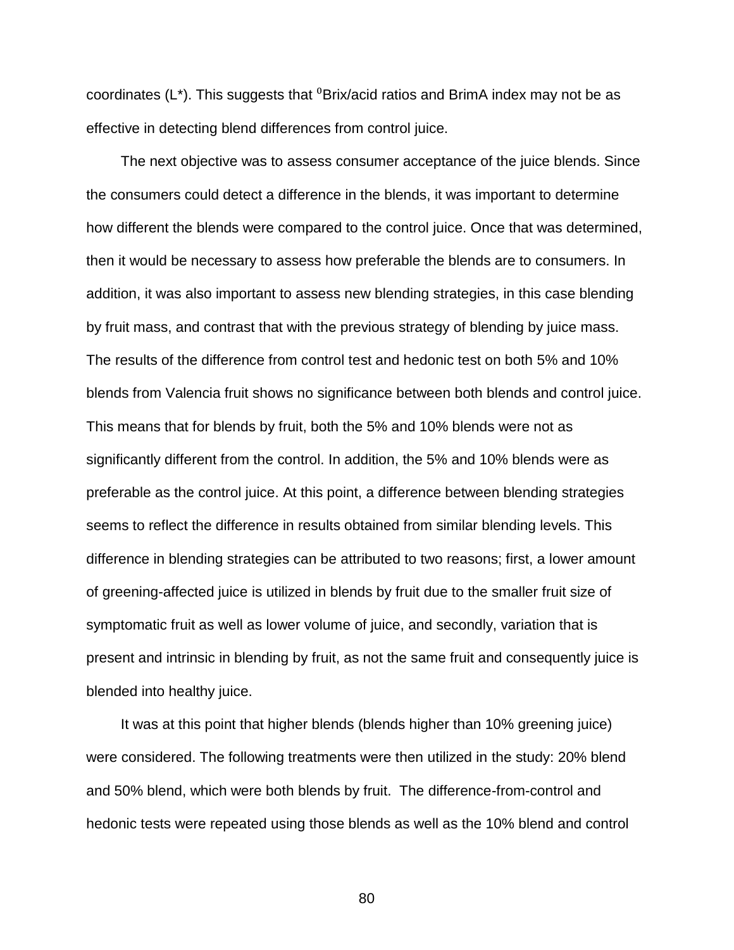coordinates  $(L^*)$ . This suggests that  ${}^0$ Brix/acid ratios and BrimA index may not be as effective in detecting blend differences from control juice.

The next objective was to assess consumer acceptance of the juice blends. Since the consumers could detect a difference in the blends, it was important to determine how different the blends were compared to the control juice. Once that was determined, then it would be necessary to assess how preferable the blends are to consumers. In addition, it was also important to assess new blending strategies, in this case blending by fruit mass, and contrast that with the previous strategy of blending by juice mass. The results of the difference from control test and hedonic test on both 5% and 10% blends from Valencia fruit shows no significance between both blends and control juice. This means that for blends by fruit, both the 5% and 10% blends were not as significantly different from the control. In addition, the 5% and 10% blends were as preferable as the control juice. At this point, a difference between blending strategies seems to reflect the difference in results obtained from similar blending levels. This difference in blending strategies can be attributed to two reasons; first, a lower amount of greening-affected juice is utilized in blends by fruit due to the smaller fruit size of symptomatic fruit as well as lower volume of juice, and secondly, variation that is present and intrinsic in blending by fruit, as not the same fruit and consequently juice is blended into healthy juice.

It was at this point that higher blends (blends higher than 10% greening juice) were considered. The following treatments were then utilized in the study: 20% blend and 50% blend, which were both blends by fruit. The difference-from-control and hedonic tests were repeated using those blends as well as the 10% blend and control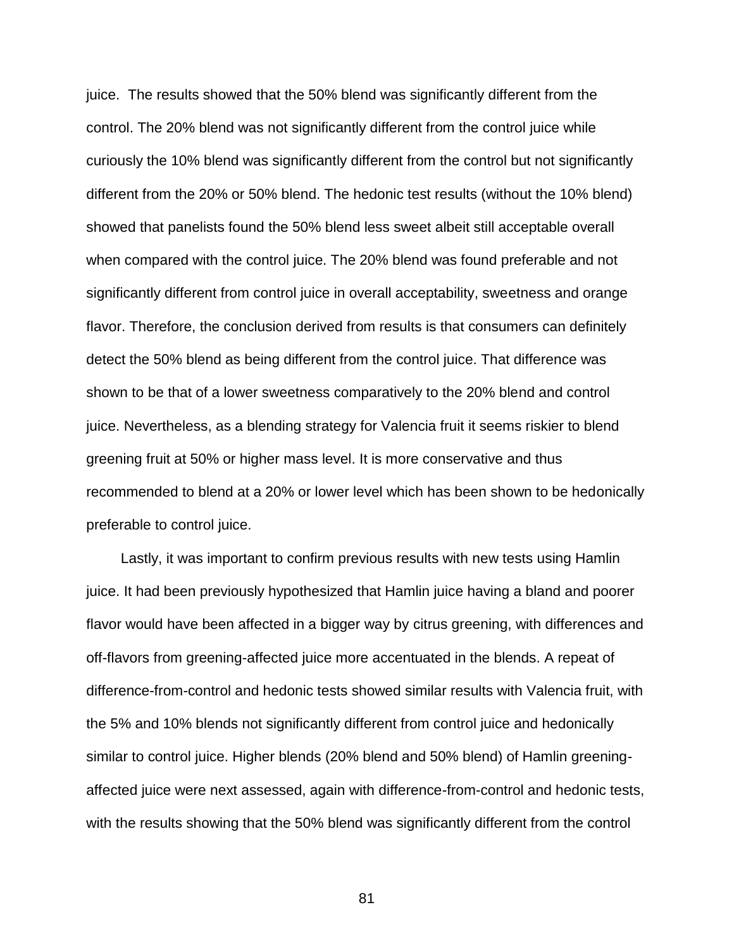juice. The results showed that the 50% blend was significantly different from the control. The 20% blend was not significantly different from the control juice while curiously the 10% blend was significantly different from the control but not significantly different from the 20% or 50% blend. The hedonic test results (without the 10% blend) showed that panelists found the 50% blend less sweet albeit still acceptable overall when compared with the control juice. The 20% blend was found preferable and not significantly different from control juice in overall acceptability, sweetness and orange flavor. Therefore, the conclusion derived from results is that consumers can definitely detect the 50% blend as being different from the control juice. That difference was shown to be that of a lower sweetness comparatively to the 20% blend and control juice. Nevertheless, as a blending strategy for Valencia fruit it seems riskier to blend greening fruit at 50% or higher mass level. It is more conservative and thus recommended to blend at a 20% or lower level which has been shown to be hedonically preferable to control juice.

Lastly, it was important to confirm previous results with new tests using Hamlin juice. It had been previously hypothesized that Hamlin juice having a bland and poorer flavor would have been affected in a bigger way by citrus greening, with differences and off-flavors from greening-affected juice more accentuated in the blends. A repeat of difference-from-control and hedonic tests showed similar results with Valencia fruit, with the 5% and 10% blends not significantly different from control juice and hedonically similar to control juice. Higher blends (20% blend and 50% blend) of Hamlin greeningaffected juice were next assessed, again with difference-from-control and hedonic tests, with the results showing that the 50% blend was significantly different from the control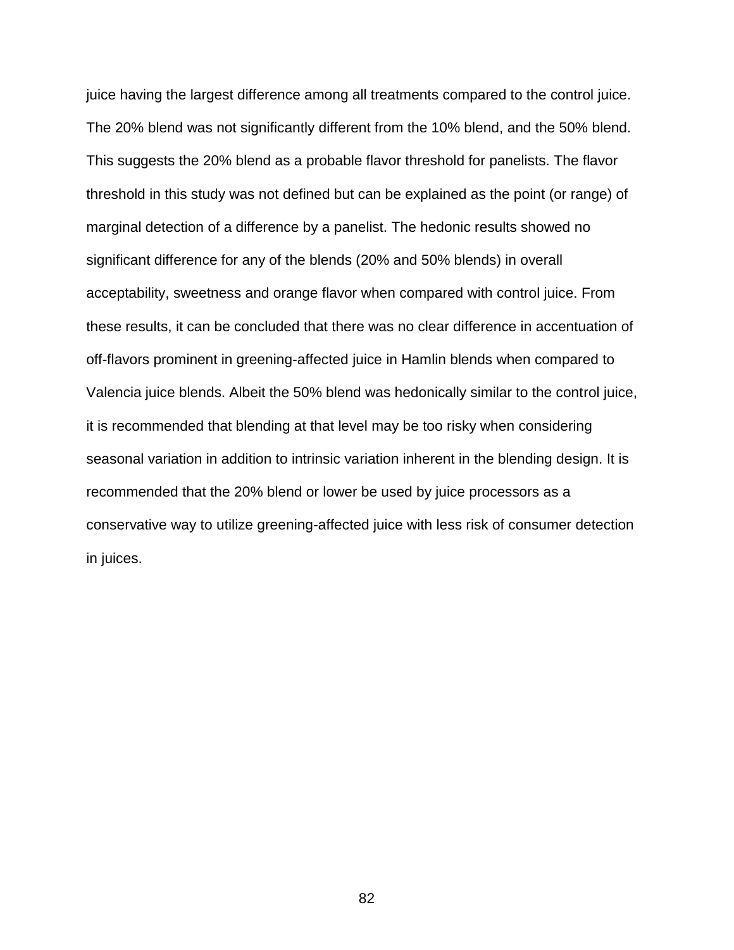juice having the largest difference among all treatments compared to the control juice. The 20% blend was not significantly different from the 10% blend, and the 50% blend. This suggests the 20% blend as a probable flavor threshold for panelists. The flavor threshold in this study was not defined but can be explained as the point (or range) of marginal detection of a difference by a panelist. The hedonic results showed no significant difference for any of the blends (20% and 50% blends) in overall acceptability, sweetness and orange flavor when compared with control juice. From these results, it can be concluded that there was no clear difference in accentuation of off-flavors prominent in greening-affected juice in Hamlin blends when compared to Valencia juice blends. Albeit the 50% blend was hedonically similar to the control juice, it is recommended that blending at that level may be too risky when considering seasonal variation in addition to intrinsic variation inherent in the blending design. It is recommended that the 20% blend or lower be used by juice processors as a conservative way to utilize greening-affected juice with less risk of consumer detection in juices.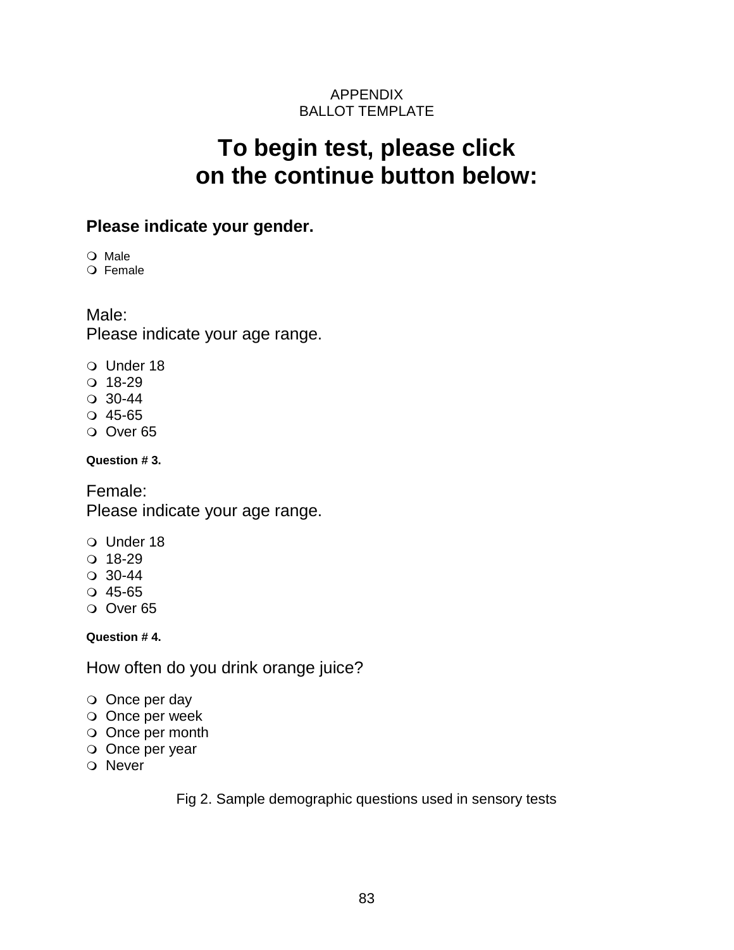### APPENDIX BALLOT TEMPLATE

## **To begin test, please click on the continue button below:**

### **Please indicate your gender.**

O Male

O Female

### Male:

Please indicate your age range.

- O Under 18
- $0.18-29$
- $\circ$  30-44
- $Q$  45-65
- Over 65

**Question # 3.**

Female: Please indicate your age range.

- Under 18
- $0.18-29$
- $\circ$  30-44
- $Q$  45-65
- Over 65

**Question # 4.**

How often do you drink orange juice?

- O Once per day
- Once per week
- Once per month
- O Once per year
- O Never

Fig 2. Sample demographic questions used in sensory tests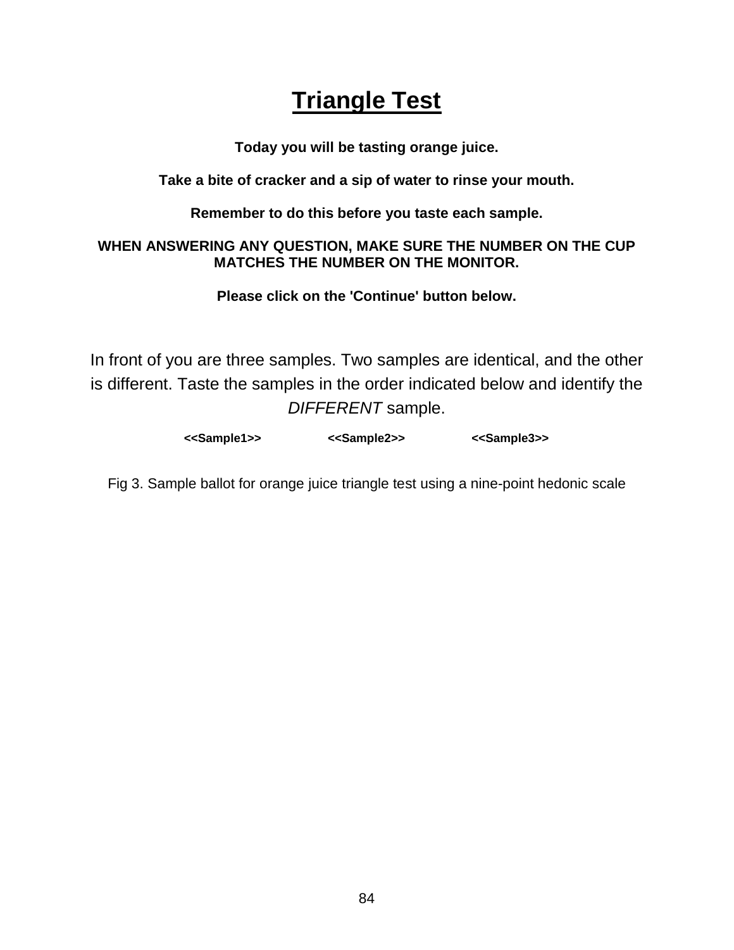## **Triangle Test**

**Today you will be tasting orange juice.**

**Take a bite of cracker and a sip of water to rinse your mouth.** 

**Remember to do this before you taste each sample.**

### **WHEN ANSWERING ANY QUESTION, MAKE SURE THE NUMBER ON THE CUP MATCHES THE NUMBER ON THE MONITOR.**

**Please click on the 'Continue' button below.**

In front of you are three samples. Two samples are identical, and the other is different. Taste the samples in the order indicated below and identify the *DIFFERENT* sample.

Fig 3. Sample ballot for orange juice triangle test using a nine-point hedonic scale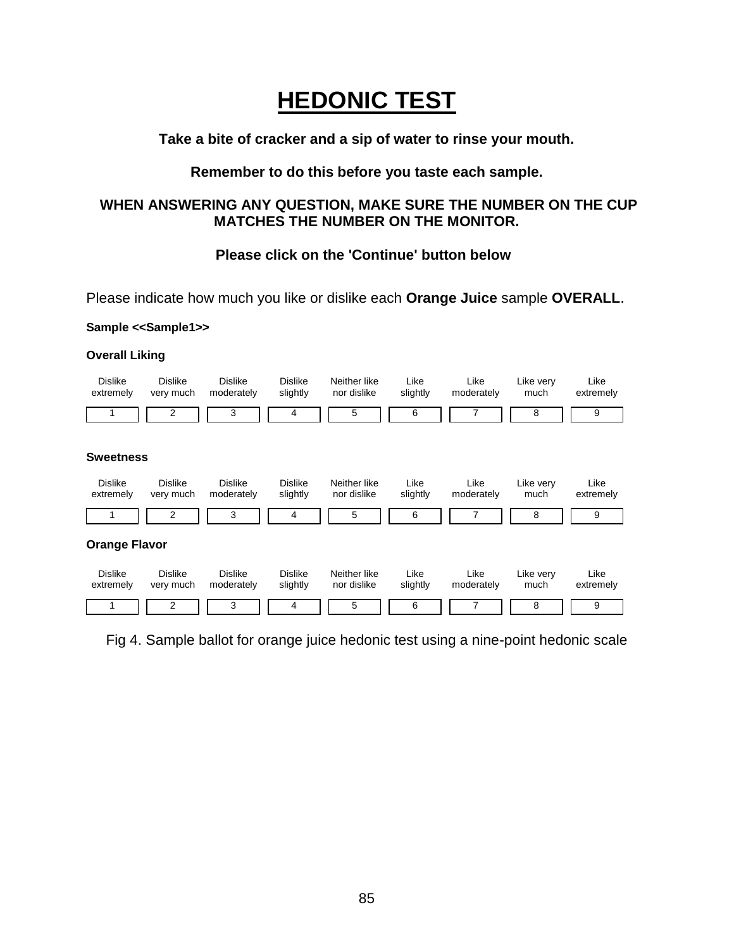# **HEDONIC TEST**

#### **Take a bite of cracker and a sip of water to rinse your mouth.**

#### **Remember to do this before you taste each sample.**

#### **WHEN ANSWERING ANY QUESTION, MAKE SURE THE NUMBER ON THE CUP MATCHES THE NUMBER ON THE MONITOR.**

#### **Please click on the 'Continue' button below**

Please indicate how much you like or dislike each **Orange Juice** sample **OVERALL**.

#### **Sample <<Sample1>>**

#### **Overall Liking**



Fig 4. Sample ballot for orange juice hedonic test using a nine-point hedonic scale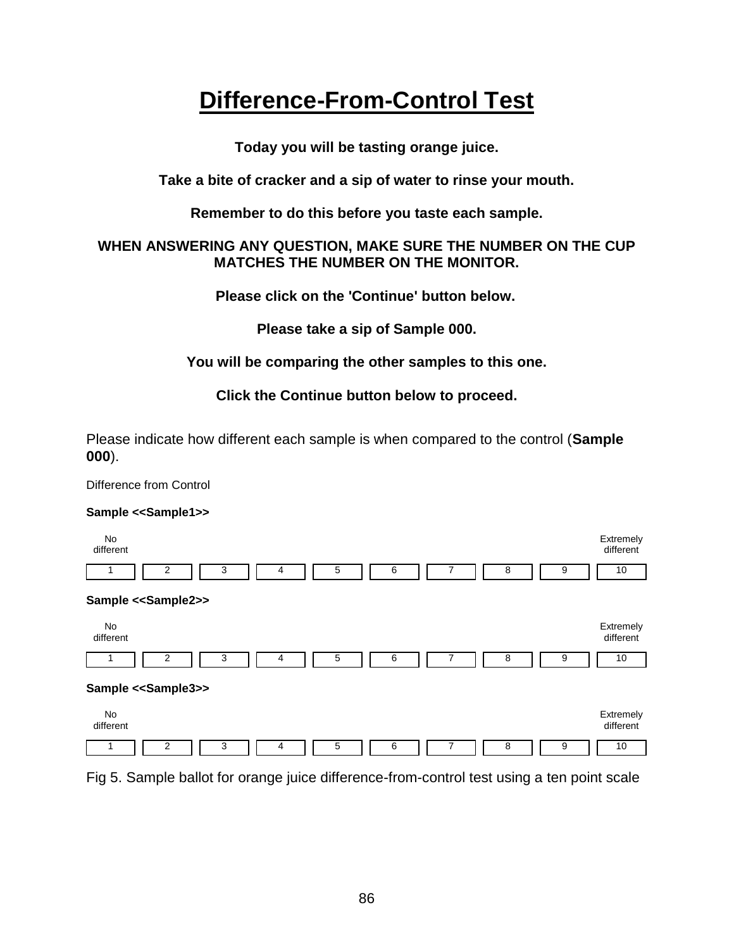## **Difference-From-Control Test**

**Today you will be tasting orange juice.**

**Take a bite of cracker and a sip of water to rinse your mouth.** 

**Remember to do this before you taste each sample.**

#### **WHEN ANSWERING ANY QUESTION, MAKE SURE THE NUMBER ON THE CUP MATCHES THE NUMBER ON THE MONITOR.**

**Please click on the 'Continue' button below.**

**Please take a sip of Sample 000.**

### **You will be comparing the other samples to this one.**

**Click the Continue button below to proceed.**

Please indicate how different each sample is when compared to the control (**Sample 000**).

Difference from Control

#### **Sample <<Sample1>>**



Fig 5. Sample ballot for orange juice difference-from-control test using a ten point scale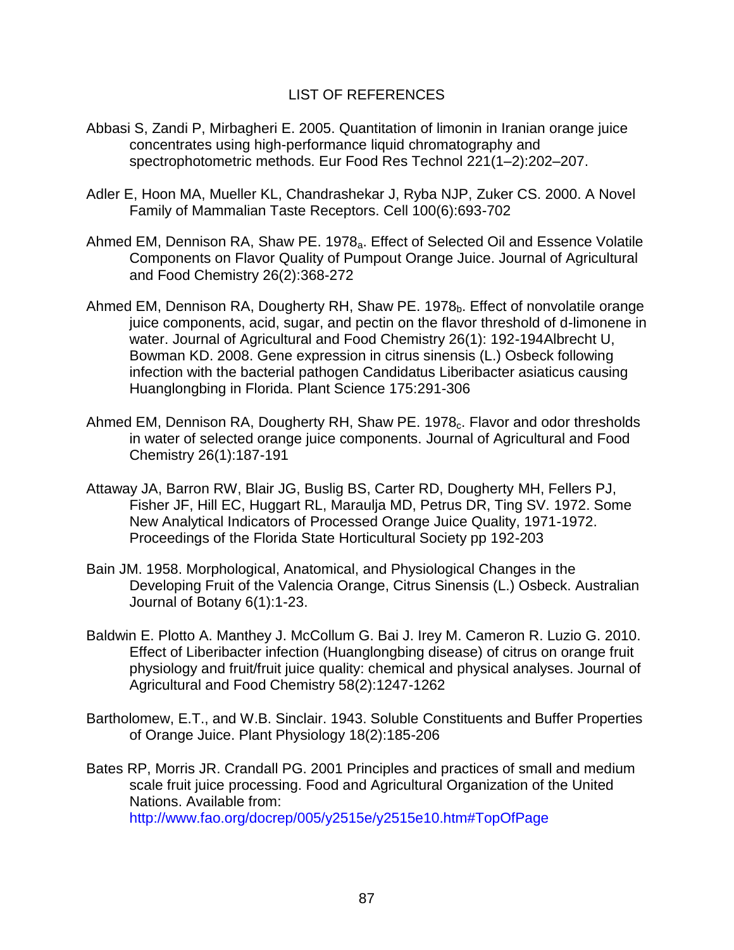#### LIST OF REFERENCES

- Abbasi S, Zandi P, Mirbagheri E. 2005. Quantitation of limonin in Iranian orange juice concentrates using high-performance liquid chromatography and spectrophotometric methods. Eur Food Res Technol 221(1–2):202–207.
- Adler E, Hoon MA, Mueller KL, Chandrashekar J, Ryba NJP, Zuker CS. 2000. A Novel Family of Mammalian Taste Receptors. Cell 100(6):693-702
- Ahmed EM, Dennison RA, Shaw PE. 1978<sub>a</sub>. Effect of Selected Oil and Essence Volatile Components on Flavor Quality of Pumpout Orange Juice. Journal of Agricultural and Food Chemistry 26(2):368-272
- Ahmed EM, Dennison RA, Dougherty RH, Shaw PE. 1978 $_b$ . Effect of nonvolatile orange juice components, acid, sugar, and pectin on the flavor threshold of d-limonene in water. Journal of Agricultural and Food Chemistry 26(1): 192-194Albrecht U, Bowman KD. 2008. Gene expression in citrus sinensis (L.) Osbeck following infection with the bacterial pathogen Candidatus Liberibacter asiaticus causing Huanglongbing in Florida. Plant Science 175:291-306
- Ahmed EM, Dennison RA, Dougherty RH, Shaw PE. 1978<sub>c</sub>. Flavor and odor thresholds in water of selected orange juice components. Journal of Agricultural and Food Chemistry 26(1):187-191
- Attaway JA, Barron RW, Blair JG, Buslig BS, Carter RD, Dougherty MH, Fellers PJ, Fisher JF, Hill EC, Huggart RL, Maraulja MD, Petrus DR, Ting SV. 1972. Some New Analytical Indicators of Processed Orange Juice Quality, 1971-1972. Proceedings of the Florida State Horticultural Society pp 192-203
- Bain JM. 1958. Morphological, Anatomical, and Physiological Changes in the Developing Fruit of the Valencia Orange, Citrus Sinensis (L.) Osbeck. Australian Journal of Botany 6(1):1-23.
- Baldwin E. Plotto A. Manthey J. McCollum G. Bai J. Irey M. Cameron R. Luzio G. 2010. Effect of Liberibacter infection (Huanglongbing disease) of citrus on orange fruit physiology and fruit/fruit juice quality: chemical and physical analyses. Journal of Agricultural and Food Chemistry 58(2):1247-1262
- Bartholomew, E.T., and W.B. Sinclair. 1943. Soluble Constituents and Buffer Properties of Orange Juice. Plant Physiology 18(2):185-206
- Bates RP, Morris JR. Crandall PG. 2001 Principles and practices of small and medium scale fruit juice processing. Food and Agricultural Organization of the United Nations. Available from:

<http://www.fao.org/docrep/005/y2515e/y2515e10.htm#TopOfPage>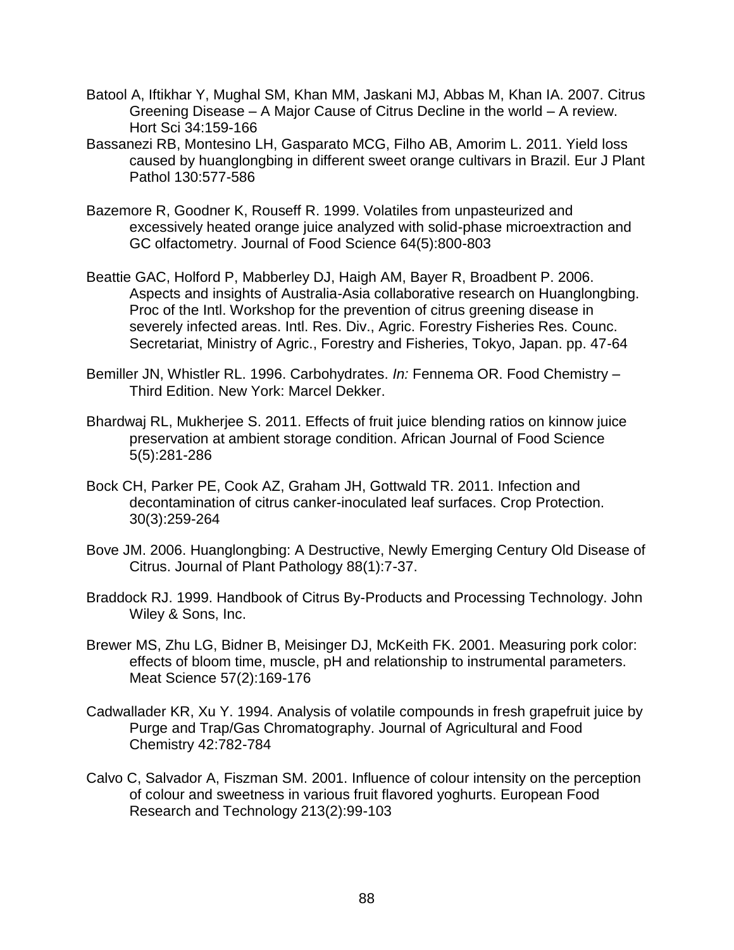- Batool A, Iftikhar Y, Mughal SM, Khan MM, Jaskani MJ, Abbas M, Khan IA. 2007. Citrus Greening Disease – A Major Cause of Citrus Decline in the world – A review. Hort Sci 34:159-166
- Bassanezi RB, Montesino LH, Gasparato MCG, Filho AB, Amorim L. 2011. Yield loss caused by huanglongbing in different sweet orange cultivars in Brazil. Eur J Plant Pathol 130:577-586
- Bazemore R, Goodner K, Rouseff R. 1999. Volatiles from unpasteurized and excessively heated orange juice analyzed with solid-phase microextraction and GC olfactometry. Journal of Food Science 64(5):800-803
- Beattie GAC, Holford P, Mabberley DJ, Haigh AM, Bayer R, Broadbent P. 2006. Aspects and insights of Australia-Asia collaborative research on Huanglongbing. Proc of the Intl. Workshop for the prevention of citrus greening disease in severely infected areas. Intl. Res. Div., Agric. Forestry Fisheries Res. Counc. Secretariat, Ministry of Agric., Forestry and Fisheries, Tokyo, Japan. pp. 47-64
- Bemiller JN, Whistler RL. 1996. Carbohydrates. *In:* Fennema OR. Food Chemistry Third Edition. New York: Marcel Dekker.
- Bhardwaj RL, Mukherjee S. 2011. Effects of fruit juice blending ratios on kinnow juice preservation at ambient storage condition. African Journal of Food Science 5(5):281-286
- Bock CH, Parker PE, Cook AZ, Graham JH, Gottwald TR. 2011. Infection and decontamination of citrus canker-inoculated leaf surfaces. Crop Protection. 30(3):259-264
- Bove JM. 2006. Huanglongbing: A Destructive, Newly Emerging Century Old Disease of Citrus. Journal of Plant Pathology 88(1):7-37.
- Braddock RJ. 1999. Handbook of Citrus By-Products and Processing Technology. John Wiley & Sons, Inc.
- Brewer MS, Zhu LG, Bidner B, Meisinger DJ, McKeith FK. 2001. Measuring pork color: effects of bloom time, muscle, pH and relationship to instrumental parameters. Meat Science 57(2):169-176
- Cadwallader KR, Xu Y. 1994. Analysis of volatile compounds in fresh grapefruit juice by Purge and Trap/Gas Chromatography. Journal of Agricultural and Food Chemistry 42:782-784
- Calvo C, Salvador A, Fiszman SM. 2001. Influence of colour intensity on the perception of colour and sweetness in various fruit flavored yoghurts. European Food Research and Technology 213(2):99-103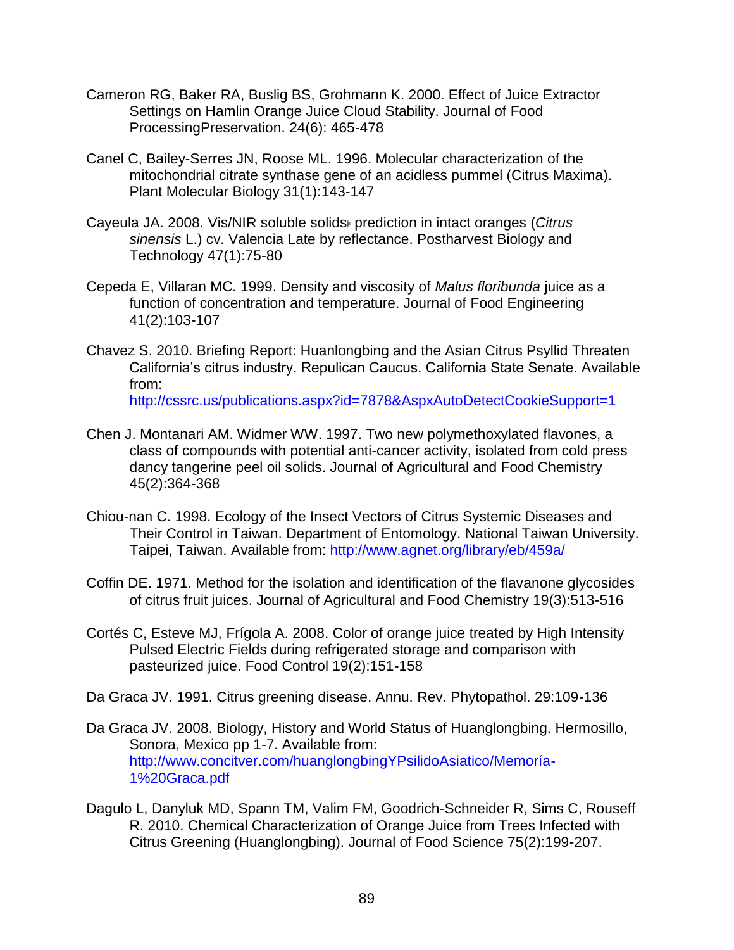- Cameron RG, Baker RA, Buslig BS, Grohmann K. 2000. Effect of Juice Extractor Settings on Hamlin Orange Juice Cloud Stability. Journal of Food ProcessingPreservation. 24(6): 465-478
- Canel C, Bailey-Serres JN, Roose ML. 1996. Molecular characterization of the mitochondrial citrate synthase gene of an acidless pummel (Citrus Maxima). Plant Molecular Biology 31(1):143-147
- Cayeula JA. 2008. Vis/NIR soluble solid[s](http://www.sciencedirect.com/science/article/pii/S0925521407002104#hit2) prediction in intact oranges (*Citrus sinensis* L.) cv. Valencia Late by reflectance. Postharvest Biology and Technology 47(1):75-80
- Cepeda E, Villaran MC. 1999. Density and viscosity of *Malus floribunda* juice as a function of concentration and temperature. Journal of Food Engineering 41(2):103-107
- Chavez S. 2010. Briefing Report: Huanlongbing and the Asian Citrus Psyllid Threaten California's citrus industry. Repulican Caucus. California State Senate. Available from:

<http://cssrc.us/publications.aspx?id=7878&AspxAutoDetectCookieSupport=1>

- Chen J. Montanari AM. Widmer WW. 1997. Two new polymethoxylated flavones, a class of compounds with potential anti-cancer activity, isolated from cold press dancy tangerine peel oil solids. Journal of Agricultural and Food Chemistry 45(2):364-368
- Chiou-nan C. 1998. Ecology of the Insect Vectors of Citrus Systemic Diseases and Their Control in Taiwan. Department of Entomology. National Taiwan University. Taipei, Taiwan. Available from:<http://www.agnet.org/library/eb/459a/>
- Coffin DE. 1971. Method for the isolation and identification of the flavanone glycosides of citrus fruit juices. Journal of Agricultural and Food Chemistry 19(3):513-516
- Cortés C, Esteve MJ, Frígola A. 2008. Color of orange juice treated by High Intensity Pulsed Electric Fields during refrigerated storage and comparison with pasteurized juice. Food Control 19(2):151-158
- Da Graca JV. 1991. Citrus greening disease. Annu. Rev. Phytopathol. 29:109-136
- Da Graca JV. 2008. Biology, History and World Status of Huanglongbing. Hermosillo, Sonora, Mexico pp 1-7. Available from: [http://www.concitver.com/huanglongbingYPsilidoAsiatico/Memoría-](http://www.concitver.com/huanglongbingYPsilidoAsiatico/Memor%C3%ADa-1%20Graca.pdf)[1%20Graca.pdf](http://www.concitver.com/huanglongbingYPsilidoAsiatico/Memor%C3%ADa-1%20Graca.pdf)
- Dagulo L, Danyluk MD, Spann TM, Valim FM, Goodrich-Schneider R, Sims C, Rouseff R. 2010. Chemical Characterization of Orange Juice from Trees Infected with Citrus Greening (Huanglongbing). Journal of Food Science 75(2):199-207.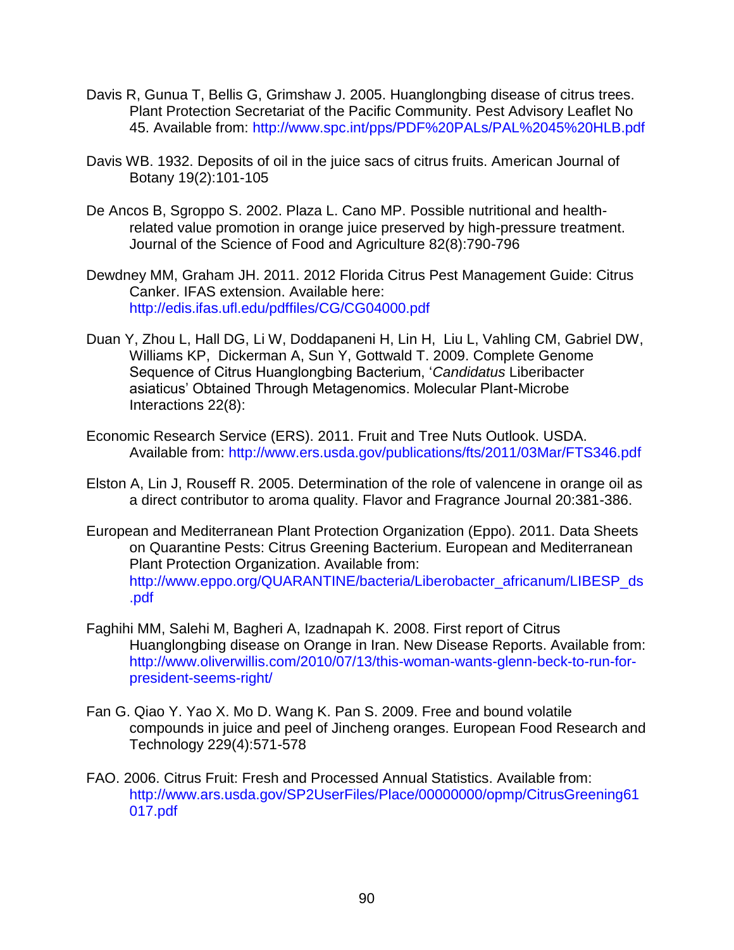- Davis R, Gunua T, Bellis G, Grimshaw J. 2005. Huanglongbing disease of citrus trees. Plant Protection Secretariat of the Pacific Community. Pest Advisory Leaflet No 45. Available from:<http://www.spc.int/pps/PDF%20PALs/PAL%2045%20HLB.pdf>
- Davis WB. 1932. Deposits of oil in the juice sacs of citrus fruits. American Journal of Botany 19(2):101-105
- De Ancos B, Sgroppo S. 2002. Plaza L. Cano MP. Possible nutritional and healthrelated value promotion in orange juice preserved by high-pressure treatment. Journal of the Science of Food and Agriculture 82(8):790-796
- Dewdney MM, Graham JH. 2011. 2012 Florida Citrus Pest Management Guide: Citrus Canker. IFAS extension. Available here: <http://edis.ifas.ufl.edu/pdffiles/CG/CG04000.pdf>
- Duan Y, Zhou L, Hall DG, Li W, Doddapaneni H, Lin H, Liu L, Vahling CM, Gabriel DW, Williams KP, Dickerman A, Sun Y, Gottwald T. 2009. Complete Genome Sequence of Citrus Huanglongbing Bacterium, '*Candidatus* Liberibacter asiaticus' Obtained Through Metagenomics. Molecular Plant-Microbe Interactions 22(8):
- Economic Research Service (ERS). 2011. Fruit and Tree Nuts Outlook. USDA. Available from:<http://www.ers.usda.gov/publications/fts/2011/03Mar/FTS346.pdf>
- Elston A, Lin J, Rouseff R. 2005. Determination of the role of valencene in orange oil as a direct contributor to aroma quality. Flavor and Fragrance Journal 20:381-386.
- European and Mediterranean Plant Protection Organization (Eppo). 2011. Data Sheets on Quarantine Pests: Citrus Greening Bacterium. European and Mediterranean Plant Protection Organization. Available from: [http://www.eppo.org/QUARANTINE/bacteria/Liberobacter\\_africanum/LIBESP\\_ds](http://www.eppo.org/QUARANTINE/bacteria/Liberobacter_africanum/LIBESP_ds.pdf) [.pdf](http://www.eppo.org/QUARANTINE/bacteria/Liberobacter_africanum/LIBESP_ds.pdf)
- Faghihi MM, Salehi M, Bagheri A, Izadnapah K. 2008. First report of Citrus Huanglongbing disease on Orange in Iran. New Disease Reports. Available from: [http://www.oliverwillis.com/2010/07/13/this-woman-wants-glenn-beck-to-run-for](http://www.oliverwillis.com/2010/07/13/this-woman-wants-glenn-beck-to-run-for-president-seems-right/)[president-seems-right/](http://www.oliverwillis.com/2010/07/13/this-woman-wants-glenn-beck-to-run-for-president-seems-right/)
- Fan G. Qiao Y. Yao X. Mo D. Wang K. Pan S. 2009. Free and bound volatile compounds in juice and peel of Jincheng oranges. European Food Research and Technology 229(4):571-578
- FAO. 2006. Citrus Fruit: Fresh and Processed Annual Statistics. Available from: [http://www.ars.usda.gov/SP2UserFiles/Place/00000000/opmp/CitrusGreening61](http://www.ars.usda.gov/SP2UserFiles/Place/00000000/opmp/CitrusGreening61017.pdf) [017.pdf](http://www.ars.usda.gov/SP2UserFiles/Place/00000000/opmp/CitrusGreening61017.pdf)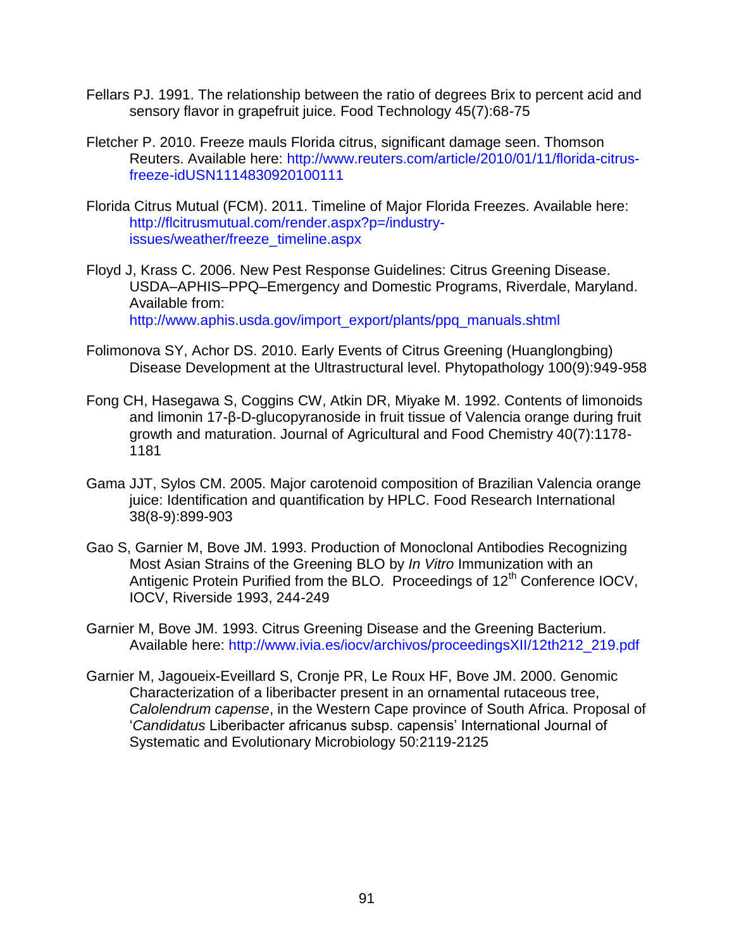- Fellars PJ. 1991. The relationship between the ratio of degrees Brix to percent acid and sensory flavor in grapefruit juice. Food Technology 45(7):68-75
- Fletcher P. 2010. Freeze mauls Florida citrus, significant damage seen. Thomson Reuters. Available here: [http://www.reuters.com/article/2010/01/11/florida-citrus](http://www.reuters.com/article/2010/01/11/florida-citrus-freeze-idUSN1114830920100111)[freeze-idUSN1114830920100111](http://www.reuters.com/article/2010/01/11/florida-citrus-freeze-idUSN1114830920100111)
- Florida Citrus Mutual (FCM). 2011. Timeline of Major Florida Freezes. Available here: [http://flcitrusmutual.com/render.aspx?p=/industry](http://flcitrusmutual.com/render.aspx?p=/industry-issues/weather/freeze_timeline.aspx)[issues/weather/freeze\\_timeline.aspx](http://flcitrusmutual.com/render.aspx?p=/industry-issues/weather/freeze_timeline.aspx)
- Floyd J, Krass C. 2006. New Pest Response Guidelines: Citrus Greening Disease. USDA–APHIS–PPQ–Emergency and Domestic Programs, Riverdale, Maryland. Available from:

[http://www.aphis.usda.gov/import\\_export/plants/ppq\\_manuals.shtml](http://www.aphis.usda.gov/import_export/plants/ppq_manuals.shtml)

- Folimonova SY, Achor DS. 2010. Early Events of Citrus Greening (Huanglongbing) Disease Development at the Ultrastructural level. Phytopathology 100(9):949-958
- Fong CH, Hasegawa S, Coggins CW, Atkin DR, Miyake M. 1992. Contents of limonoids and limonin 17-β-D-glucopyranoside in fruit tissue of Valencia orange during fruit growth and maturation. Journal of Agricultural and Food Chemistry 40(7):1178- 1181
- Gama JJT, Sylos CM. 2005. Major carotenoid composition of Brazilian Valencia orange juice: Identification and quantification by HPLC. Food Research International 38(8-9):899-903
- Gao S, Garnier M, Bove JM. 1993. Production of Monoclonal Antibodies Recognizing Most Asian Strains of the Greening BLO by *In Vitro* Immunization with an Antigenic Protein Purified from the BLO. Proceedings of 12<sup>th</sup> Conference IOCV, IOCV, Riverside 1993, 244-249
- Garnier M, Bove JM. 1993. Citrus Greening Disease and the Greening Bacterium. Available here: [http://www.ivia.es/iocv/archivos/proceedingsXII/12th212\\_219.pdf](http://www.ivia.es/iocv/archivos/proceedingsXII/12th212_219.pdf)
- Garnier M, Jagoueix-Eveillard S, Cronje PR, Le Roux HF, Bove JM. 2000. Genomic Characterization of a liberibacter present in an ornamental rutaceous tree, *Calolendrum capense*, in the Western Cape province of South Africa. Proposal of '*Candidatus* Liberibacter africanus subsp. capensis' International Journal of Systematic and Evolutionary Microbiology 50:2119-2125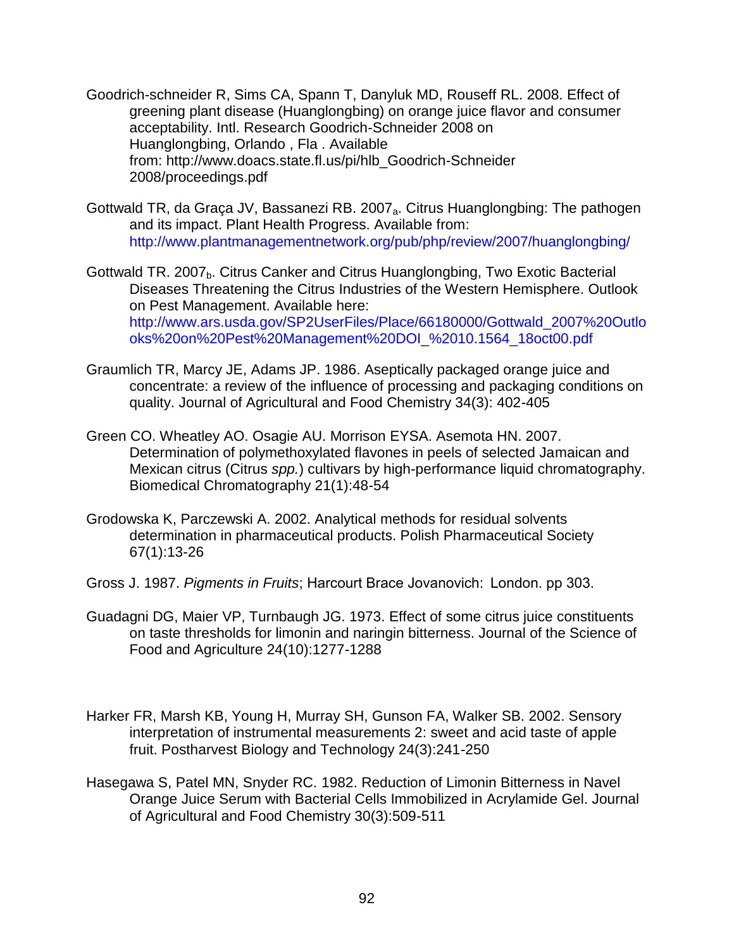- Goodrich-schneider R, Sims CA, Spann T, Danyluk MD, Rouseff RL. 2008. Effect of greening plant disease (Huanglongbing) on orange juice flavor and consumer acceptability. Intl. Research Goodrich-Schneider 2008 on Huanglongbing, Orlando , Fla . Available from: [http://www.doacs.state.fl.us/pi/hlb\\_Goodrich-Schneider](http://www.doacs.state.fl.us/pi/hlb_conference/proceedings.pdf)  [2008/proceedings.pdf](http://www.doacs.state.fl.us/pi/hlb_conference/proceedings.pdf)
- Gottwald TR, da Graça JV, Bassanezi RB. 2007<sub>a</sub>. Citrus Huanglongbing: The pathogen and its impact. Plant Health Progress. Available from: <http://www.plantmanagementnetwork.org/pub/php/review/2007/huanglongbing/>
- Gottwald TR. 2007<sub>b</sub>. Citrus Canker and Citrus Huanglongbing, Two Exotic Bacterial Diseases Threatening the Citrus Industries of the Western Hemisphere. Outlook on Pest Management. Available here: [http://www.ars.usda.gov/SP2UserFiles/Place/66180000/Gottwald\\_2007%20Outlo](http://www.ars.usda.gov/SP2UserFiles/Place/66180000/Gottwald_2007%20Outlooks%20on%20Pest%20Management%20DOI_%2010.1564_18oct00.pdf) [oks%20on%20Pest%20Management%20DOI\\_%2010.1564\\_18oct00.pdf](http://www.ars.usda.gov/SP2UserFiles/Place/66180000/Gottwald_2007%20Outlooks%20on%20Pest%20Management%20DOI_%2010.1564_18oct00.pdf)
- Graumlich TR, Marcy JE, Adams JP. 1986. Aseptically packaged orange juice and concentrate: a review of the influence of processing and packaging conditions on quality. Journal of Agricultural and Food Chemistry 34(3): 402-405
- Green CO. Wheatley AO. Osagie AU. Morrison EYSA. Asemota HN. 2007. Determination of polymethoxylated flavones in peels of selected Jamaican and Mexican citrus (Citrus *spp.*) cultivars by high-performance liquid chromatography. Biomedical Chromatography 21(1):48-54
- Grodowska K, Parczewski A. 2002. Analytical methods for residual solvents determination in pharmaceutical products. Polish Pharmaceutical Society 67(1):13-26
- Gross J. 1987. *Pigments in Fruits*; Harcourt Brace Jovanovich:  London. pp 303.
- Guadagni DG, Maier VP, Turnbaugh JG. 1973. Effect of some citrus juice constituents on taste thresholds for limonin and naringin bitterness. Journal of the Science of Food and Agriculture 24(10):1277-1288
- Harker FR, Marsh KB, Young H, Murray SH, Gunson FA, Walker SB. 2002. Sensory interpretation of instrumental measurements 2: sweet and acid taste of apple fruit. Postharvest Biology and Technology 24(3):241-250
- Hasegawa S, Patel MN, Snyder RC. 1982. Reduction of Limonin Bitterness in Navel Orange Juice Serum with Bacterial Cells Immobilized in Acrylamide Gel. Journal of Agricultural and Food Chemistry 30(3):509-511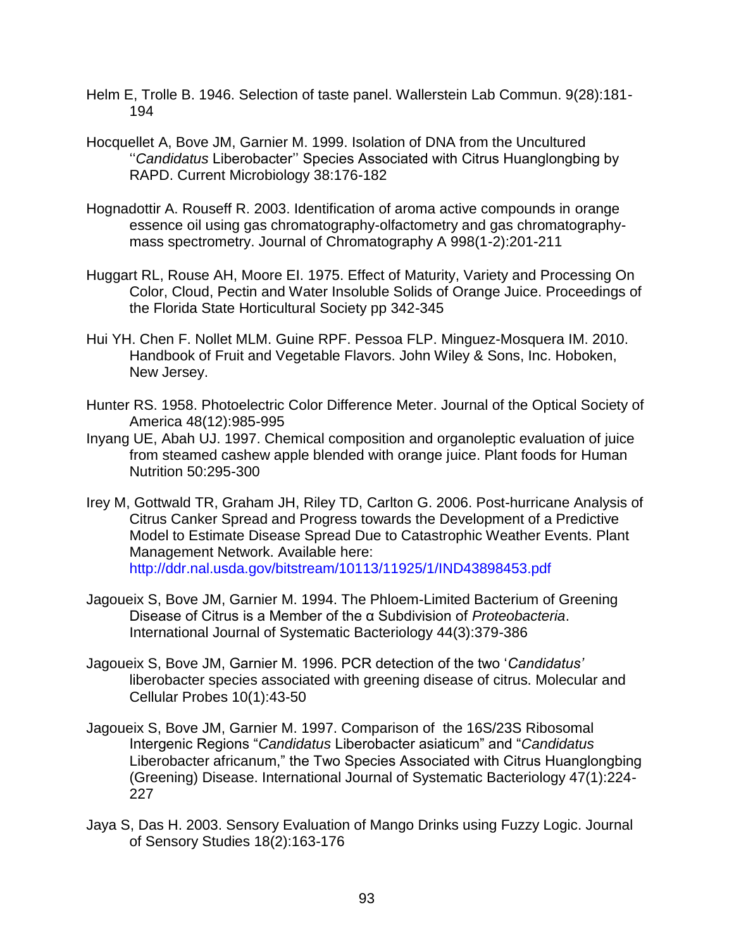- Helm E, Trolle B. 1946. Selection of taste panel. Wallerstein Lab Commun. 9(28):181- 194
- Hocquellet A, Bove JM, Garnier M. 1999. Isolation of DNA from the Uncultured ''*Candidatus* Liberobacter'' Species Associated with Citrus Huanglongbing by RAPD. Current Microbiology 38:176-182
- Hognadottir A. Rouseff R. 2003. Identification of aroma active compounds in orange essence oil using gas chromatography-olfactometry and gas chromatographymass spectrometry. Journal of Chromatography A 998(1-2):201-211
- Huggart RL, Rouse AH, Moore EI. 1975. Effect of Maturity, Variety and Processing On Color, Cloud, Pectin and Water Insoluble Solids of Orange Juice. Proceedings of the Florida State Horticultural Society pp 342-345
- Hui YH. Chen F. Nollet MLM. Guine RPF. Pessoa FLP. Minguez-Mosquera IM. 2010. Handbook of Fruit and Vegetable Flavors. John Wiley & Sons, Inc. Hoboken, New Jersey.
- Hunter RS. 1958. Photoelectric Color Difference Meter. Journal of the Optical Society of America 48(12):985-995
- Inyang UE, Abah UJ. 1997. Chemical composition and organoleptic evaluation of juice from steamed cashew apple blended with orange juice. Plant foods for Human Nutrition 50:295-300
- Irey M, Gottwald TR, Graham JH, Riley TD, Carlton G. 2006. Post-hurricane Analysis of Citrus Canker Spread and Progress towards the Development of a Predictive Model to Estimate Disease Spread Due to Catastrophic Weather Events. Plant Management Network. Available here: <http://ddr.nal.usda.gov/bitstream/10113/11925/1/IND43898453.pdf>
- Jagoueix S, Bove JM, Garnier M. 1994. The Phloem-Limited Bacterium of Greening Disease of Citrus is a Member of the α Subdivision of *Proteobacteria*. International Journal of Systematic Bacteriology 44(3):379-386
- Jagoueix S, Bove JM, Garnier M. 1996. PCR detection of the two '*Candidatus'* liberobacter species associated with greening disease of citrus. Molecular and Cellular Probes 10(1):43-50
- Jagoueix S, Bove JM, Garnier M. 1997. Comparison of the 16S/23S Ribosomal Intergenic Regions "*Candidatus* Liberobacter asiaticum" and "*Candidatus* Liberobacter africanum," the Two Species Associated with Citrus Huanglongbing (Greening) Disease. International Journal of Systematic Bacteriology 47(1):224- 227
- Jaya S, Das H. 2003. Sensory Evaluation of Mango Drinks using Fuzzy Logic. Journal of Sensory Studies 18(2):163-176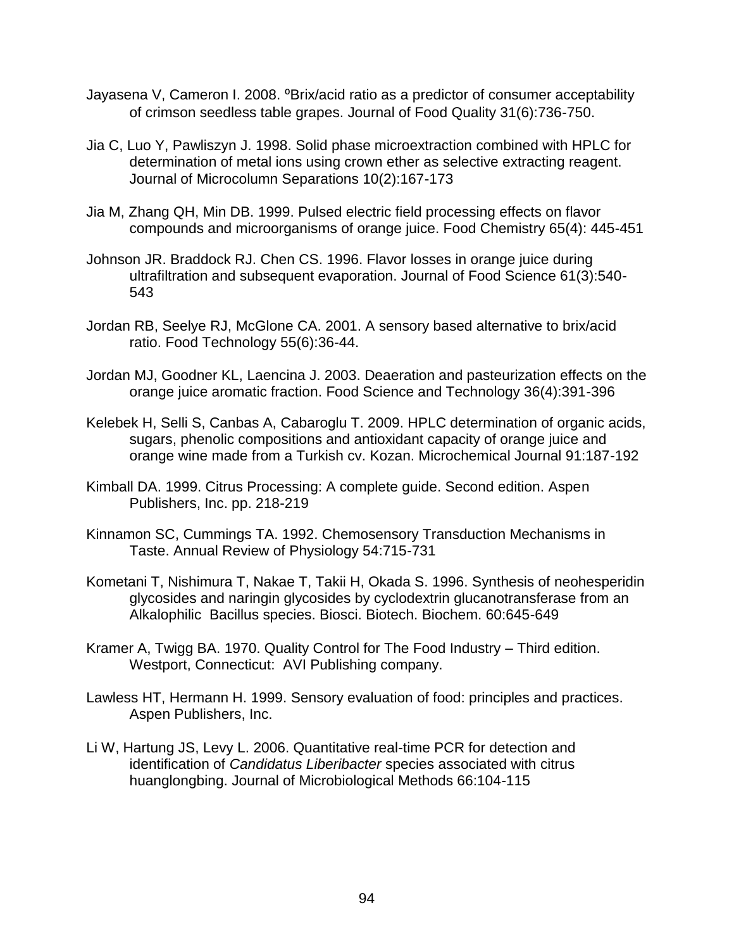- Jayasena V, Cameron I. 2008. <sup>o</sup>Brix/acid ratio as a predictor of consumer acceptability of crimson seedless table grapes. Journal of Food Quality 31(6):736-750.
- Jia C, Luo Y, Pawliszyn J. 1998. Solid phase microextraction combined with HPLC for determination of metal ions using crown ether as selective extracting reagent. Journal of Microcolumn Separations 10(2):167-173
- Jia M, Zhang QH, Min DB. 1999. Pulsed electric field processing effects on flavor compounds and microorganisms of orange juice. Food Chemistry 65(4): 445-451
- Johnson JR. Braddock RJ. Chen CS. 1996. Flavor losses in orange juice during ultrafiltration and subsequent evaporation. Journal of Food Science 61(3):540- 543
- Jordan RB, Seelye RJ, McGlone CA. 2001. A sensory based alternative to brix/acid ratio. Food Technology 55(6):36-44.
- Jordan MJ, Goodner KL, Laencina J. 2003. Deaeration and pasteurization effects on the orange juice aromatic fraction. Food Science and Technology 36(4):391-396
- Kelebek H, Selli S, Canbas A, Cabaroglu T. 2009. HPLC determination of organic acids, sugars, phenolic compositions and antioxidant capacity of orange juice and orange wine made from a Turkish cv. Kozan. Microchemical Journal 91:187-192
- Kimball DA. 1999. Citrus Processing: A complete guide. Second edition. Aspen Publishers, Inc. pp. 218-219
- Kinnamon SC, Cummings TA. 1992. Chemosensory Transduction Mechanisms in Taste. Annual Review of Physiology 54:715-731
- Kometani T, Nishimura T, Nakae T, Takii H, Okada S. 1996. Synthesis of neohesperidin glycosides and naringin glycosides by cyclodextrin glucanotransferase from an Alkalophilic Bacillus species. Biosci. Biotech. Biochem. 60:645-649
- Kramer A, Twigg BA. 1970. Quality Control for The Food Industry Third edition. Westport, Connecticut: AVI Publishing company.
- Lawless HT, Hermann H. 1999. Sensory evaluation of food: principles and practices. Aspen Publishers, Inc.
- Li W, Hartung JS, Levy L. 2006. Quantitative real-time PCR for detection and identification of *Candidatus Liberibacter* species associated with citrus huanglongbing. Journal of Microbiological Methods 66:104-115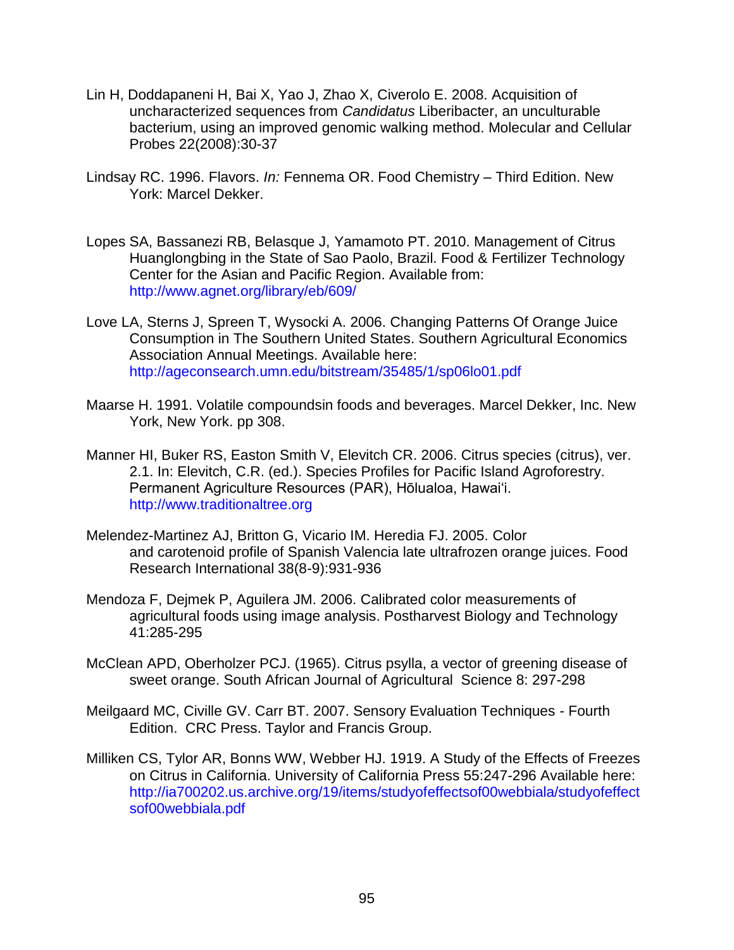- Lin H, Doddapaneni H, Bai X, Yao J, Zhao X, Civerolo E. 2008. Acquisition of uncharacterized sequences from *Candidatus* Liberibacter, an unculturable bacterium, using an improved genomic walking method. Molecular and Cellular Probes 22(2008):30-37
- Lindsay RC. 1996. Flavors. *In:* Fennema OR. Food Chemistry Third Edition. New York: Marcel Dekker.
- Lopes SA, Bassanezi RB, Belasque J, Yamamoto PT. 2010. Management of Citrus Huanglongbing in the State of Sao Paolo, Brazil. Food & Fertilizer Technology Center for the Asian and Pacific Region. Available from: <http://www.agnet.org/library/eb/609/>
- Love LA, Sterns J, Spreen T, Wysocki A. 2006. Changing Patterns Of Orange Juice Consumption in The Southern United States. Southern Agricultural Economics Association Annual Meetings. Available here: <http://ageconsearch.umn.edu/bitstream/35485/1/sp06lo01.pdf>
- Maarse H. 1991. Volatile compoundsin foods and beverages. Marcel Dekker, Inc. New York, New York. pp 308.
- Manner HI, Buker RS, Easton Smith V, Elevitch CR. 2006. Citrus species (citrus), ver. 2.1. In: Elevitch, C.R. (ed.). Species Profiles for Pacific Island Agroforestry. Permanent Agriculture Resources (PAR), Hōlualoa, Hawai'i. [http://www.traditionaltree.org](http://www.traditionaltree.org/)
- Melendez-Martinez AJ, Britton G, Vicario IM. Heredia FJ. 2005. Color and carotenoid profile of Spanish Valencia late ultrafrozen orange juices. Food Research International 38(8-9):931-936
- Mendoza F, Dejmek P, Aguilera JM. 2006. Calibrated color measurements of agricultural foods using image analysis. Postharvest Biology and Technology 41:285-295
- McClean APD, Oberholzer PCJ. (1965). Citrus psylla, a vector of greening disease of sweet orange. South African Journal of Agricultural Science 8: 297-298
- Meilgaard MC, Civille GV. Carr BT. 2007. Sensory Evaluation Techniques Fourth Edition. CRC Press. Taylor and Francis Group.
- Milliken CS, Tylor AR, Bonns WW, Webber HJ. 1919. A Study of the Effects of Freezes on Citrus in California. University of California Press 55:247-296 Available here: [http://ia700202.us.archive.org/19/items/studyofeffectsof00webbiala/studyofeffect](http://ia700202.us.archive.org/19/items/studyofeffectsof00webbiala/studyofeffectsof00webbiala.pdf) [sof00webbiala.pdf](http://ia700202.us.archive.org/19/items/studyofeffectsof00webbiala/studyofeffectsof00webbiala.pdf)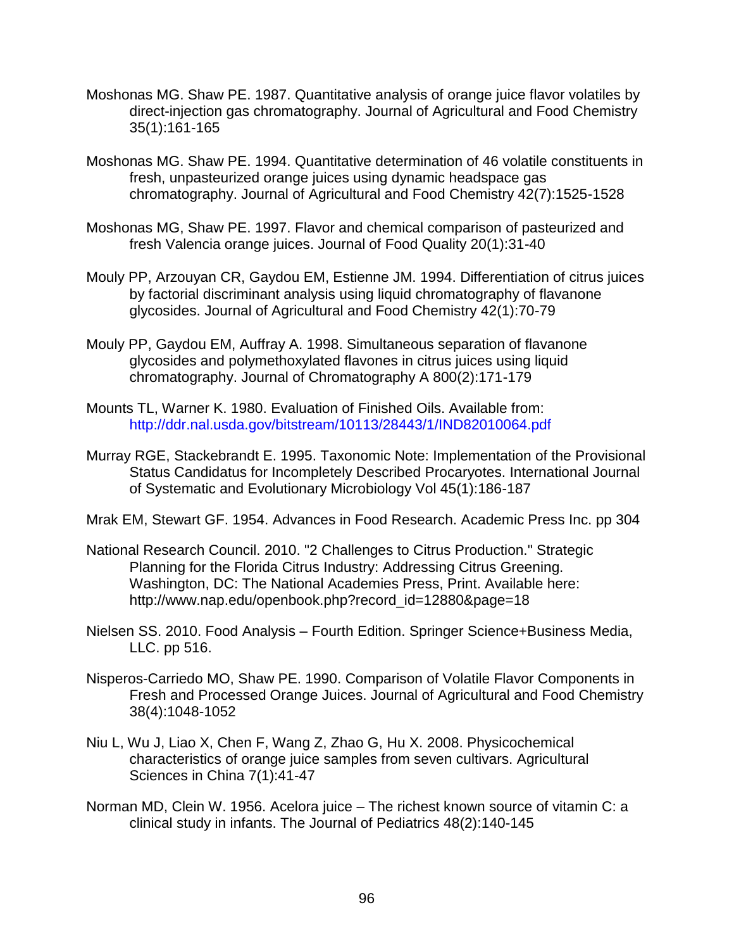- Moshonas MG. Shaw PE. 1987. Quantitative analysis of orange juice flavor volatiles by direct-injection gas chromatography. Journal of Agricultural and Food Chemistry 35(1):161-165
- Moshonas MG. Shaw PE. 1994. Quantitative determination of 46 volatile constituents in fresh, unpasteurized orange juices using dynamic headspace gas chromatography. Journal of Agricultural and Food Chemistry 42(7):1525-1528
- Moshonas MG, Shaw PE. 1997. Flavor and chemical comparison of pasteurized and fresh Valencia orange juices. Journal of Food Quality 20(1):31-40
- Mouly PP, Arzouyan CR, Gaydou EM, Estienne JM. 1994. Differentiation of citrus juices by factorial discriminant analysis using liquid chromatography of flavanone glycosides. Journal of Agricultural and Food Chemistry 42(1):70-79
- Mouly PP, Gaydou EM, Auffray A. 1998. Simultaneous separation of flavanone glycosides and polymethoxylated flavones in citrus juices using liquid chromatography. Journal of Chromatography A 800(2):171-179
- Mounts TL, Warner K. 1980. Evaluation of Finished Oils. Available from: <http://ddr.nal.usda.gov/bitstream/10113/28443/1/IND82010064.pdf>
- Murray RGE, Stackebrandt E. 1995. Taxonomic Note: Implementation of the Provisional Status Candidatus for Incompletely Described Procaryotes. International Journal of Systematic and Evolutionary Microbiology Vol 45(1):186-187
- Mrak EM, Stewart GF. 1954. Advances in Food Research. Academic Press Inc. pp 304
- National Research Council. 2010. "2 Challenges to Citrus Production." Strategic Planning for the Florida Citrus Industry: Addressing Citrus Greening. Washington, DC: The National Academies Press, Print. Available here: http://www.nap.edu/openbook.php?record\_id=12880&page=18
- Nielsen SS. 2010. Food Analysis Fourth Edition. Springer Science+Business Media, LLC. pp 516.
- Nisperos-Carriedo MO, Shaw PE. 1990. Comparison of Volatile Flavor Components in Fresh and Processed Orange Juices. Journal of Agricultural and Food Chemistry 38(4):1048-1052
- Niu L, Wu J, Liao X, Chen F, Wang Z, Zhao G, Hu X. 2008. Physicochemical characteristics of orange juice samples from seven cultivars. Agricultural Sciences in China 7(1):41-47
- Norman MD, Clein W. 1956. Acelora juice The richest known source of vitamin C: a clinical study in infants. The Journal of Pediatrics 48(2):140-145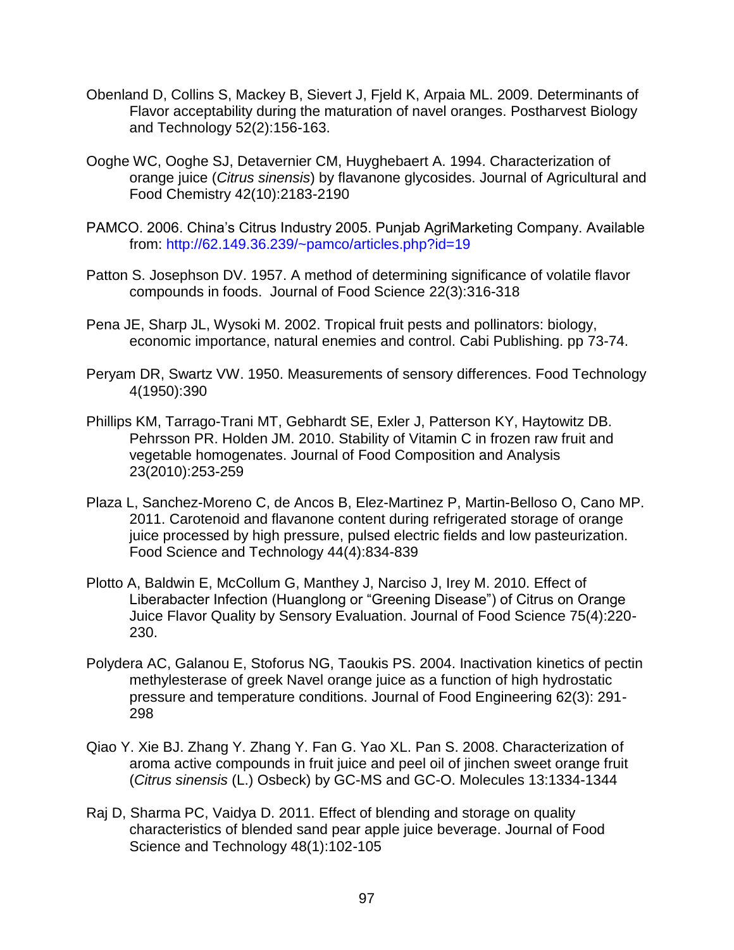- Obenland D, Collins S, Mackey B, Sievert J, Fjeld K, Arpaia ML. 2009. Determinants of Flavor acceptability during the maturation of navel oranges. Postharvest Biology and Technology 52(2):156-163.
- Ooghe WC, Ooghe SJ, Detavernier CM, Huyghebaert A. 1994. Characterization of orange juice (*Citrus sinensis*) by flavanone glycosides. Journal of Agricultural and Food Chemistry 42(10):2183-2190
- PAMCO. 2006. China's Citrus Industry 2005. Punjab AgriMarketing Company. Available from:<http://62.149.36.239/~pamco/articles.php?id=19>
- Patton S. Josephson DV. 1957. A method of determining significance of volatile flavor compounds in foods. Journal of Food Science 22(3):316-318
- Pena JE, Sharp JL, Wysoki M. 2002. Tropical fruit pests and pollinators: biology, economic importance, natural enemies and control. Cabi Publishing. pp 73-74.
- Peryam DR, Swartz VW. 1950. Measurements of sensory differences. Food Technology 4(1950):390
- Phillips KM, Tarrago-Trani MT, Gebhardt SE, Exler J, Patterson KY, Haytowitz DB. Pehrsson PR. Holden JM. 2010. Stability of Vitamin C in frozen raw fruit and vegetable homogenates. Journal of Food Composition and Analysis 23(2010):253-259
- Plaza L, Sanchez-Moreno C, de Ancos B, Elez-Martinez P, Martin-Belloso O, Cano MP. 2011. Carotenoid and flavanone content during refrigerated storage of orange juice processed by high pressure, pulsed electric fields and low pasteurization. Food Science and Technology 44(4):834-839
- Plotto A, Baldwin E, McCollum G, Manthey J, Narciso J, Irey M. 2010. Effect of Liberabacter Infection (Huanglong or "Greening Disease") of Citrus on Orange Juice Flavor Quality by Sensory Evaluation. Journal of Food Science 75(4):220- 230.
- Polydera AC, Galanou E, Stoforus NG, Taoukis PS. 2004. Inactivation kinetics of pectin methylesterase of greek Navel orange juice as a function of high hydrostatic pressure and temperature conditions. Journal of Food Engineering 62(3): 291- 298
- Qiao Y. Xie BJ. Zhang Y. Zhang Y. Fan G. Yao XL. Pan S. 2008. Characterization of aroma active compounds in fruit juice and peel oil of jinchen sweet orange fruit (*Citrus sinensis* (L.) Osbeck) by GC-MS and GC-O. Molecules 13:1334-1344
- Raj D, Sharma PC, Vaidya D. 2011. Effect of blending and storage on quality characteristics of blended sand pear apple juice beverage. Journal of Food Science and Technology 48(1):102-105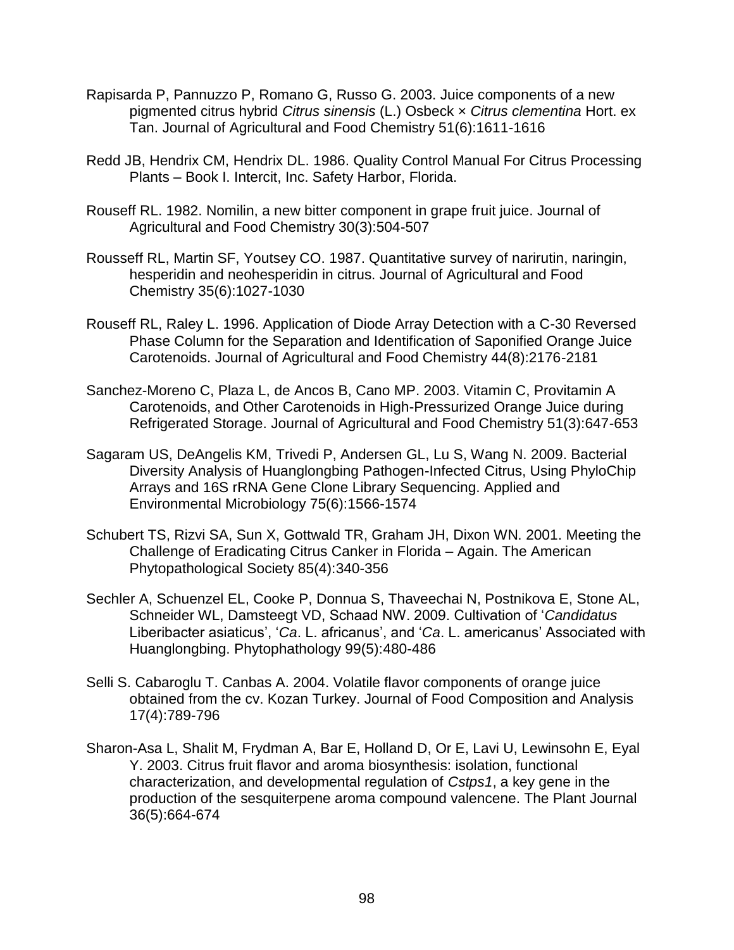- Rapisarda P, Pannuzzo P, Romano G, Russo G. 2003. Juice components of a new pigmented citrus hybrid *Citrus sinensis* (L.) Osbeck × *Citrus clementina* Hort. ex Tan. Journal of Agricultural and Food Chemistry 51(6):1611-1616
- Redd JB, Hendrix CM, Hendrix DL. 1986. Quality Control Manual For Citrus Processing Plants – Book I. Intercit, Inc. Safety Harbor, Florida.
- Rouseff RL. 1982. Nomilin, a new bitter component in grape fruit juice. Journal of Agricultural and Food Chemistry 30(3):504-507
- Rousseff RL, Martin SF, Youtsey CO. 1987. Quantitative survey of narirutin, naringin, hesperidin and neohesperidin in citrus. Journal of Agricultural and Food Chemistry 35(6):1027-1030
- Rouseff RL, Raley L. 1996. Application of Diode Array Detection with a C-30 Reversed Phase Column for the Separation and Identification of Saponified Orange Juice Carotenoids. Journal of Agricultural and Food Chemistry 44(8):2176-2181
- Sanchez-Moreno C, Plaza L, de Ancos B, Cano MP. 2003. Vitamin C, Provitamin A Carotenoids, and Other Carotenoids in High-Pressurized Orange Juice during Refrigerated Storage. Journal of Agricultural and Food Chemistry 51(3):647-653
- Sagaram US, DeAngelis KM, Trivedi P, Andersen GL, Lu S, Wang N. 2009. Bacterial Diversity Analysis of Huanglongbing Pathogen-Infected Citrus, Using PhyloChip Arrays and 16S rRNA Gene Clone Library Sequencing. Applied and Environmental Microbiology 75(6):1566-1574
- Schubert TS, Rizvi SA, Sun X, Gottwald TR, Graham JH, Dixon WN. 2001. Meeting the Challenge of Eradicating Citrus Canker in Florida – Again. The American Phytopathological Society 85(4):340-356
- Sechler A, Schuenzel EL, Cooke P, Donnua S, Thaveechai N, Postnikova E, Stone AL, Schneider WL, Damsteegt VD, Schaad NW. 2009. Cultivation of '*Candidatus* Liberibacter asiaticus', '*Ca*. L. africanus', and '*Ca*. L. americanus' Associated with Huanglongbing. Phytophathology 99(5):480-486
- Selli S. Cabaroglu T. Canbas A. 2004. Volatile flavor components of orange juice obtained from the cv. Kozan Turkey. Journal of Food Composition and Analysis 17(4):789-796
- Sharon-Asa L, Shalit M, Frydman A, Bar E, Holland D, Or E, Lavi U, Lewinsohn E, Eyal Y. 2003. Citrus fruit flavor and aroma biosynthesis: isolation, functional characterization, and developmental regulation of *Cstps1*, a key gene in the production of the sesquiterpene aroma compound valencene. The Plant Journal 36(5):664-674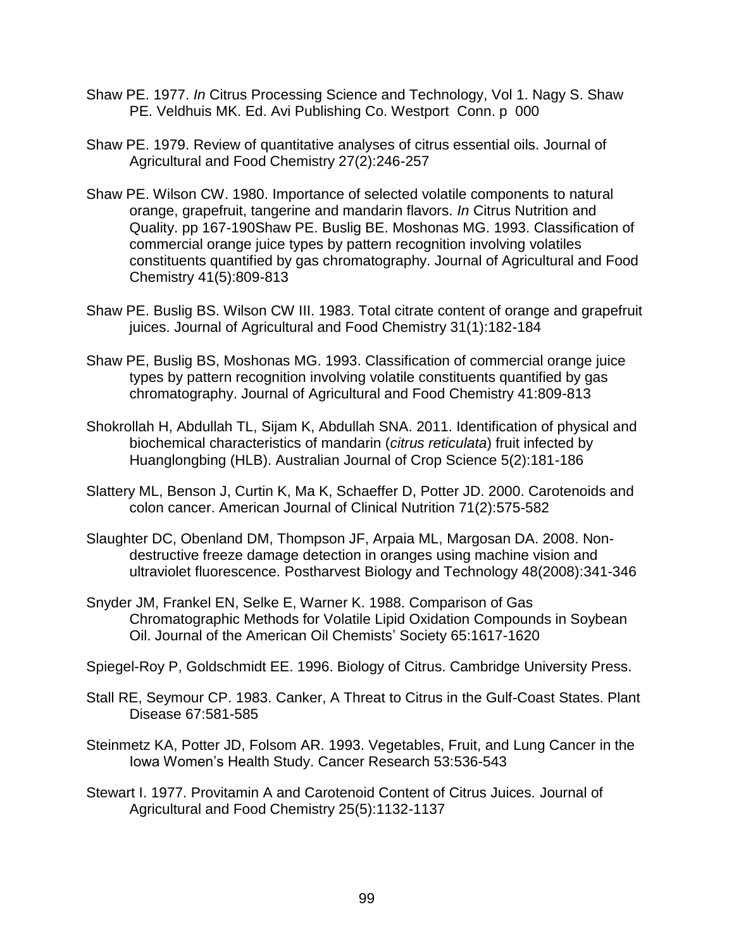- Shaw PE. 1977. *In* Citrus Processing Science and Technology, Vol 1. Nagy S. Shaw PE. Veldhuis MK. Ed. Avi Publishing Co. Westport Conn. p 000
- Shaw PE. 1979. Review of quantitative analyses of citrus essential oils. Journal of Agricultural and Food Chemistry 27(2):246-257
- Shaw PE. Wilson CW. 1980. Importance of selected volatile components to natural orange, grapefruit, tangerine and mandarin flavors. *In* Citrus Nutrition and Quality. pp 167-190Shaw PE. Buslig BE. Moshonas MG. 1993. Classification of commercial orange juice types by pattern recognition involving volatiles constituents quantified by gas chromatography. Journal of Agricultural and Food Chemistry 41(5):809-813
- Shaw PE. Buslig BS. Wilson CW III. 1983. Total citrate content of orange and grapefruit juices. Journal of Agricultural and Food Chemistry 31(1):182-184
- Shaw PE, Buslig BS, Moshonas MG. 1993. Classification of commercial orange juice types by pattern recognition involving volatile constituents quantified by gas chromatography. Journal of Agricultural and Food Chemistry 41:809-813
- Shokrollah H, Abdullah TL, Sijam K, Abdullah SNA. 2011. Identification of physical and biochemical characteristics of mandarin (*citrus reticulata*) fruit infected by Huanglongbing (HLB). Australian Journal of Crop Science 5(2):181-186
- Slattery ML, Benson J, Curtin K, Ma K, Schaeffer D, Potter JD. 2000. Carotenoids and colon cancer. American Journal of Clinical Nutrition 71(2):575-582
- Slaughter DC, Obenland DM, Thompson JF, Arpaia ML, Margosan DA. 2008. Nondestructive freeze damage detection in oranges using machine vision and ultraviolet fluorescence. Postharvest Biology and Technology 48(2008):341-346
- Snyder JM, Frankel EN, Selke E, Warner K. 1988. Comparison of Gas Chromatographic Methods for Volatile Lipid Oxidation Compounds in Soybean Oil. Journal of the American Oil Chemists' Society 65:1617-1620

Spiegel-Roy P, Goldschmidt EE. 1996. Biology of Citrus. Cambridge University Press.

- Stall RE, Seymour CP. 1983. Canker, A Threat to Citrus in the Gulf-Coast States. Plant Disease 67:581-585
- Steinmetz KA, Potter JD, Folsom AR. 1993. Vegetables, Fruit, and Lung Cancer in the Iowa Women's Health Study. Cancer Research 53:536-543
- Stewart I. 1977. Provitamin A and Carotenoid Content of Citrus Juices. Journal of Agricultural and Food Chemistry 25(5):1132-1137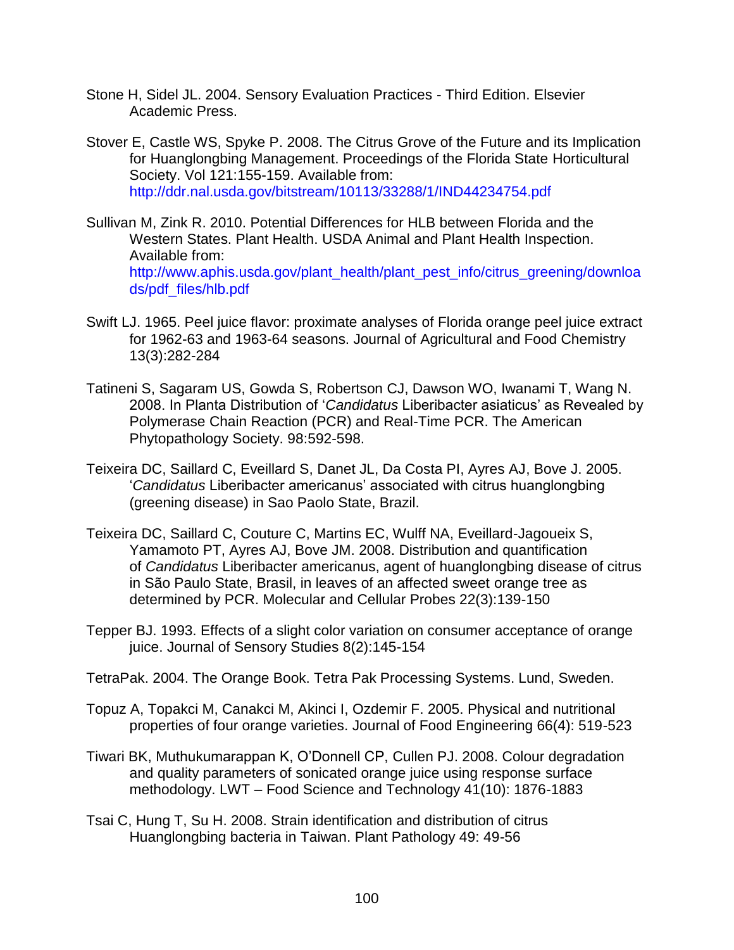- Stone H, Sidel JL. 2004. Sensory Evaluation Practices Third Edition. Elsevier Academic Press.
- Stover E, Castle WS, Spyke P. 2008. The Citrus Grove of the Future and its Implication for Huanglongbing Management. Proceedings of the Florida State Horticultural Society. Vol 121:155-159. Available from: <http://ddr.nal.usda.gov/bitstream/10113/33288/1/IND44234754.pdf>
- Sullivan M, Zink R. 2010. Potential Differences for HLB between Florida and the Western States. Plant Health. USDA Animal and Plant Health Inspection. Available from: [http://www.aphis.usda.gov/plant\\_health/plant\\_pest\\_info/citrus\\_greening/downloa](http://www.aphis.usda.gov/plant_health/plant_pest_info/citrus_greening/downloads/pdf_files/hlb.pdf) [ds/pdf\\_files/hlb.pdf](http://www.aphis.usda.gov/plant_health/plant_pest_info/citrus_greening/downloads/pdf_files/hlb.pdf)
- Swift LJ. 1965. Peel juice flavor: proximate analyses of Florida orange peel juice extract for 1962-63 and 1963-64 seasons. Journal of Agricultural and Food Chemistry 13(3):282-284
- Tatineni S, Sagaram US, Gowda S, Robertson CJ, Dawson WO, Iwanami T, Wang N. 2008. In Planta Distribution of '*Candidatus* Liberibacter asiaticus' as Revealed by Polymerase Chain Reaction (PCR) and Real-Time PCR. The American Phytopathology Society. 98:592-598.
- Teixeira DC, Saillard C, Eveillard S, Danet JL, Da Costa PI, Ayres AJ, Bove J. 2005. '*Candidatus* Liberibacter americanus' associated with citrus huanglongbing (greening disease) in Sao Paolo State, Brazil.
- Teixeira DC, Saillard C, Couture C, Martins EC, Wulff NA, Eveillard-Jagoueix S, Yamamoto PT, Ayres AJ, Bove JM. 2008. Distribution and quantification of *Candidatus* Liberibacter americanus, agent of huanglongbing disease of citrus in São Paulo State, Brasil, in leaves of an affected sweet orange tree as determined by PCR. Molecular and Cellular Probes 22(3):139-150
- Tepper BJ. 1993. Effects of a slight color variation on consumer acceptance of orange juice. Journal of Sensory Studies 8(2):145-154
- TetraPak. 2004. The Orange Book. Tetra Pak Processing Systems. Lund, Sweden.
- Topuz A, Topakci M, Canakci M, Akinci I, Ozdemir F. 2005. Physical and nutritional properties of four orange varieties. Journal of Food Engineering 66(4): 519-523
- Tiwari BK, Muthukumarappan K, O'Donnell CP, Cullen PJ. 2008. Colour degradation and quality parameters of sonicated orange juice using response surface methodology. LWT – Food Science and Technology 41(10): 1876-1883
- Tsai C, Hung T, Su H. 2008. Strain identification and distribution of citrus Huanglongbing bacteria in Taiwan. Plant Pathology 49: 49-56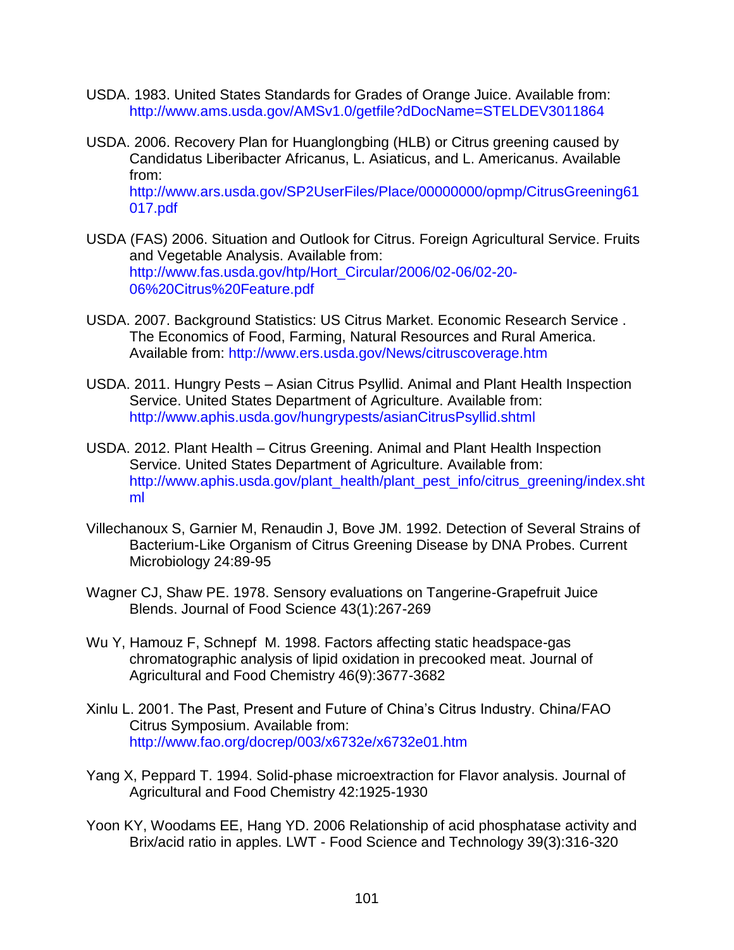- USDA. 1983. United States Standards for Grades of Orange Juice. Available from: <http://www.ams.usda.gov/AMSv1.0/getfile?dDocName=STELDEV3011864>
- USDA. 2006. Recovery Plan for Huanglongbing (HLB) or Citrus greening caused by Candidatus Liberibacter Africanus, L. Asiaticus, and L. Americanus. Available from: [http://www.ars.usda.gov/SP2UserFiles/Place/00000000/opmp/CitrusGreening61](http://www.ars.usda.gov/SP2UserFiles/Place/00000000/opmp/CitrusGreening61017.pdf) [017.pdf](http://www.ars.usda.gov/SP2UserFiles/Place/00000000/opmp/CitrusGreening61017.pdf)
- USDA (FAS) 2006. Situation and Outlook for Citrus. Foreign Agricultural Service. Fruits and Vegetable Analysis. Available from: [http://www.fas.usda.gov/htp/Hort\\_Circular/2006/02-06/02-20-](http://www.fas.usda.gov/htp/Hort_Circular/2006/02-06/02-20-06%20Citrus%20Feature.pdf) [06%20Citrus%20Feature.pdf](http://www.fas.usda.gov/htp/Hort_Circular/2006/02-06/02-20-06%20Citrus%20Feature.pdf)
- USDA. 2007. Background Statistics: US Citrus Market. Economic Research Service . The Economics of Food, Farming, Natural Resources and Rural America. Available from:<http://www.ers.usda.gov/News/citruscoverage.htm>
- USDA. 2011. Hungry Pests Asian Citrus Psyllid. Animal and Plant Health Inspection Service. United States Department of Agriculture. Available from: <http://www.aphis.usda.gov/hungrypests/asianCitrusPsyllid.shtml>
- USDA. 2012. Plant Health Citrus Greening. Animal and Plant Health Inspection Service. United States Department of Agriculture. Available from: [http://www.aphis.usda.gov/plant\\_health/plant\\_pest\\_info/citrus\\_greening/index.sht](http://www.aphis.usda.gov/plant_health/plant_pest_info/citrus_greening/index.shtml) [ml](http://www.aphis.usda.gov/plant_health/plant_pest_info/citrus_greening/index.shtml)
- Villechanoux S, Garnier M, Renaudin J, Bove JM. 1992. Detection of Several Strains of Bacterium-Like Organism of Citrus Greening Disease by DNA Probes. Current Microbiology 24:89-95
- Wagner CJ, Shaw PE. 1978. Sensory evaluations on Tangerine-Grapefruit Juice Blends. Journal of Food Science 43(1):267-269
- Wu Y, Hamouz F, Schnepf M. 1998. Factors affecting static headspace-gas chromatographic analysis of lipid oxidation in precooked meat. Journal of Agricultural and Food Chemistry 46(9):3677-3682
- Xinlu L. 2001. The Past, Present and Future of China's Citrus Industry. China/FAO Citrus Symposium. Available from: <http://www.fao.org/docrep/003/x6732e/x6732e01.htm>
- Yang X, Peppard T. 1994. Solid-phase microextraction for Flavor analysis. Journal of Agricultural and Food Chemistry 42:1925-1930
- Yoon KY, Woodams EE, Hang YD. 2006 Relationship of acid phosphatase activity and Brix/acid ratio in apples. LWT - Food Science and Technology 39(3):316-320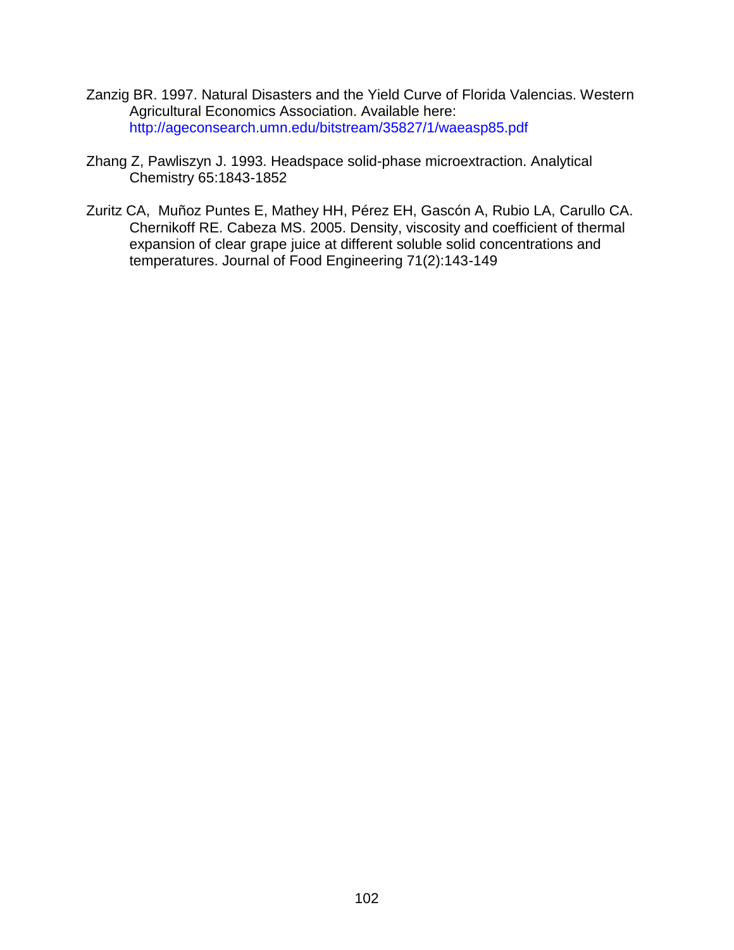- Zanzig BR. 1997. Natural Disasters and the Yield Curve of Florida Valencias. Western Agricultural Economics Association. Available here: <http://ageconsearch.umn.edu/bitstream/35827/1/waeasp85.pdf>
- Zhang Z, Pawliszyn J. 1993. Headspace solid-phase microextraction. Analytical Chemistry 65:1843-1852
- Zuritz CA, Muñoz Puntes E, Mathey HH, Pérez EH, Gascón A, Rubio LA, Carullo CA. Chernikoff RE. Cabeza MS. 2005. Density, viscosity and coefficient of thermal expansion of clear grape juice at different soluble solid concentrations and temperatures. Journal of Food Engineering 71(2):143-149